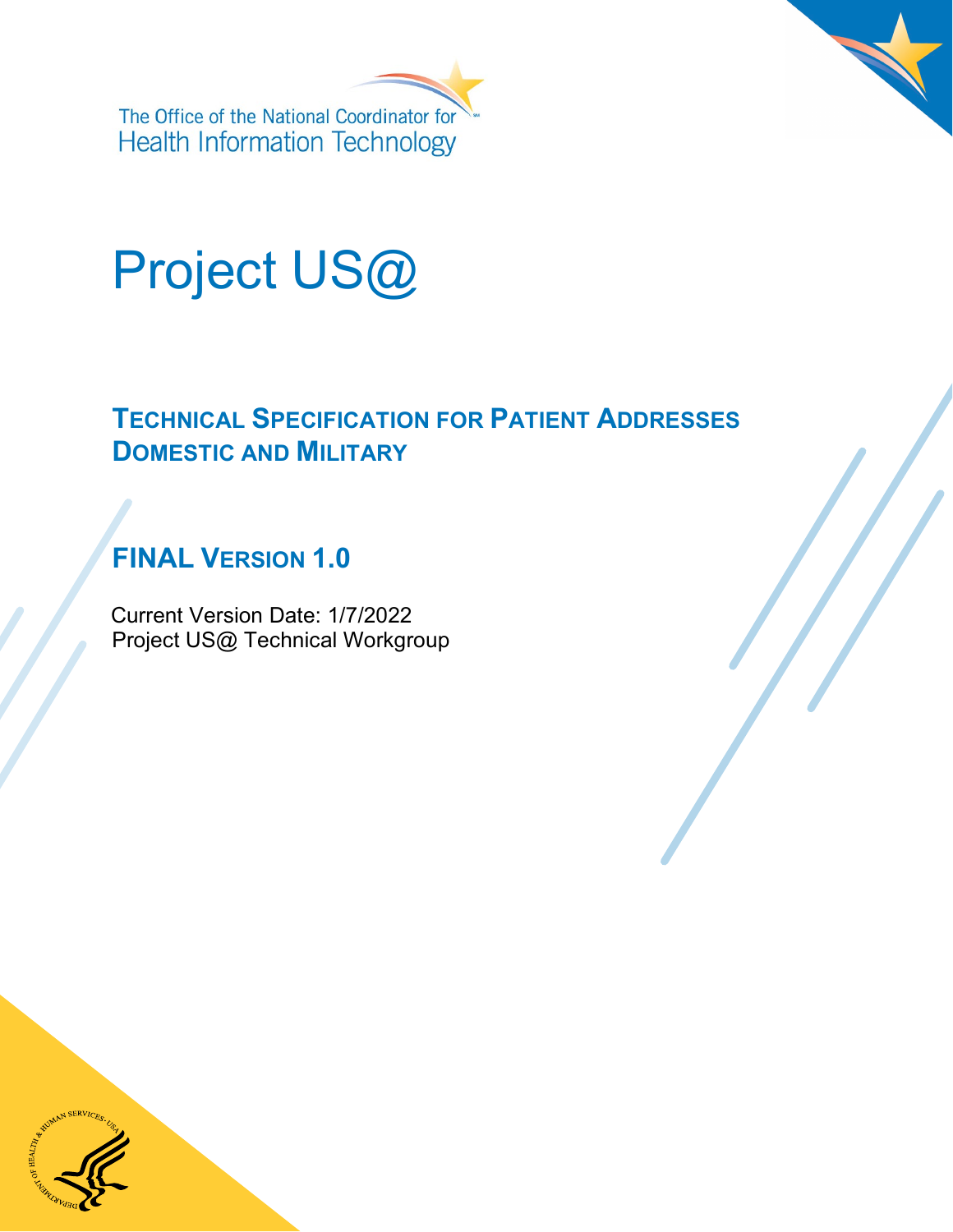



## **TECHNICAL SPECIFICATION FOR PATIENT ADDRESSES DOMESTIC AND MILITARY**

## **FINAL VERSION 1.0**

Current Version Date: 1/7/2022 Project US@ Technical Workgroup

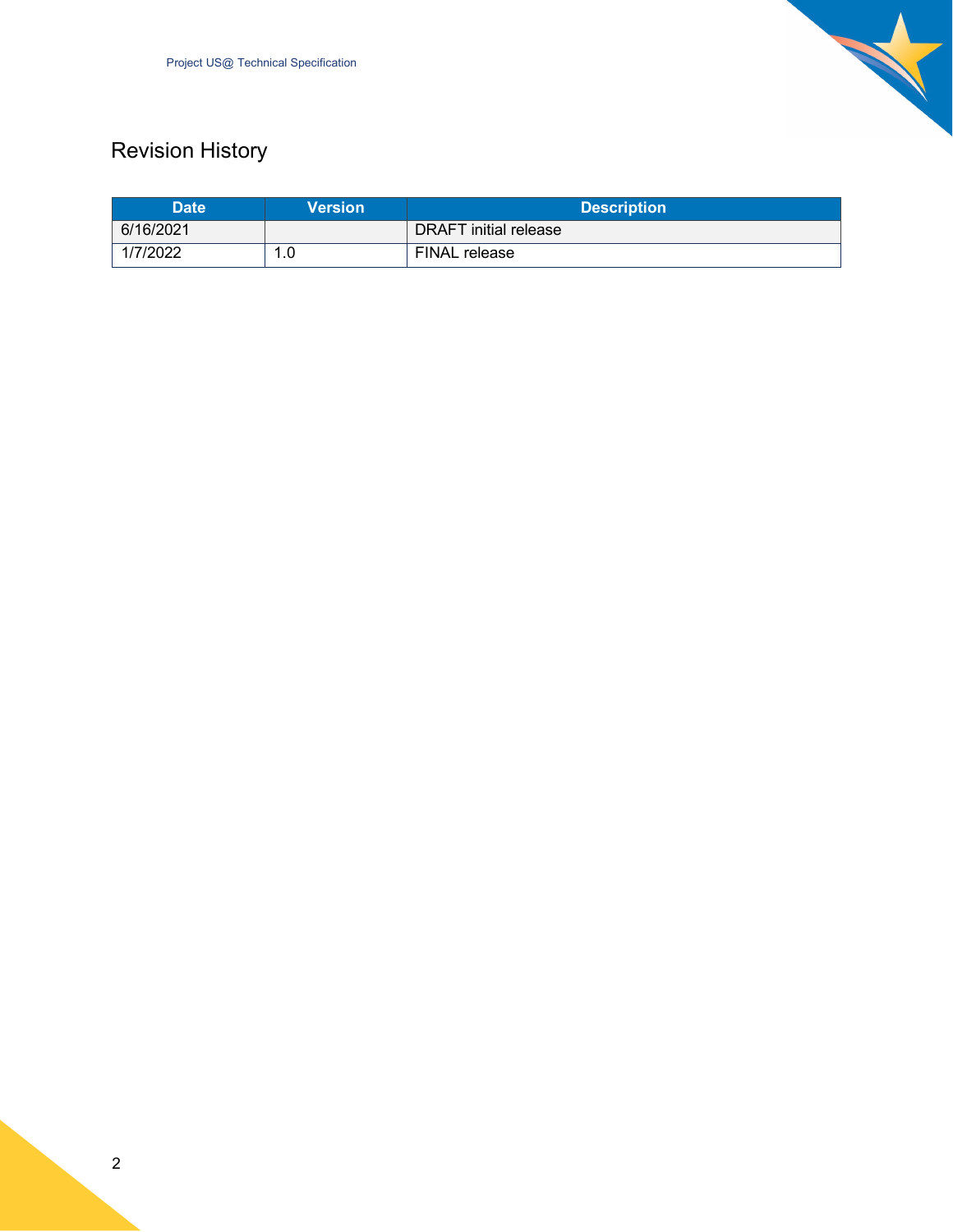

## Revision History

| <b>Date</b> | <b>Version</b> | <b>Description</b>           |  |
|-------------|----------------|------------------------------|--|
| 6/16/2021   |                | <b>DRAFT</b> initial release |  |
| 1/7/2022    | l.O<br>л       | FINAL release                |  |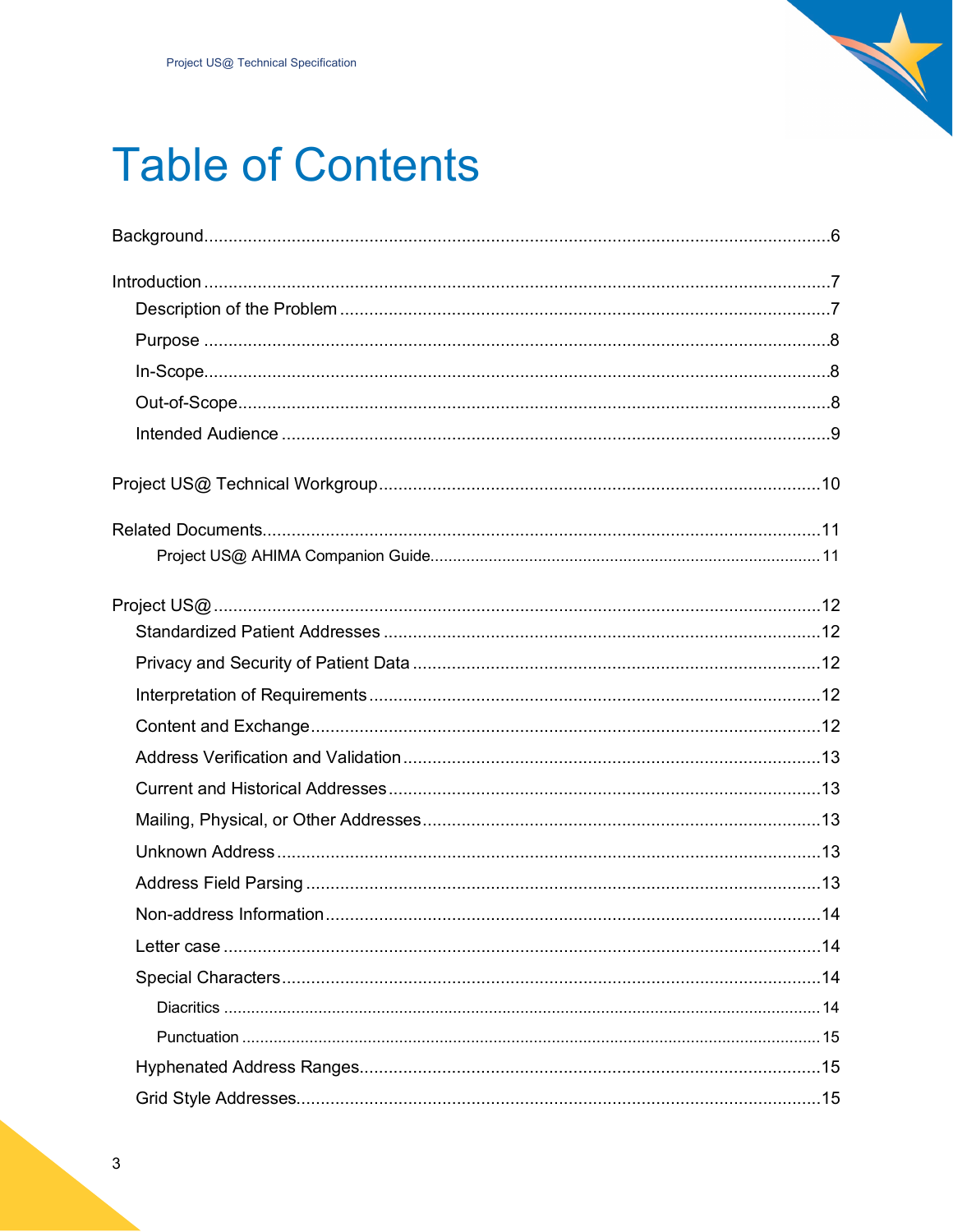

# **Table of Contents**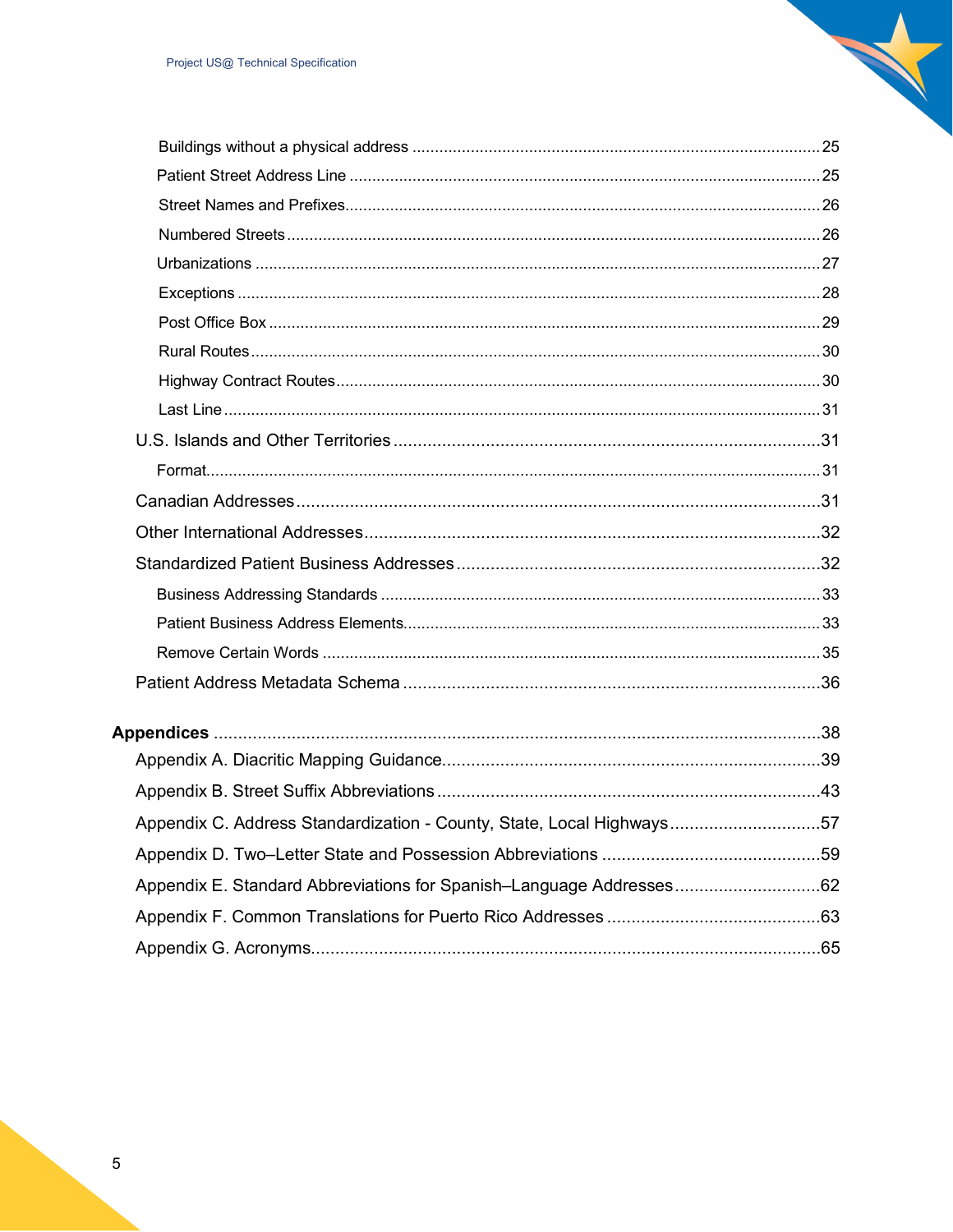| Appendix C. Address Standardization - County, State, Local Highways57 |  |
|-----------------------------------------------------------------------|--|
|                                                                       |  |
|                                                                       |  |
|                                                                       |  |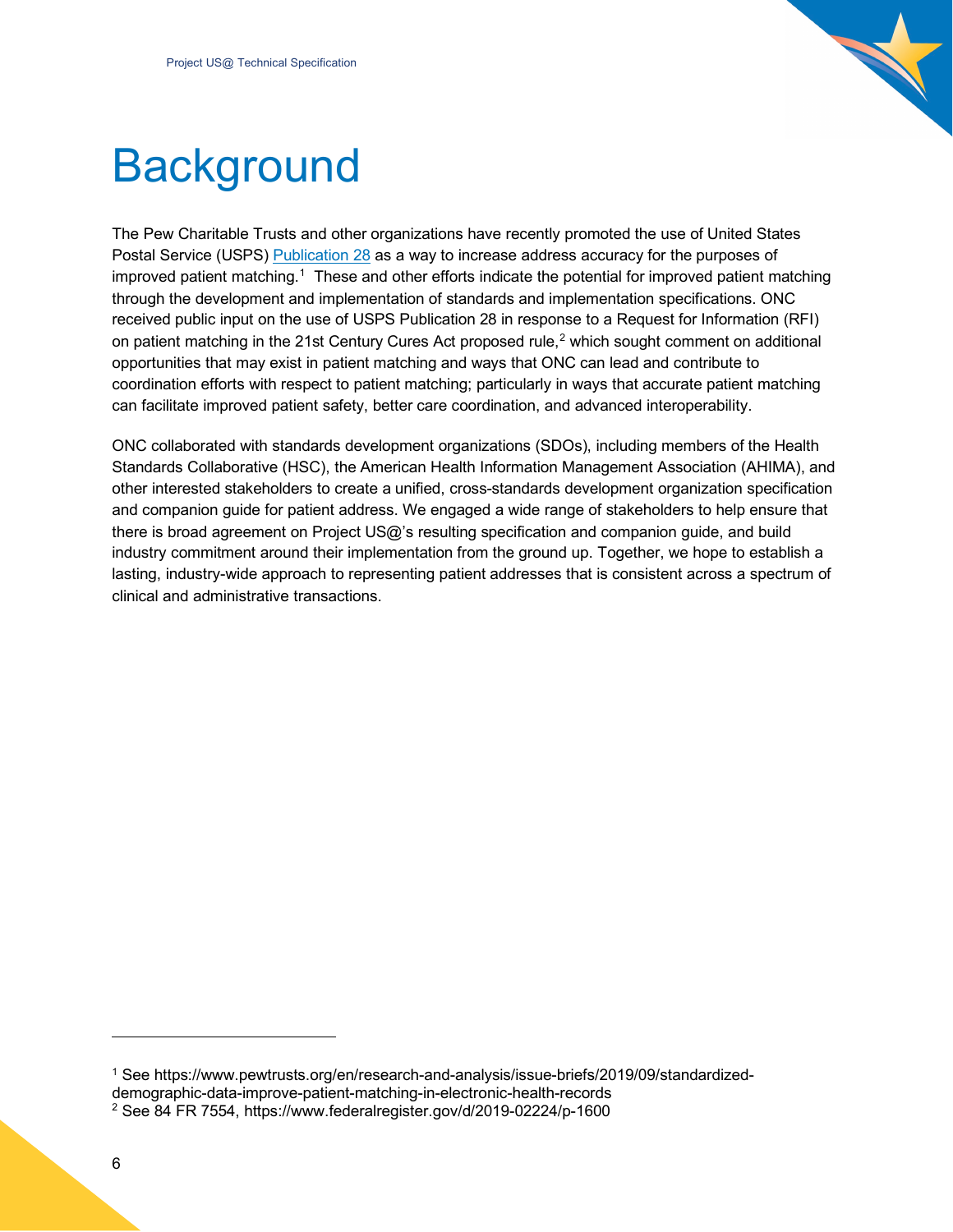

## <span id="page-5-0"></span>**Background**

The Pew Charitable Trusts and other organizations have recently promoted the use of United States Postal Service (USPS) [Publication 28](https://pe.usps.com/cpim/ftp/pubs/pub28/pub28.pdf) as a way to increase address accuracy for the purposes of improved patient matching.<sup>1</sup> These and other efforts indicate the potential for improved patient matching through the development and implementation of standards and implementation specifications. ONC received public input on the use of USPS Publication 28 in response to a Request for Information (RFI) on patient matching in the [2](#page-5-2)1st Century Cures Act proposed rule,<sup>2</sup> which sought comment on additional opportunities that may exist in patient matching and ways that ONC can lead and contribute to coordination efforts with respect to patient matching; particularly in ways that accurate patient matching can facilitate improved patient safety, better care coordination, and advanced interoperability.

ONC collaborated with standards development organizations (SDOs), including members of the Health Standards Collaborative (HSC), the American Health Information Management Association (AHIMA), and other interested stakeholders to create a unified, cross-standards development organization specification and companion guide for patient address. We engaged a wide range of stakeholders to help ensure that there is broad agreement on Project US@'s resulting specification and companion guide, and build industry commitment around their implementation from the ground up. Together, we hope to establish a lasting, industry-wide approach to representing patient addresses that is consistent across a spectrum of clinical and administrative transactions.

<span id="page-5-2"></span><span id="page-5-1"></span><sup>1</sup> See https://www.pewtrusts.org/en/research-and-analysis/issue-briefs/2019/09/standardizeddemographic-data-improve-patient-matching-in-electronic-health-records <sup>2</sup> See 84 FR 7554, https://www.federalregister.gov/d/2019-02224/p-1600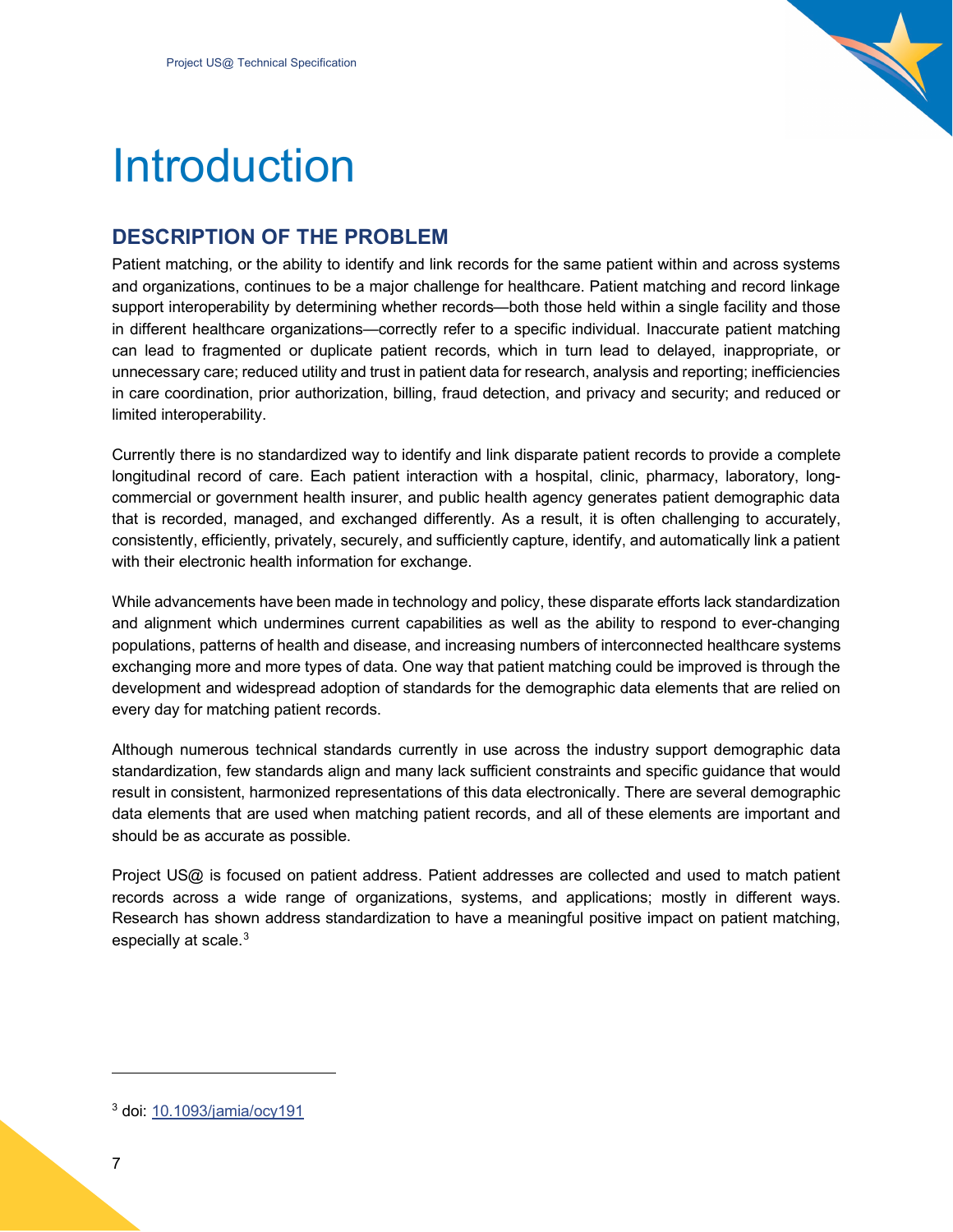

## <span id="page-6-0"></span>Introduction

## <span id="page-6-1"></span>**DESCRIPTION OF THE PROBLEM**

Patient matching, or the ability to identify and link records for the same patient within and across systems and organizations, continues to be a major challenge for healthcare. Patient matching and record linkage support interoperability by determining whether records—both those held within a single facility and those in different healthcare organizations—correctly refer to a specific individual. Inaccurate patient matching can lead to fragmented or duplicate patient records, which in turn lead to delayed, inappropriate, or unnecessary care; reduced utility and trust in patient data for research, analysis and reporting; inefficiencies in care coordination, prior authorization, billing, fraud detection, and privacy and security; and reduced or limited interoperability.

Currently there is no standardized way to identify and link disparate patient records to provide a complete longitudinal record of care. Each patient interaction with a hospital, clinic, pharmacy, laboratory, longcommercial or government health insurer, and public health agency generates patient demographic data that is recorded, managed, and exchanged differently. As a result, it is often challenging to accurately, consistently, efficiently, privately, securely, and sufficiently capture, identify, and automatically link a patient with their electronic health information for exchange.

While advancements have been made in technology and policy, these disparate efforts lack standardization and alignment which undermines current capabilities as well as the ability to respond to ever-changing populations, patterns of health and disease, and increasing numbers of interconnected healthcare systems exchanging more and more types of data. One way that patient matching could be improved is through the development and widespread adoption of standards for the demographic data elements that are relied on every day for matching patient records.

Although numerous technical standards currently in use across the industry support demographic data standardization, few standards align and many lack sufficient constraints and specific guidance that would result in consistent, harmonized representations of this data electronically. There are several demographic data elements that are used when matching patient records, and all of these elements are important and should be as accurate as possible.

Project US@ is focused on patient address. Patient addresses are collected and used to match patient records across a wide range of organizations, systems, and applications; mostly in different ways. Research has shown address standardization to have a meaningful positive impact on patient matching, especially at scale.<sup>[3](#page-6-2)</sup>

<span id="page-6-2"></span><sup>3</sup> doi: [10.1093/jamia/ocy191](https://dx.doi.org/10.1093%2Fjamia%2Focy191)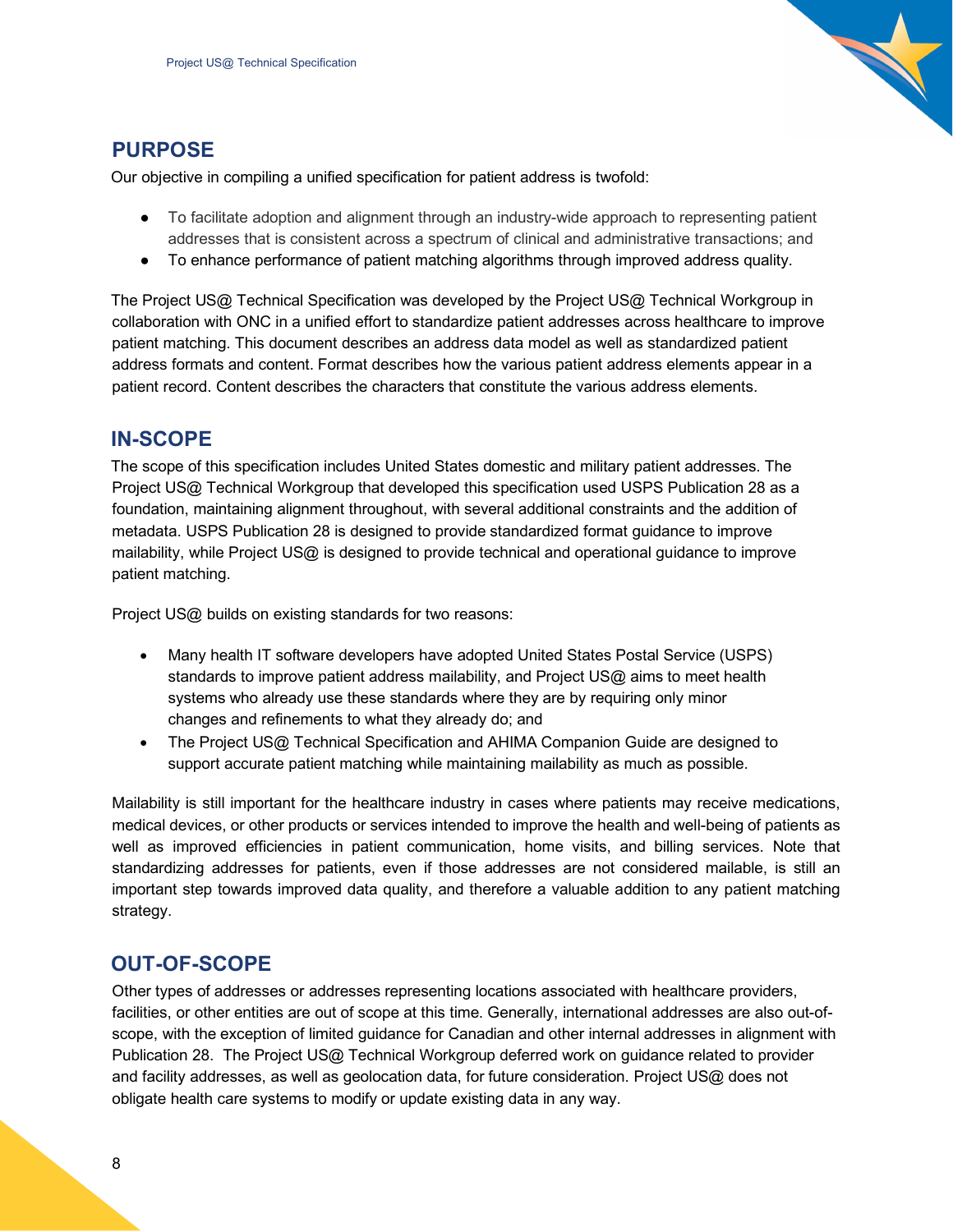

### <span id="page-7-0"></span>**PURPOSE**

Our objective in compiling a unified specification for patient address is twofold:

- To facilitate adoption and alignment through an industry-wide approach to representing patient addresses that is consistent across a spectrum of clinical and administrative transactions; and
- To enhance performance of patient matching algorithms through improved address quality.

The Project US@ Technical Specification was developed by the Project US@ Technical Workgroup in collaboration with ONC in a unified effort to standardize patient addresses across healthcare to improve patient matching. This document describes an address data model as well as standardized patient address formats and content. Format describes how the various patient address elements appear in a patient record. Content describes the characters that constitute the various address elements.

## <span id="page-7-1"></span>**IN-SCOPE**

The scope of this specification includes United States domestic and military patient addresses. The Project US@ Technical Workgroup that developed this specification used USPS Publication 28 as a foundation, maintaining alignment throughout, with several additional constraints and the addition of metadata. USPS Publication 28 is designed to provide standardized format guidance to improve mailability, while Project US@ is designed to provide technical and operational guidance to improve patient matching.

Project US@ builds on existing standards for two reasons:

- Many health IT software developers have adopted United States Postal Service (USPS) standards to improve patient address mailability, and Project US@ aims to meet health systems who already use these standards where they are by requiring only minor changes and refinements to what they already do; and
- The Project US@ Technical Specification and AHIMA Companion Guide are designed to support accurate patient matching while maintaining mailability as much as possible.

Mailability is still important for the healthcare industry in cases where patients may receive medications, medical devices, or other products or services intended to improve the health and well-being of patients as well as improved efficiencies in patient communication, home visits, and billing services. Note that standardizing addresses for patients, even if those addresses are not considered mailable, is still an important step towards improved data quality, and therefore a valuable addition to any patient matching strategy.

## <span id="page-7-2"></span>**OUT-OF-SCOPE**

Other types of addresses or addresses representing locations associated with healthcare providers, facilities, or other entities are out of scope at this time. Generally, international addresses are also out-ofscope, with the exception of limited guidance for Canadian and other internal addresses in alignment with Publication 28. The Project US@ Technical Workgroup deferred work on guidance related to provider and facility addresses, as well as geolocation data, for future consideration. Project US@ does not obligate health care systems to modify or update existing data in any way.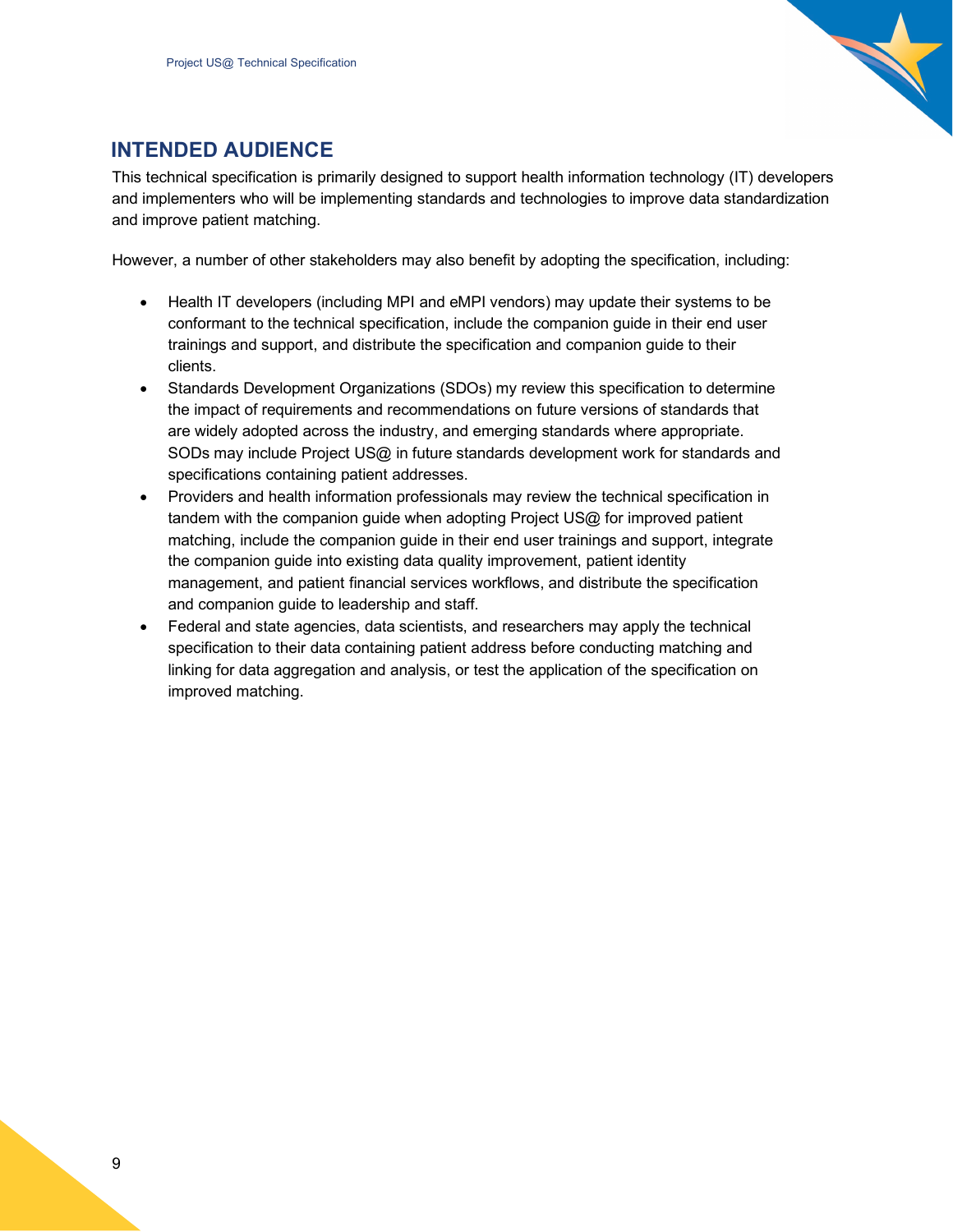

## <span id="page-8-0"></span>**INTENDED AUDIENCE**

This technical specification is primarily designed to support health information technology (IT) developers and implementers who will be implementing standards and technologies to improve data standardization and improve patient matching.

However, a number of other stakeholders may also benefit by adopting the specification, including:

- Health IT developers (including MPI and eMPI vendors) may update their systems to be conformant to the technical specification, include the companion guide in their end user trainings and support, and distribute the specification and companion guide to their clients.
- Standards Development Organizations (SDOs) my review this specification to determine the impact of requirements and recommendations on future versions of standards that are widely adopted across the industry, and emerging standards where appropriate. SODs may include Project US@ in future standards development work for standards and specifications containing patient addresses.
- Providers and health information professionals may review the technical specification in tandem with the companion guide when adopting Project US@ for improved patient matching, include the companion guide in their end user trainings and support, integrate the companion guide into existing data quality improvement, patient identity management, and patient financial services workflows, and distribute the specification and companion guide to leadership and staff.
- Federal and state agencies, data scientists, and researchers may apply the technical specification to their data containing patient address before conducting matching and linking for data aggregation and analysis, or test the application of the specification on improved matching.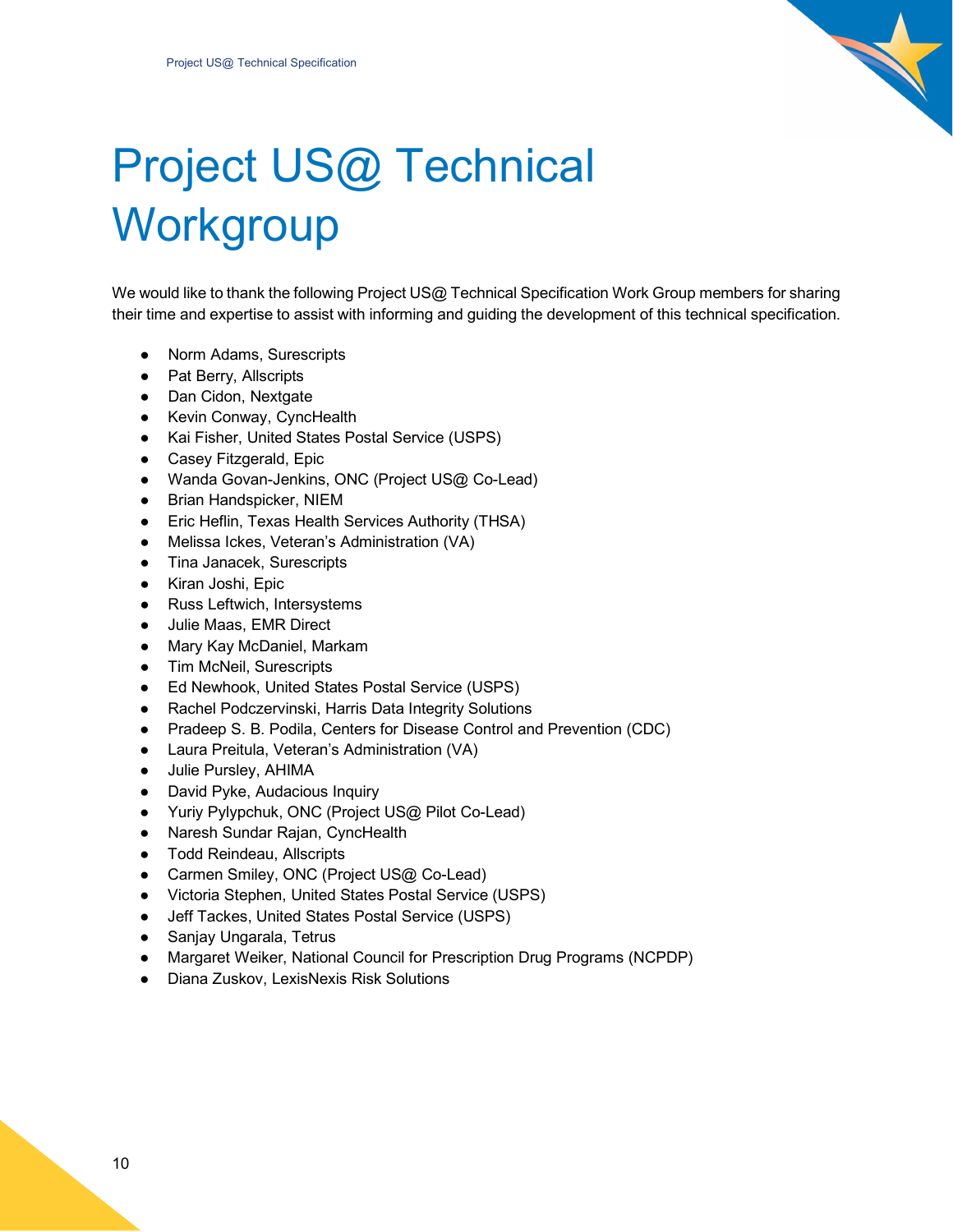

# <span id="page-9-0"></span>Project US@ Technical **Workgroup**

We would like to thank the following Project US@ Technical Specification Work Group members for sharing their time and expertise to assist with informing and guiding the development of this technical specification.

- Norm Adams, Surescripts
- Pat Berry, Allscripts
- Dan Cidon, Nextgate
- Kevin Conway, CyncHealth
- Kai Fisher, United States Postal Service (USPS)
- Casey Fitzgerald, Epic
- Wanda Govan-Jenkins, ONC (Project US@ Co-Lead)
- Brian Handspicker, NIEM
- Eric Heflin, Texas Health Services Authority (THSA)
- Melissa Ickes, Veteran's Administration (VA)
- Tina Janacek, Surescripts
- Kiran Joshi, Epic
- Russ Leftwich, Intersystems
- Julie Maas, EMR Direct
- Mary Kay McDaniel, Markam
- Tim McNeil, Surescripts
- Ed Newhook, United States Postal Service (USPS)
- Rachel Podczervinski, Harris Data Integrity Solutions
- Pradeep S. B. Podila, Centers for Disease Control and Prevention (CDC)
- Laura Preitula, Veteran's Administration (VA)
- Julie Pursley, AHIMA
- David Pyke, Audacious Inquiry
- Yuriy Pylypchuk, ONC (Project US@ Pilot Co-Lead)
- Naresh Sundar Rajan, CyncHealth
- Todd Reindeau, Allscripts
- Carmen Smiley, ONC (Project US@ Co-Lead)
- Victoria Stephen, United States Postal Service (USPS)
- Jeff Tackes, United States Postal Service (USPS)
- Sanjay Ungarala, Tetrus
- Margaret Weiker, National Council for Prescription Drug Programs (NCPDP)
- Diana Zuskov, LexisNexis Risk Solutions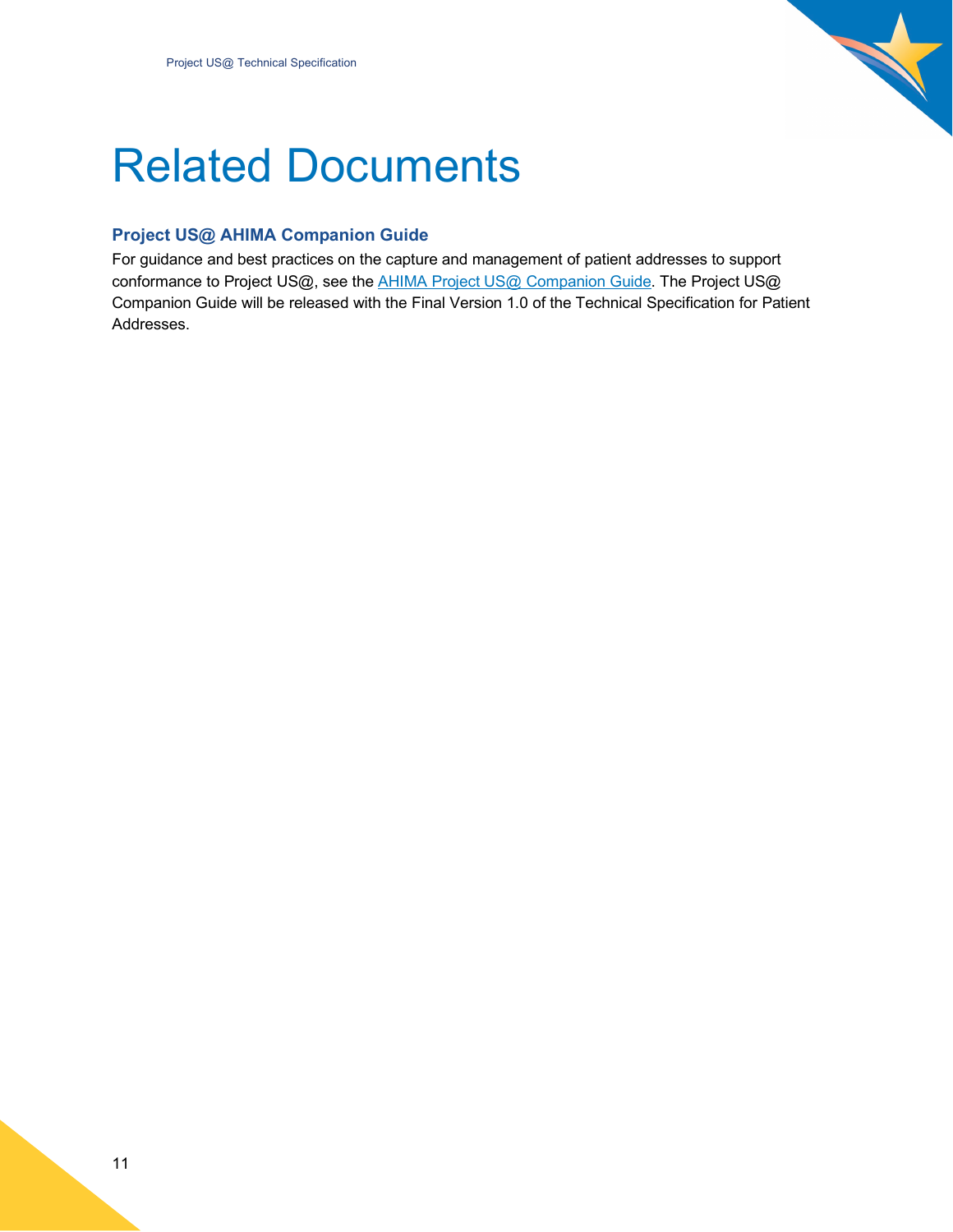

## <span id="page-10-0"></span>Related Documents

### <span id="page-10-1"></span>**Project US@ AHIMA Companion Guide**

For guidance and best practices on the capture and management of patient addresses to support conformance to Project US@, see the **AHIMA Project US@ Companion Guide**. The Project US@ Companion Guide will be released with the Final Version 1.0 of the Technical Specification for Patient Addresses.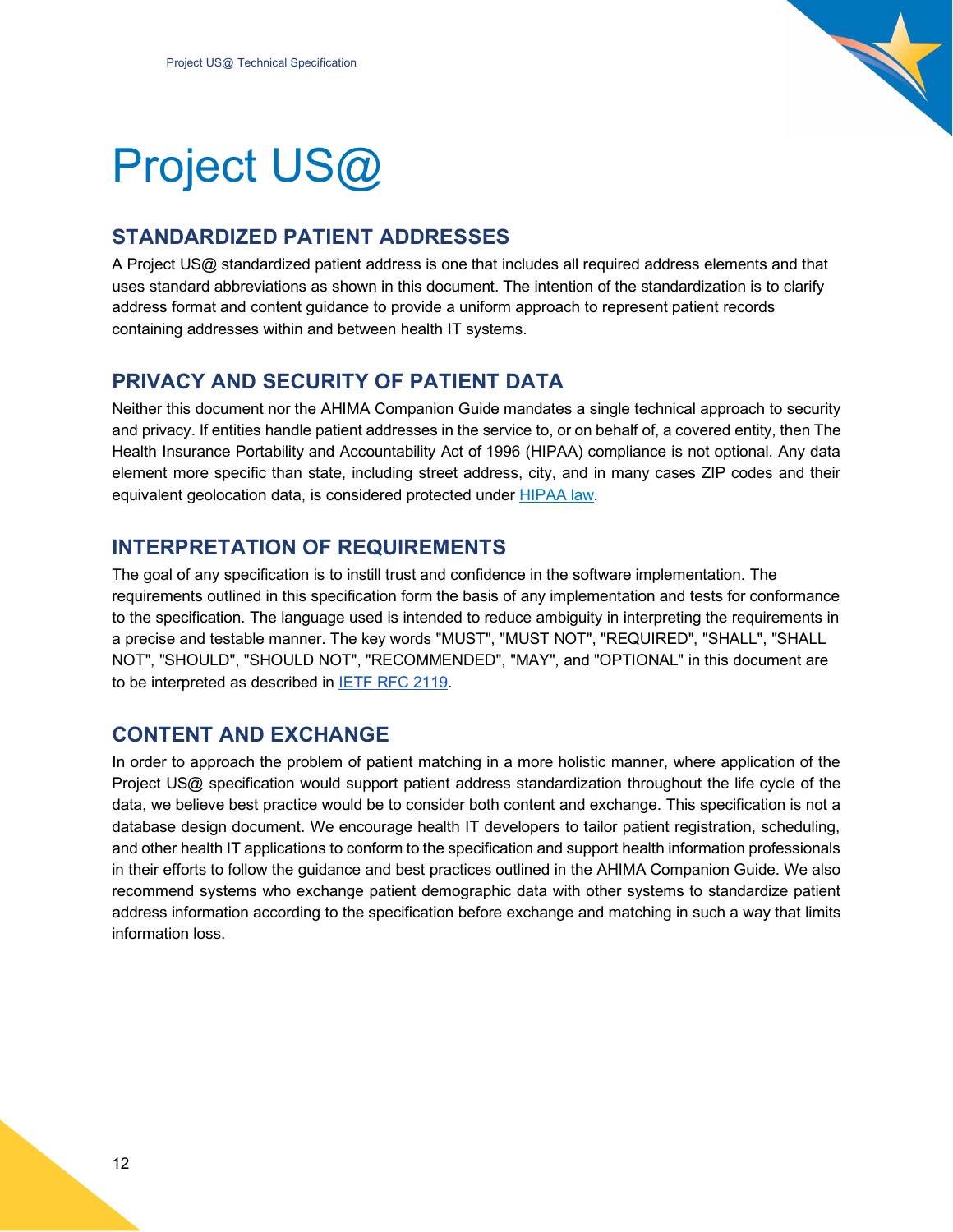

# <span id="page-11-0"></span>Project US@

## <span id="page-11-1"></span>**STANDARDIZED PATIENT ADDRESSES**

A Project US@ standardized patient address is one that includes all required address elements and that uses standard abbreviations as shown in this document. The intention of the standardization is to clarify address format and content guidance to provide a uniform approach to represent patient records containing addresses within and between health IT systems.

## <span id="page-11-2"></span>**PRIVACY AND SECURITY OF PATIENT DATA**

Neither this document nor the AHIMA Companion Guide mandates a single technical approach to security and privacy. If entities handle patient addresses in the service to, or on behalf of, a covered entity, then The Health Insurance Portability and Accountability Act of 1996 (HIPAA) compliance is not optional. Any data element more specific than state, including street address, city, and in many cases ZIP codes and their equivalent geolocation data, is considered protected under [HIPAA law.](https://www.hhs.gov/hipaa/for-professionals/privacy/laws-regulations/index.html)

## <span id="page-11-3"></span>**INTERPRETATION OF REQUIREMENTS**

The goal of any specification is to instill trust and confidence in the software implementation. The requirements outlined in this specification form the basis of any implementation and tests for conformance to the specification. The language used is intended to reduce ambiguity in interpreting the requirements in a precise and testable manner. The key words "MUST", "MUST NOT", "REQUIRED", "SHALL", "SHALL NOT", "SHOULD", "SHOULD NOT", "RECOMMENDED", "MAY", and "OPTIONAL" in this document are to be interpreted as described in [IETF RFC 2119.](https://tools.ietf.org/html/rfc2119)

## <span id="page-11-4"></span>**CONTENT AND EXCHANGE**

In order to approach the problem of patient matching in a more holistic manner, where application of the Project US@ specification would support patient address standardization throughout the life cycle of the data, we believe best practice would be to consider both content and exchange. This specification is not a database design document. We encourage health IT developers to tailor patient registration, scheduling, and other health IT applications to conform to the specification and support health information professionals in their efforts to follow the guidance and best practices outlined in the AHIMA Companion Guide. We also recommend systems who exchange patient demographic data with other systems to standardize patient address information according to the specification before exchange and matching in such a way that limits information loss.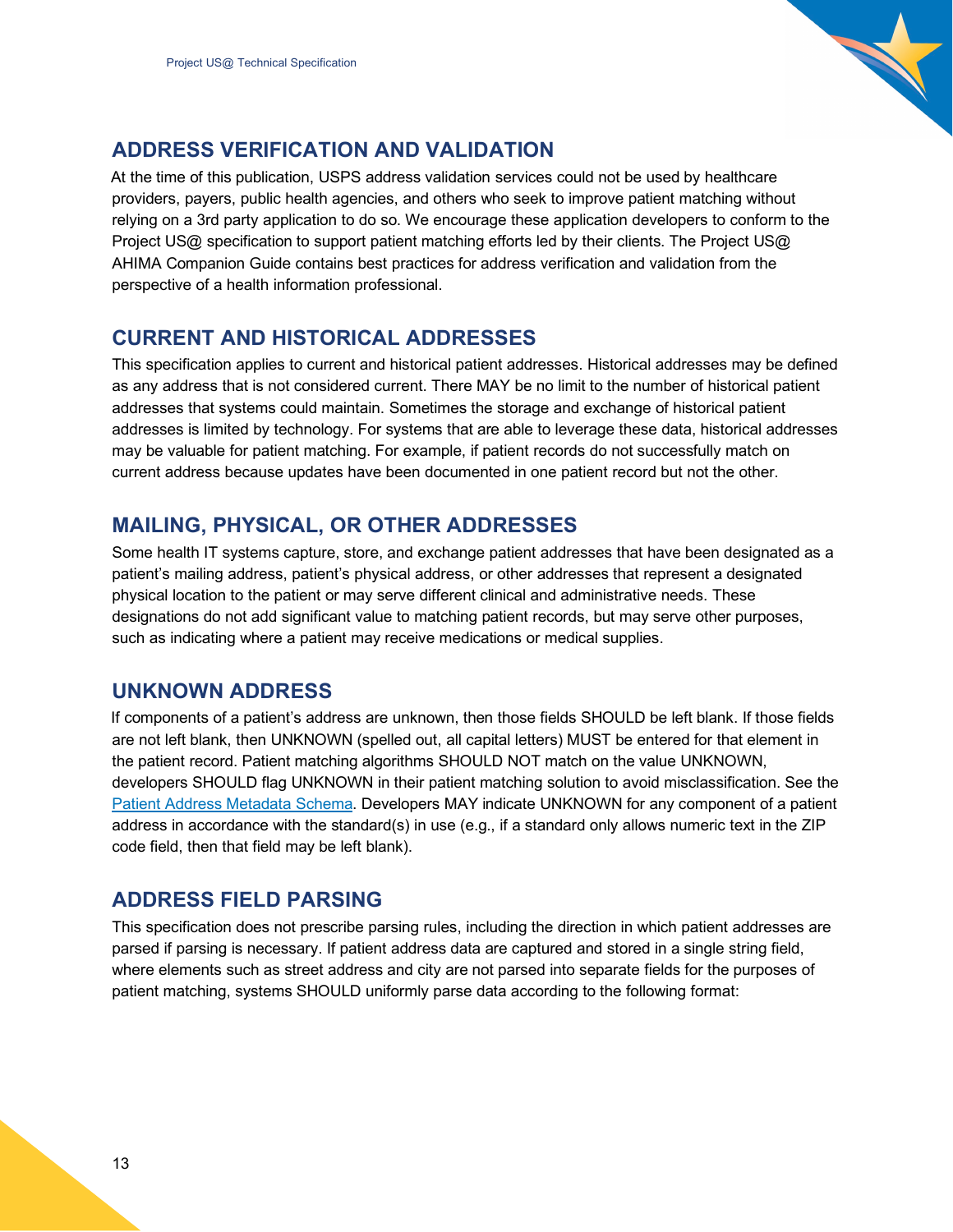

## <span id="page-12-0"></span>**ADDRESS VERIFICATION AND VALIDATION**

At the time of this publication, USPS address validation services could not be used by healthcare providers, payers, public health agencies, and others who seek to improve patient matching without relying on a 3rd party application to do so. We encourage these application developers to conform to the Project US@ specification to support patient matching efforts led by their clients. The Project US@ AHIMA Companion Guide contains best practices for address verification and validation from the perspective of a health information professional.

## <span id="page-12-1"></span>**CURRENT AND HISTORICAL ADDRESSES**

This specification applies to current and historical patient addresses. Historical addresses may be defined as any address that is not considered current. There MAY be no limit to the number of historical patient addresses that systems could maintain. Sometimes the storage and exchange of historical patient addresses is limited by technology. For systems that are able to leverage these data, historical addresses may be valuable for patient matching. For example, if patient records do not successfully match on current address because updates have been documented in one patient record but not the other.

## <span id="page-12-2"></span>**MAILING, PHYSICAL, OR OTHER ADDRESSES**

Some health IT systems capture, store, and exchange patient addresses that have been designated as a patient's mailing address, patient's physical address, or other addresses that represent a designated physical location to the patient or may serve different clinical and administrative needs. These designations do not add significant value to matching patient records, but may serve other purposes, such as indicating where a patient may receive medications or medical supplies.

## <span id="page-12-3"></span>**UNKNOWN ADDRESS**

If components of a patient's address are unknown, then those fields SHOULD be left blank. If those fields are not left blank, then UNKNOWN (spelled out, all capital letters) MUST be entered for that element in the patient record. Patient matching algorithms SHOULD NOT match on the value UNKNOWN, developers SHOULD flag UNKNOWN in their patient matching solution to avoid misclassification. See the [Patient Address Metadata Schema.](#page-34-1) Developers MAY indicate UNKNOWN for any component of a patient address in accordance with the standard(s) in use (e.g., if a standard only allows numeric text in the ZIP code field, then that field may be left blank).

## <span id="page-12-4"></span>**ADDRESS FIELD PARSING**

This specification does not prescribe parsing rules, including the direction in which patient addresses are parsed if parsing is necessary. If patient address data are captured and stored in a single string field, where elements such as street address and city are not parsed into separate fields for the purposes of patient matching, systems SHOULD uniformly parse data according to the following format: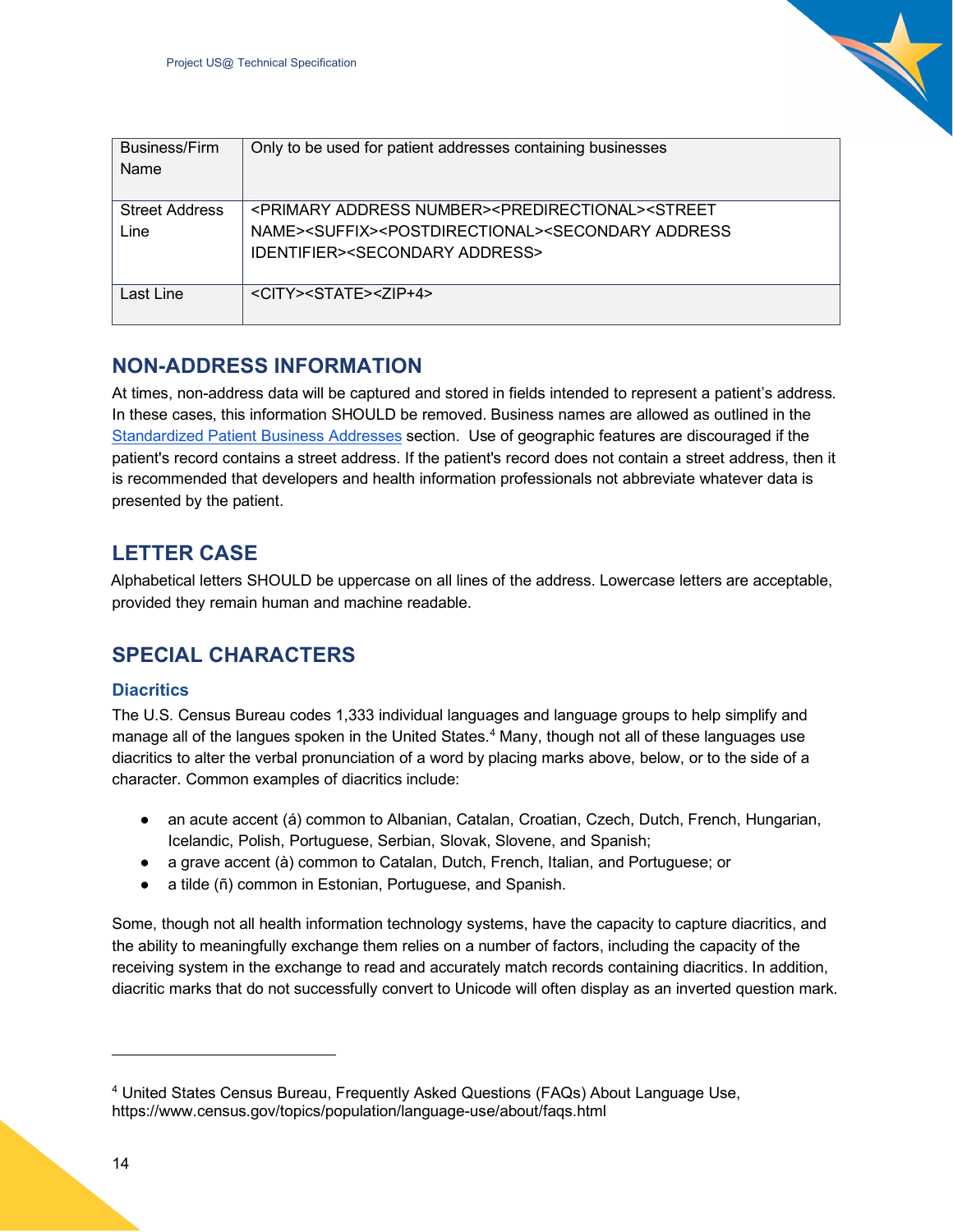| Business/Firm<br>Name         | Only to be used for patient addresses containing businesses                                                                                                                                                                                              |
|-------------------------------|----------------------------------------------------------------------------------------------------------------------------------------------------------------------------------------------------------------------------------------------------------|
| <b>Street Address</b><br>Line | <primary address="" number=""><predirectional><street<br>NAME&gt;<suffix><postdirectional><secondary address<br=""><b>IDENTIFIER&gt;<secondary address=""></secondary></b></secondary></postdirectional></suffix></street<br></predirectional></primary> |
| Last Line                     | <city><state><zip+4></zip+4></state></city>                                                                                                                                                                                                              |

## <span id="page-13-0"></span>**NON-ADDRESS INFORMATION**

At times, non-address data will be captured and stored in fields intended to represent a patient's address. In these cases, this information SHOULD be removed. Business names are allowed as outlined in the Standardized Patient Business Addresses section. Use of geographic features are discouraged if the patient's record contains a street address. If the patient's record does not contain a street address, then it is recommended that developers and health information professionals not abbreviate whatever data is presented by the patient.

## <span id="page-13-1"></span>**LETTER CASE**

Alphabetical letters SHOULD be uppercase on all lines of the address. Lowercase letters are acceptable, provided they remain human and machine readable.

## <span id="page-13-2"></span>**SPECIAL CHARACTERS**

#### <span id="page-13-3"></span>**Diacritics**

The U.S. Census Bureau codes 1,333 individual languages and language groups to help simplify and manage all of the langues spoken in the United States.<sup>[4](#page-13-4)</sup> Many, though not all of these languages use diacritics to alter the verbal pronunciation of a word by placing marks above, below, or to the side of a character. Common examples of diacritics include:

- an acute accent (á) common to Albanian, Catalan, Croatian, Czech, Dutch, French, Hungarian, Icelandic, Polish, Portuguese, Serbian, Slovak, Slovene, and Spanish;
- a grave accent (à) common to Catalan, Dutch, French, Italian, and Portuguese; or
- a tilde (ñ) common in Estonian, Portuguese, and Spanish.

Some, though not all health information technology systems, have the capacity to capture diacritics, and the ability to meaningfully exchange them relies on a number of factors, including the capacity of the receiving system in the exchange to read and accurately match records containing diacritics. In addition, diacritic marks that do not successfully convert to Unicode will often display as an inverted question mark.

<span id="page-13-4"></span><sup>4</sup> United States Census Bureau, Frequently Asked Questions (FAQs) About Language Use, https://www.census.gov/topics/population/language-use/about/faqs.html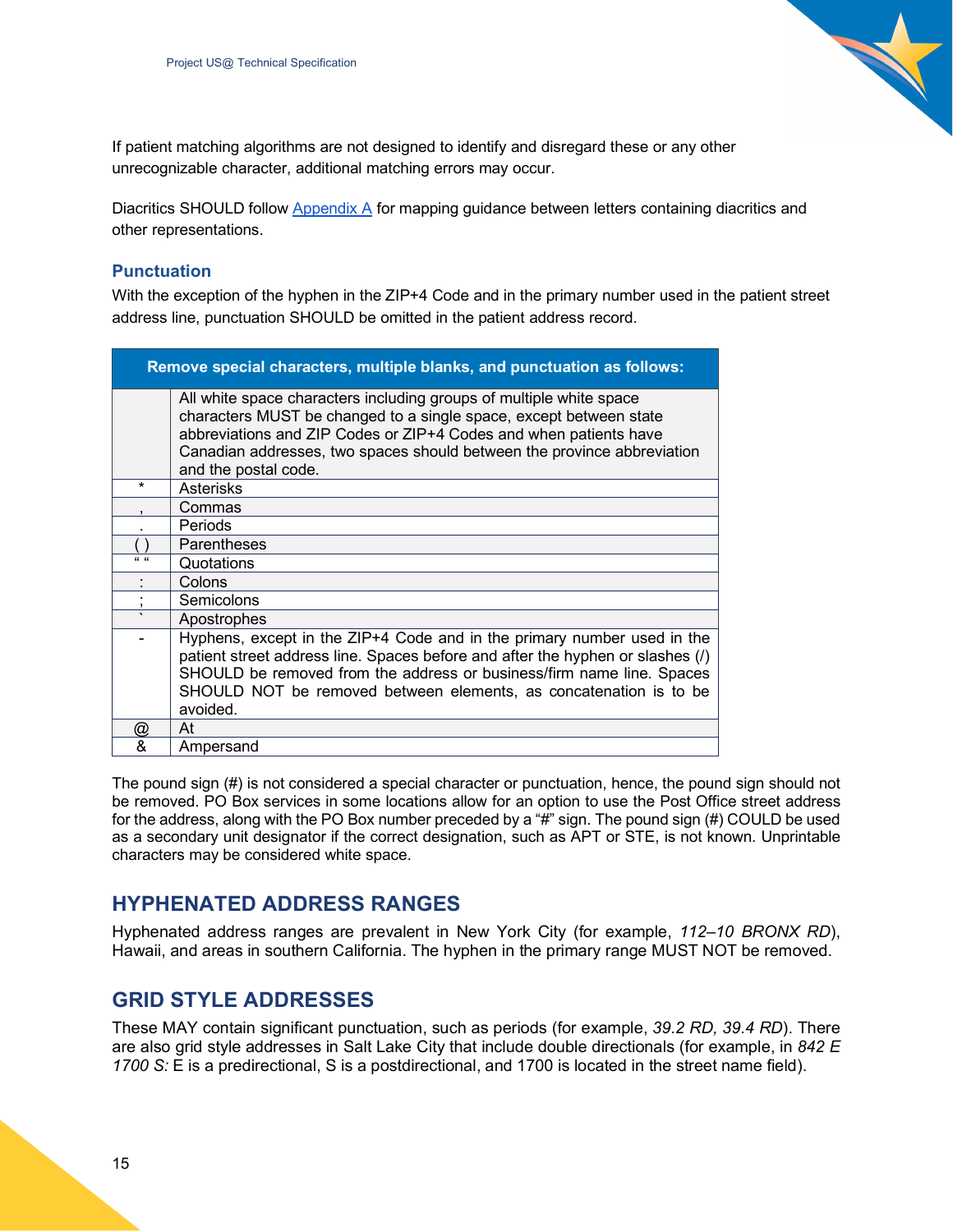

If patient matching algorithms are not designed to identify and disregard these or any other unrecognizable character, additional matching errors may occur.

Diacritics SHOULD follow Appendix A for mapping guidance between letters containing diacritics and other representations.

#### <span id="page-14-0"></span>**Punctuation**

With the exception of the hyphen in the ZIP+4 Code and in the primary number used in the patient street address line, punctuation SHOULD be omitted in the patient address record.

|                      | Remove special characters, multiple blanks, and punctuation as follows:                                                                                                                                                                                                                                             |
|----------------------|---------------------------------------------------------------------------------------------------------------------------------------------------------------------------------------------------------------------------------------------------------------------------------------------------------------------|
|                      | All white space characters including groups of multiple white space<br>characters MUST be changed to a single space, except between state<br>abbreviations and ZIP Codes or ZIP+4 Codes and when patients have<br>Canadian addresses, two spaces should between the province abbreviation<br>and the postal code.   |
| $\star$              | Asterisks                                                                                                                                                                                                                                                                                                           |
|                      | Commas                                                                                                                                                                                                                                                                                                              |
|                      | <b>Periods</b>                                                                                                                                                                                                                                                                                                      |
|                      | <b>Parentheses</b>                                                                                                                                                                                                                                                                                                  |
| $\alpha$ $\alpha$    | Quotations                                                                                                                                                                                                                                                                                                          |
|                      | Colons                                                                                                                                                                                                                                                                                                              |
|                      | Semicolons                                                                                                                                                                                                                                                                                                          |
| $\cdot$              | Apostrophes                                                                                                                                                                                                                                                                                                         |
|                      | Hyphens, except in the ZIP+4 Code and in the primary number used in the<br>patient street address line. Spaces before and after the hyphen or slashes (/)<br>SHOULD be removed from the address or business/firm name line. Spaces<br>SHOULD NOT be removed between elements, as concatenation is to be<br>avoided. |
| $^{\textregistered}$ | At                                                                                                                                                                                                                                                                                                                  |
| &                    | Ampersand                                                                                                                                                                                                                                                                                                           |

The pound sign (#) is not considered a special character or punctuation, hence, the pound sign should not be removed. PO Box services in some locations allow for an option to use the Post Office street address for the address, along with the PO Box number preceded by a "#" sign. The pound sign (#) COULD be used as a secondary unit designator if the correct designation, such as APT or STE, is not known. Unprintable characters may be considered white space.

## <span id="page-14-1"></span>**HYPHENATED ADDRESS RANGES**

Hyphenated address ranges are prevalent in New York City (for example, *112–10 BRONX RD*), Hawaii, and areas in southern California. The hyphen in the primary range MUST NOT be removed.

## <span id="page-14-2"></span>**GRID STYLE ADDRESSES**

These MAY contain significant punctuation, such as periods (for example, *39.2 RD, 39.4 RD*). There are also grid style addresses in Salt Lake City that include double directionals (for example, in *842 E 1700 S:* E is a predirectional, S is a postdirectional, and 1700 is located in the street name field).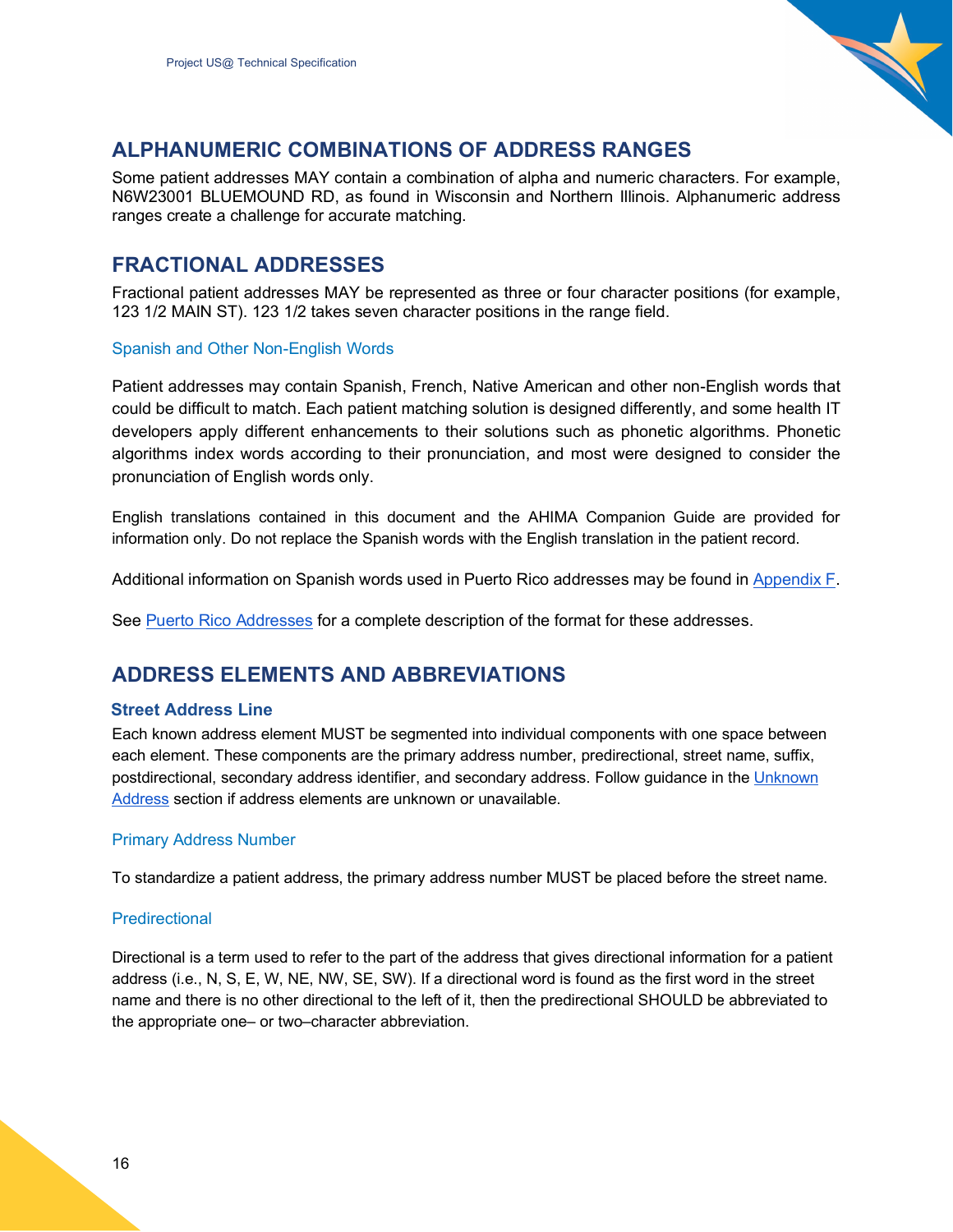

## <span id="page-15-0"></span>**ALPHANUMERIC COMBINATIONS OF ADDRESS RANGES**

Some patient addresses MAY contain a combination of alpha and numeric characters. For example, N6W23001 BLUEMOUND RD, as found in Wisconsin and Northern Illinois. Alphanumeric address ranges create a challenge for accurate matching.

## <span id="page-15-1"></span>**FRACTIONAL ADDRESSES**

Fractional patient addresses MAY be represented as three or four character positions (for example, 123 1/2 MAIN ST). 123 1/2 takes seven character positions in the range field.

#### <span id="page-15-2"></span>Spanish and Other Non-English Words

Patient addresses may contain Spanish, French, Native American and other non-English words that could be difficult to match. Each patient matching solution is designed differently, and some health IT developers apply different enhancements to their solutions such as phonetic algorithms. Phonetic algorithms index words according to their pronunciation, and most were designed to consider the pronunciation of English words only.

English translations contained in this document and the AHIMA Companion Guide are provided for information only. Do not replace the Spanish words with the English translation in the patient record.

Additional information on Spanish words used in Puerto Rico addresses may be found in Appendix F.

See Puerto Rico Addresses for a complete description of the format for these addresses.

## <span id="page-15-3"></span>**ADDRESS ELEMENTS AND ABBREVIATIONS**

#### <span id="page-15-4"></span>**Street Address Line**

Each known address element MUST be segmented into individual components with one space between each element. These components are the primary address number, predirectional, street name, suffix, postdirectional, secondary address identifier, and secondary address. Follow guidance in the Unknown Address section if address elements are unknown or unavailable.

#### <span id="page-15-5"></span>Primary Address Number

To standardize a patient address, the primary address number MUST be placed before the street name.

#### <span id="page-15-6"></span>**Predirectional**

Directional is a term used to refer to the part of the address that gives directional information for a patient address (i.e., N, S, E, W, NE, NW, SE, SW). If a directional word is found as the first word in the street name and there is no other directional to the left of it, then the predirectional SHOULD be abbreviated to the appropriate one– or two–character abbreviation.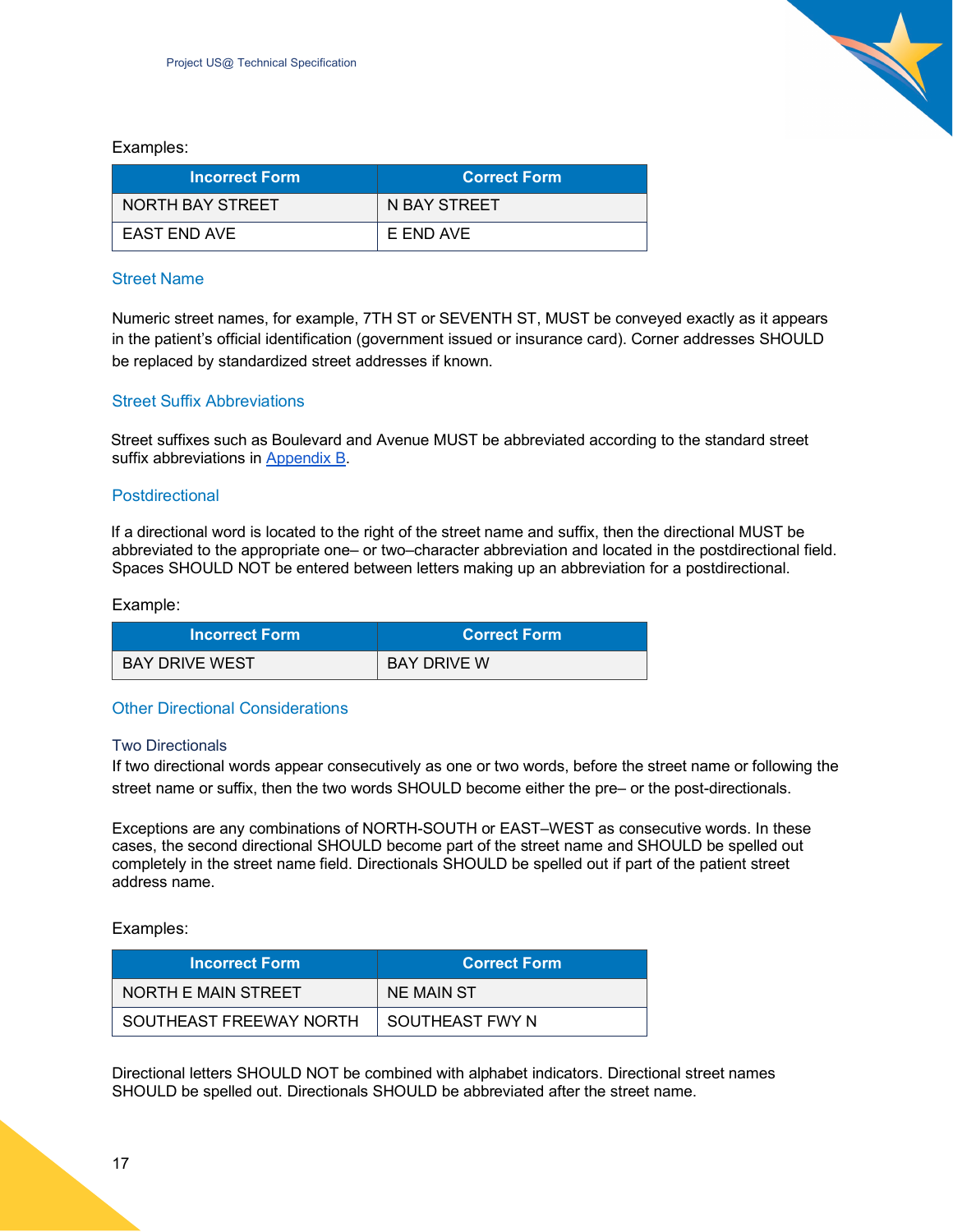Examples:

| <b>Incorrect Form</b> | <b>Correct Form</b> |  |
|-----------------------|---------------------|--|
| NORTH BAY STREET      | N BAY STREET        |  |
| <b>EAST END AVE</b>   | E END AVE           |  |

#### <span id="page-16-0"></span>Street Name

Numeric street names, for example, 7TH ST or SEVENTH ST, MUST be conveyed exactly as it appears in the patient's official identification (government issued or insurance card). Corner addresses SHOULD be replaced by standardized street addresses if known.

#### <span id="page-16-1"></span>Street Suffix Abbreviations

Street suffixes such as Boulevard and Avenue MUST be abbreviated according to the standard street suffix abbreviations in [Appendix B.](#page-41-0)

#### <span id="page-16-2"></span>Postdirectional

If a directional word is located to the right of the street name and suffix, then the directional MUST be abbreviated to the appropriate one– or two–character abbreviation and located in the postdirectional field. Spaces SHOULD NOT be entered between letters making up an abbreviation for a postdirectional.

Example:

| <b>Incorrect Form</b> | ⊾Correct Form \    |
|-----------------------|--------------------|
| BAY DRIVE WEST        | <b>BAY DRIVE W</b> |

#### <span id="page-16-3"></span>Other Directional Considerations

#### <span id="page-16-4"></span>Two Directionals

If two directional words appear consecutively as one or two words, before the street name or following the street name or suffix, then the two words SHOULD become either the pre– or the post-directionals.

Exceptions are any combinations of NORTH-SOUTH or EAST–WEST as consecutive words. In these cases, the second directional SHOULD become part of the street name and SHOULD be spelled out completely in the street name field. Directionals SHOULD be spelled out if part of the patient street address name.

Examples:

| <b>Incorrect Form</b>   | <b>Correct Form</b> |  |
|-------------------------|---------------------|--|
| NORTH E MAIN STREET     | NE MAIN ST          |  |
| SOUTHEAST FREEWAY NORTH | SOUTHEAST FWY N     |  |

Directional letters SHOULD NOT be combined with alphabet indicators. Directional street names SHOULD be spelled out. Directionals SHOULD be abbreviated after the street name.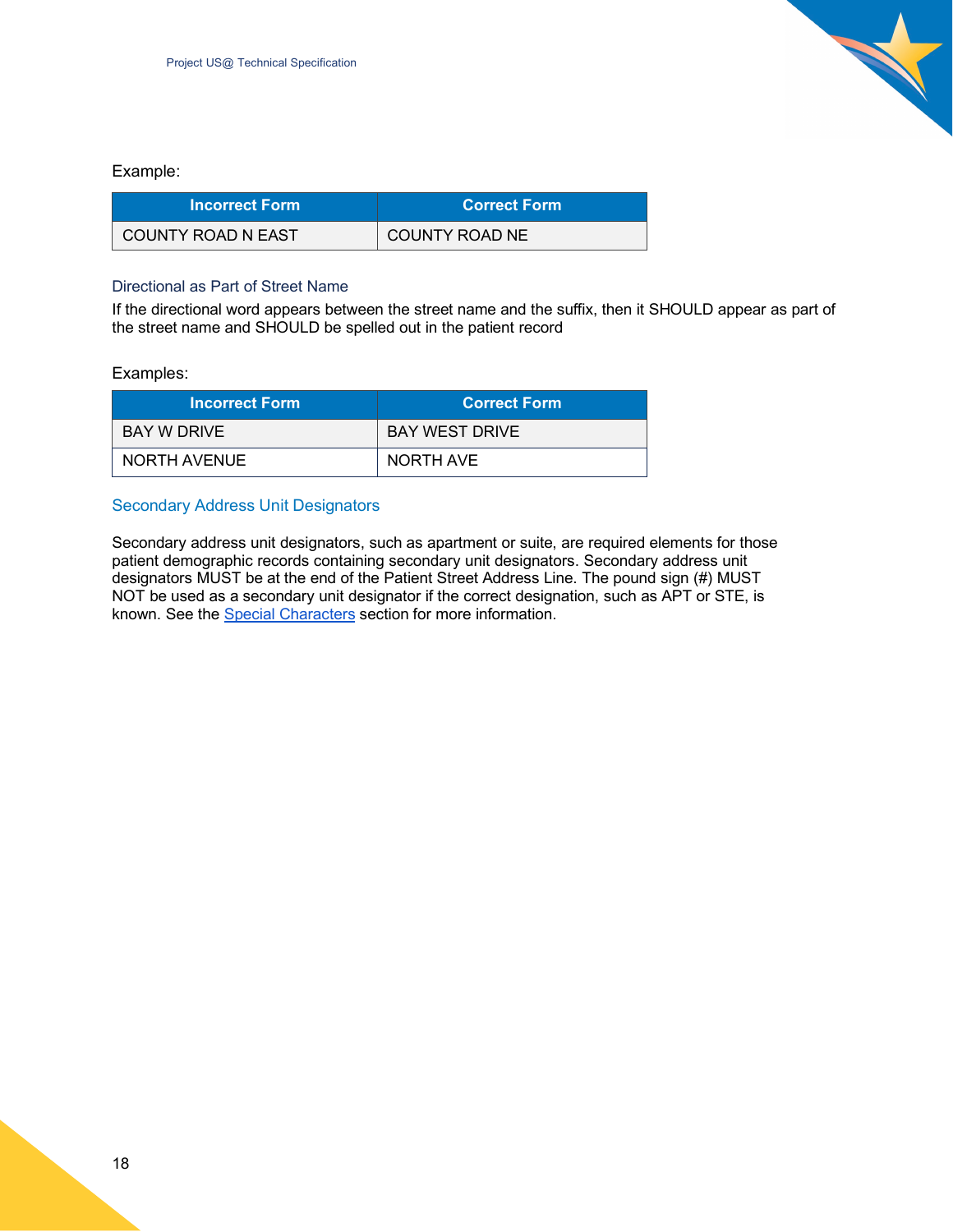#### Example:

| <b>Incorrect Form</b> | Correct Form   |
|-----------------------|----------------|
| COUNTY ROAD N EAST    | COUNTY ROAD NE |

#### <span id="page-17-0"></span>Directional as Part of Street Name

If the directional word appears between the street name and the suffix, then it SHOULD appear as part of the street name and SHOULD be spelled out in the patient record

#### Examples:

| <b>Incorrect Form</b> | <b>Correct Form</b>   |  |
|-----------------------|-----------------------|--|
| BAY W DRIVE           | <b>BAY WEST DRIVE</b> |  |
| NORTH AVENUE          | NORTH AVE             |  |

#### <span id="page-17-1"></span>Secondary Address Unit Designators

Secondary address unit designators, such as apartment or suite, are required elements for those patient demographic records containing secondary unit designators. Secondary address unit designators MUST be at the end of the Patient Street Address Line. The pound sign (#) MUST NOT be used as a secondary unit designator if the correct designation, such as APT or STE, is known. See the Special Characters section for more information.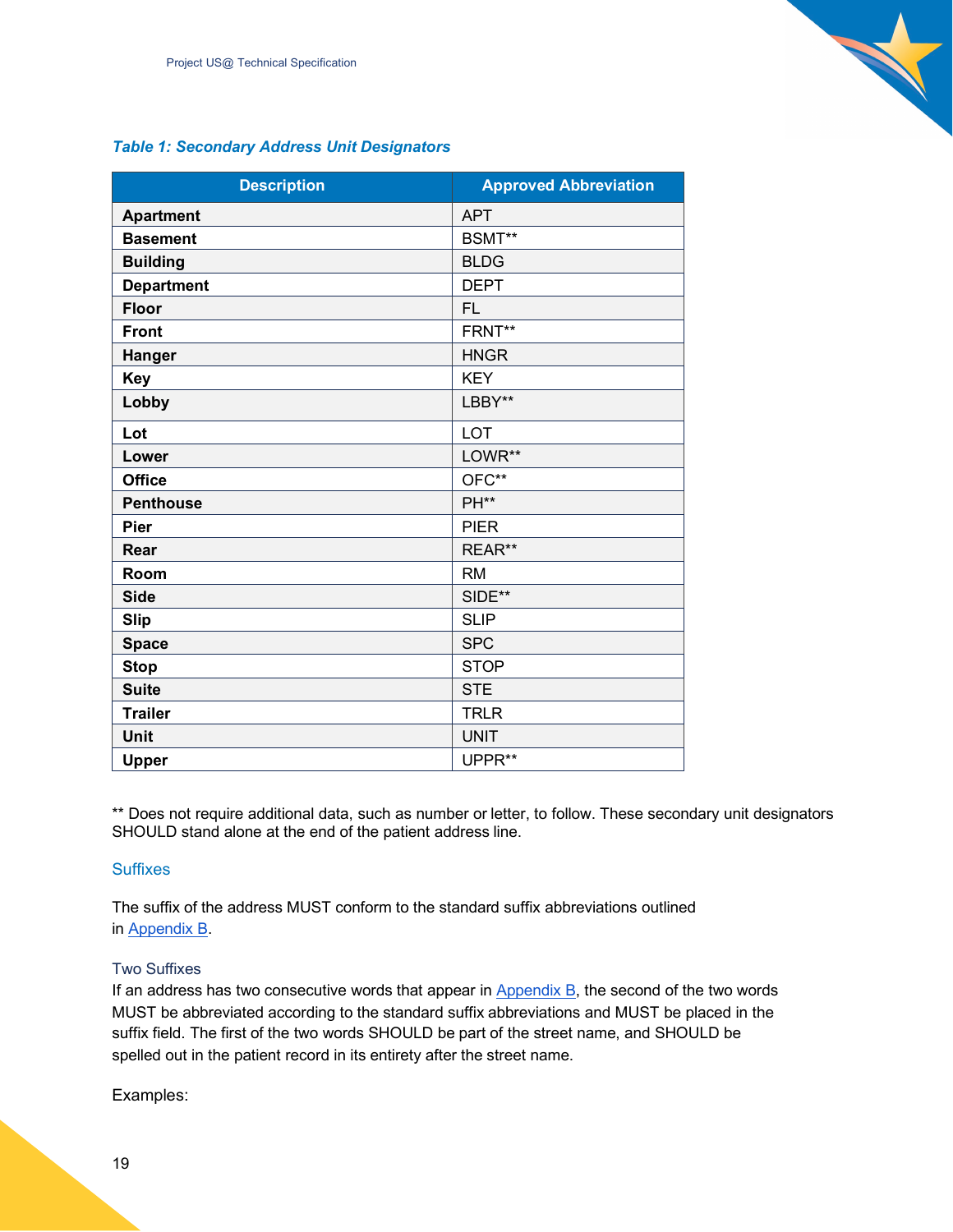#### *Table 1: Secondary Address Unit Designators*

| <b>Description</b> | <b>Approved Abbreviation</b> |
|--------------------|------------------------------|
| <b>Apartment</b>   | <b>APT</b>                   |
| <b>Basement</b>    | BSMT**                       |
| <b>Building</b>    | <b>BLDG</b>                  |
| <b>Department</b>  | <b>DEPT</b>                  |
| <b>Floor</b>       | <b>FL</b>                    |
| <b>Front</b>       | FRNT**                       |
| Hanger             | <b>HNGR</b>                  |
| <b>Key</b>         | <b>KEY</b>                   |
| Lobby              | LBBY**                       |
| Lot                | <b>LOT</b>                   |
| Lower              | LOWR**                       |
| <b>Office</b>      | OFC**                        |
| <b>Penthouse</b>   | PH**                         |
| <b>Pier</b>        | <b>PIER</b>                  |
| Rear               | REAR**                       |
| Room               | <b>RM</b>                    |
| <b>Side</b>        | SIDE**                       |
| <b>Slip</b>        | <b>SLIP</b>                  |
| <b>Space</b>       | <b>SPC</b>                   |
| <b>Stop</b>        | <b>STOP</b>                  |
| <b>Suite</b>       | <b>STE</b>                   |
| <b>Trailer</b>     | <b>TRLR</b>                  |
| Unit               | <b>UNIT</b>                  |
| <b>Upper</b>       | UPPR**                       |

\*\* Does not require additional data, such as number or letter, to follow. These secondary unit designators SHOULD stand alone at the end of the patient address line.

#### <span id="page-18-0"></span>**Suffixes**

The suffix of the address MUST conform to the standard suffix abbreviations outlined in [Appendix B.](#page-41-0)

#### <span id="page-18-1"></span>Two Suffixes

If an address has two consecutive words that appear in  $\Delta$ ppendix  $B$ , the second of the two words MUST be abbreviated according to the standard suffix abbreviations and MUST be placed in the suffix field. The first of the two words SHOULD be part of the street name, and SHOULD be spelled out in the patient record in its entirety after the street name.

Examples: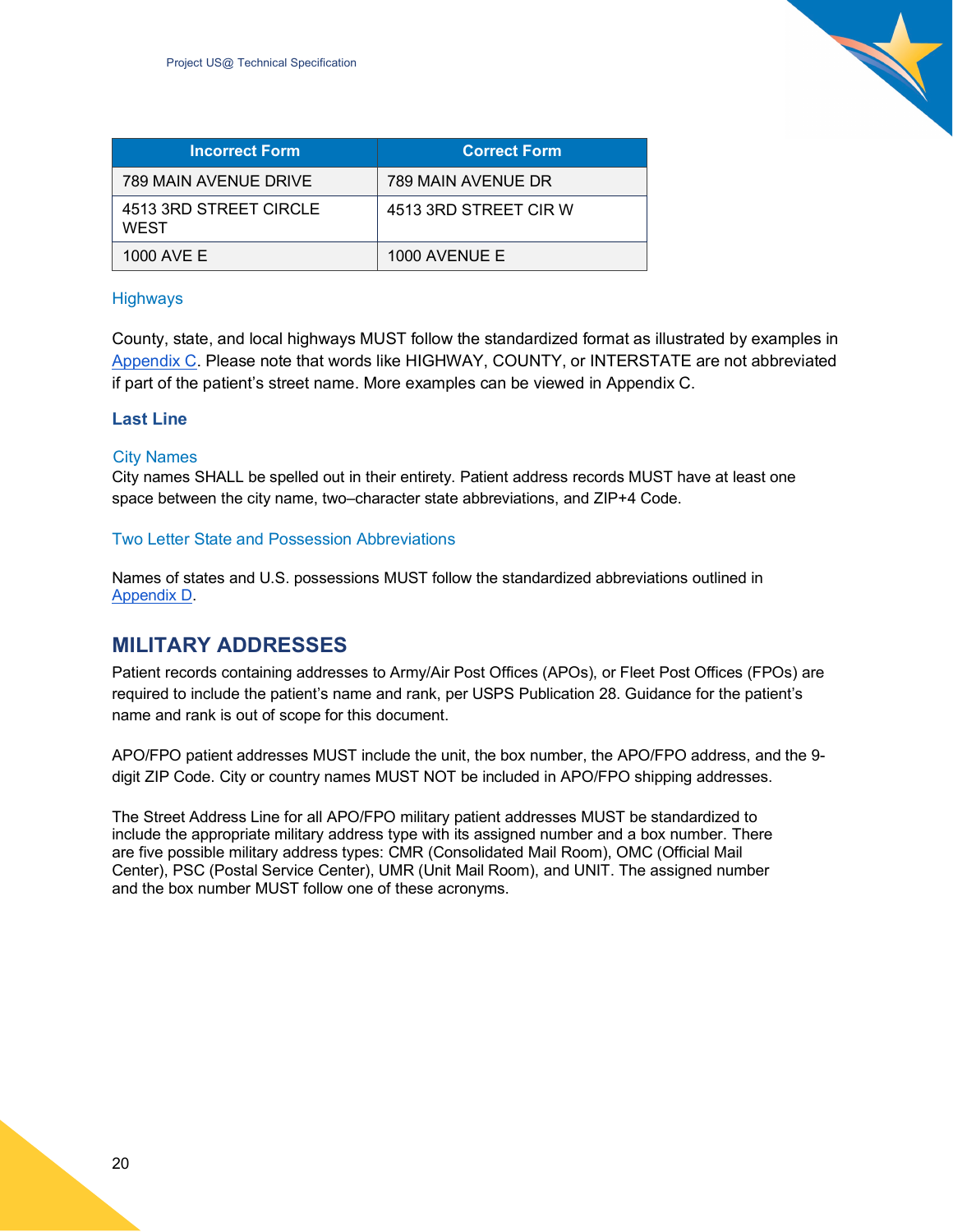

| <b>Incorrect Form</b>                 | <b>Correct Form</b>   |
|---------------------------------------|-----------------------|
| 789 MAIN AVENUE DRIVE                 | 789 MAIN AVENUE DR    |
| 4513 3RD STREET CIRCLE<br><b>WEST</b> | 4513 3RD STREET CIR W |
| 1000 AVE E                            | 1000 AVENUE E         |

#### <span id="page-19-0"></span>**Highways**

County, state, and local highways MUST follow the standardized format as illustrated by examples in Appendix C. Please note that words like HIGHWAY, COUNTY, or INTERSTATE are not abbreviated if part of the patient's street name. More examples can be viewed in Appendix C.

#### <span id="page-19-1"></span>**Last Line**

#### <span id="page-19-2"></span>City Names

City names SHALL be spelled out in their entirety. Patient address records MUST have at least one space between the city name, two–character state abbreviations, and ZIP+4 Code.

#### <span id="page-19-3"></span>Two Letter State and Possession Abbreviations

Names of states and U.S. possessions MUST follow the standardized abbreviations outlined in Appendix D.

## <span id="page-19-4"></span>**MILITARY ADDRESSES**

Patient records containing addresses to Army/Air Post Offices (APOs), or Fleet Post Offices (FPOs) are required to include the patient's name and rank, per USPS Publication 28. Guidance for the patient's name and rank is out of scope for this document.

APO/FPO patient addresses MUST include the unit, the box number, the APO/FPO address, and the 9 digit ZIP Code. City or country names MUST NOT be included in APO/FPO shipping addresses.

The Street Address Line for all APO/FPO military patient addresses MUST be standardized to include the appropriate military address type with its assigned number and a box number. There are five possible military address types: CMR (Consolidated Mail Room), OMC (Official Mail Center), PSC (Postal Service Center), UMR (Unit Mail Room), and UNIT. The assigned number and the box number MUST follow one of these acronyms.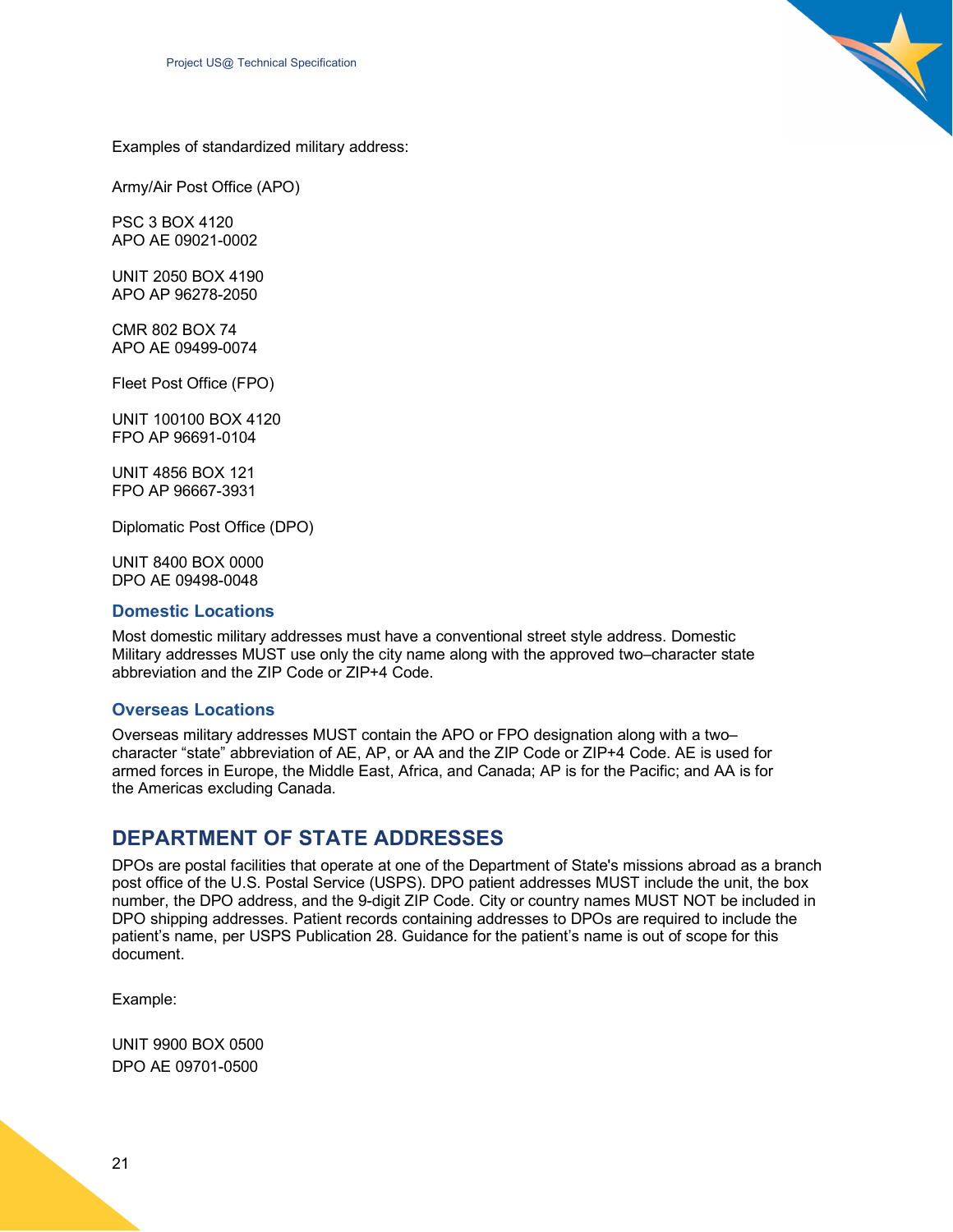

Examples of standardized military address:

Army/Air Post Office (APO)

PSC 3 BOX 4120 APO AE 09021-0002

UNIT 2050 BOX 4190 APO AP 96278-2050

CMR 802 BOX 74 APO AE 09499-0074

Fleet Post Office (FPO)

UNIT 100100 BOX 4120 FPO AP 96691-0104

UNIT 4856 BOX 121 FPO AP 96667-3931

Diplomatic Post Office (DPO)

UNIT 8400 BOX 0000 DPO AE 09498-0048

#### <span id="page-20-0"></span>**Domestic Locations**

Most domestic military addresses must have a conventional street style address. Domestic Military addresses MUST use only the city name along with the approved two–character state abbreviation and the ZIP Code or ZIP+4 Code.

#### <span id="page-20-1"></span>**Overseas Locations**

Overseas military addresses MUST contain the APO or FPO designation along with a two– character "state" abbreviation of AE, AP, or AA and the ZIP Code or ZIP+4 Code. AE is used for armed forces in Europe, the Middle East, Africa, and Canada; AP is for the Pacific; and AA is for the Americas excluding Canada.

## <span id="page-20-2"></span>**DEPARTMENT OF STATE ADDRESSES**

DPOs are postal facilities that operate at one of the Department of State's missions abroad as a branch post office of the U.S. Postal Service (USPS). DPO patient addresses MUST include the unit, the box number, the DPO address, and the 9-digit ZIP Code. City or country names MUST NOT be included in DPO shipping addresses. Patient records containing addresses to DPOs are required to include the patient's name, per USPS Publication 28. Guidance for the patient's name is out of scope for this document.

Example:

UNIT 9900 BOX 0500 DPO AE 09701-0500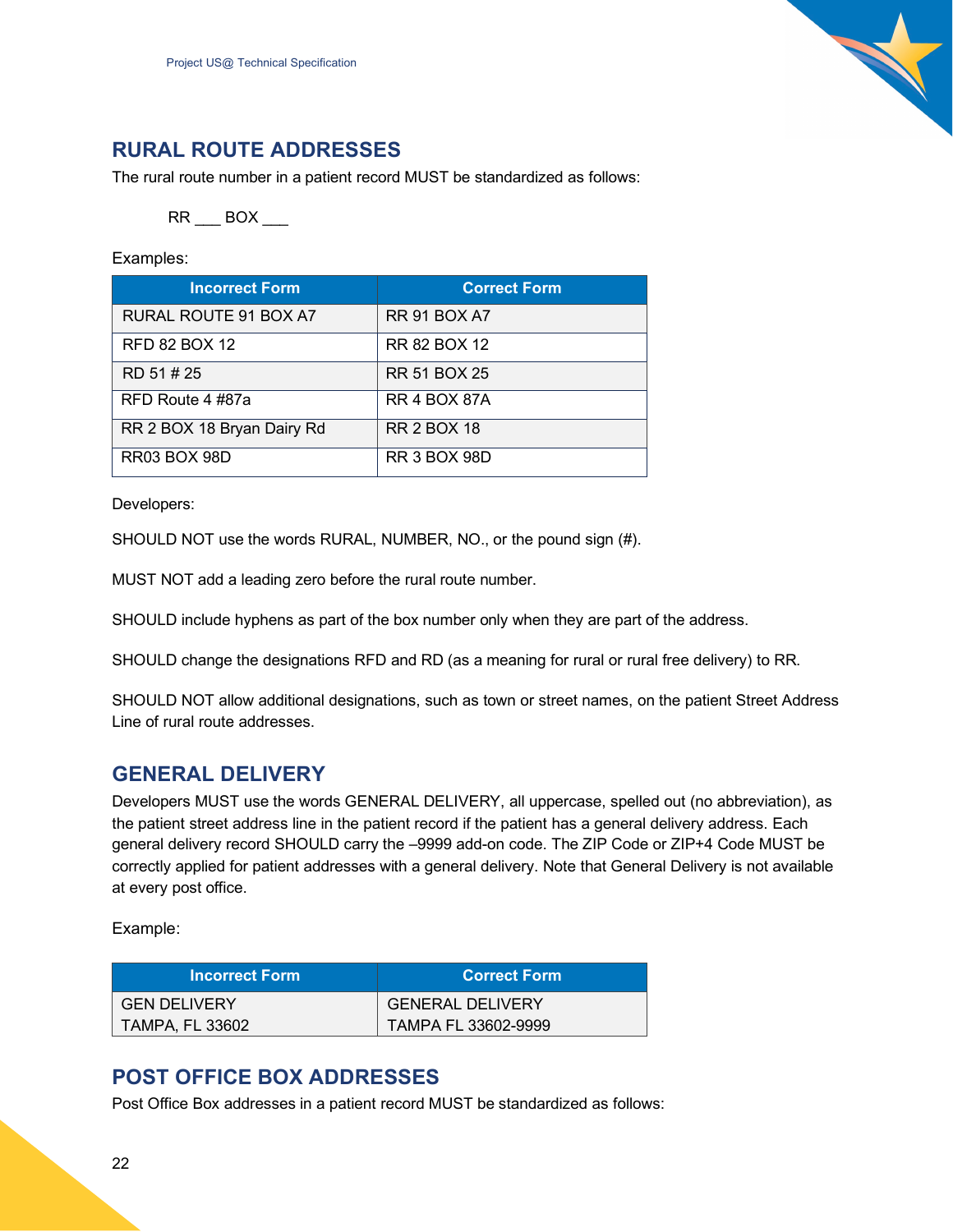

## <span id="page-21-0"></span>**RURAL ROUTE ADDRESSES**

The rural route number in a patient record MUST be standardized as follows:

RR \_\_\_ BOX \_\_\_

Examples:

| <b>Incorrect Form</b>      | <b>Correct Form</b> |
|----------------------------|---------------------|
| RURAL ROUTE 91 BOX A7      | <b>RR 91 BOX A7</b> |
| <b>RFD 82 BOX 12</b>       | RR 82 BOX 12        |
| RD 51#25                   | <b>RR 51 BOX 25</b> |
| RFD Route 4 #87a           | <b>RR 4 BOX 87A</b> |
| RR 2 BOX 18 Bryan Dairy Rd | <b>RR 2 BOX 18</b>  |
| <b>RR03 BOX 98D</b>        | <b>RR 3 BOX 98D</b> |

Developers:

SHOULD NOT use the words RURAL, NUMBER, NO., or the pound sign (#).

MUST NOT add a leading zero before the rural route number.

SHOULD include hyphens as part of the box number only when they are part of the address.

SHOULD change the designations RFD and RD (as a meaning for rural or rural free delivery) to RR.

SHOULD NOT allow additional designations, such as town or street names, on the patient Street Address Line of rural route addresses.

## <span id="page-21-1"></span>**GENERAL DELIVERY**

Developers MUST use the words GENERAL DELIVERY, all uppercase, spelled out (no abbreviation), as the patient street address line in the patient record if the patient has a general delivery address. Each general delivery record SHOULD carry the –9999 add-on code. The ZIP Code or ZIP+4 Code MUST be correctly applied for patient addresses with a general delivery. Note that General Delivery is not available at every post office.

Example:

| <b>Incorrect Form</b>  | ⊦Correct Form           |
|------------------------|-------------------------|
| <b>GEN DELIVERY</b>    | <b>GENERAL DELIVERY</b> |
| <b>TAMPA, FL 33602</b> | TAMPA FL 33602-9999     |

## <span id="page-21-2"></span>**POST OFFICE BOX ADDRESSES**

Post Office Box addresses in a patient record MUST be standardized as follows: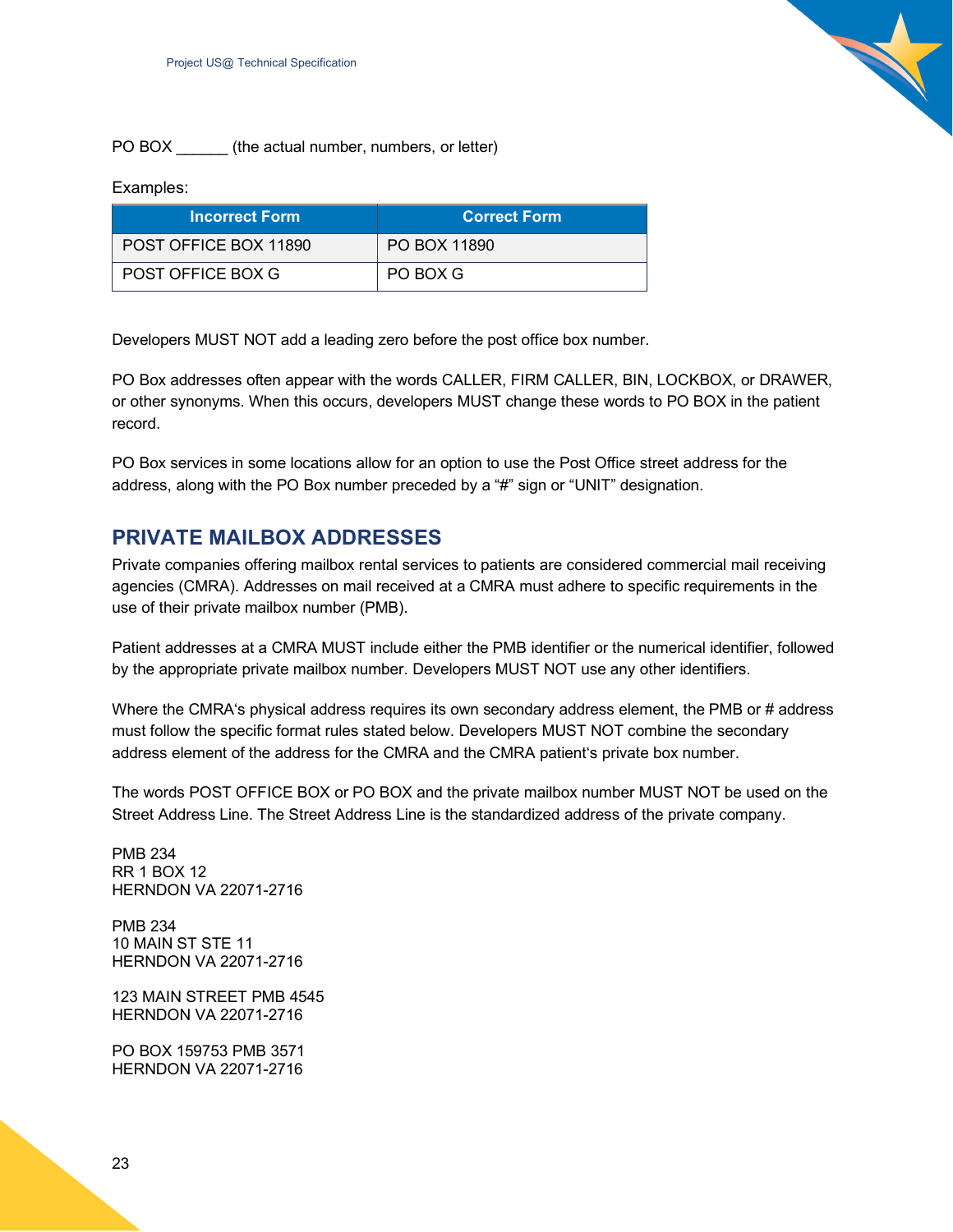

#### Examples:

| <b>Incorrect Form</b>    | <b>Correct Form</b> |
|--------------------------|---------------------|
| POST OFFICE BOX 11890    | PO BOX 11890        |
| <b>POST OFFICE BOX G</b> | PO BOX G            |

Developers MUST NOT add a leading zero before the post office box number.

PO Box addresses often appear with the words CALLER, FIRM CALLER, BIN, LOCKBOX, or DRAWER, or other synonyms. When this occurs, developers MUST change these words to PO BOX in the patient record.

PO Box services in some locations allow for an option to use the Post Office street address for the address, along with the PO Box number preceded by a "#" sign or "UNIT" designation.

## <span id="page-22-0"></span>**PRIVATE MAILBOX ADDRESSES**

Private companies offering mailbox rental services to patients are considered commercial mail receiving agencies (CMRA). Addresses on mail received at a CMRA must adhere to specific requirements in the use of their private mailbox number (PMB).

Patient addresses at a CMRA MUST include either the PMB identifier or the numerical identifier, followed by the appropriate private mailbox number. Developers MUST NOT use any other identifiers.

Where the CMRA's physical address requires its own secondary address element, the PMB or # address must follow the specific format rules stated below. Developers MUST NOT combine the secondary address element of the address for the CMRA and the CMRA patient's private box number.

The words POST OFFICE BOX or PO BOX and the private mailbox number MUST NOT be used on the Street Address Line. The Street Address Line is the standardized address of the private company.

PMB 234 RR 1 BOX 12 HERNDON VA 22071-2716

PMB 234 10 MAIN ST STE 11 HERNDON VA 22071-2716

123 MAIN STREET PMB 4545 HERNDON VA 22071-2716

PO BOX 159753 PMB 3571 HERNDON VA 22071-2716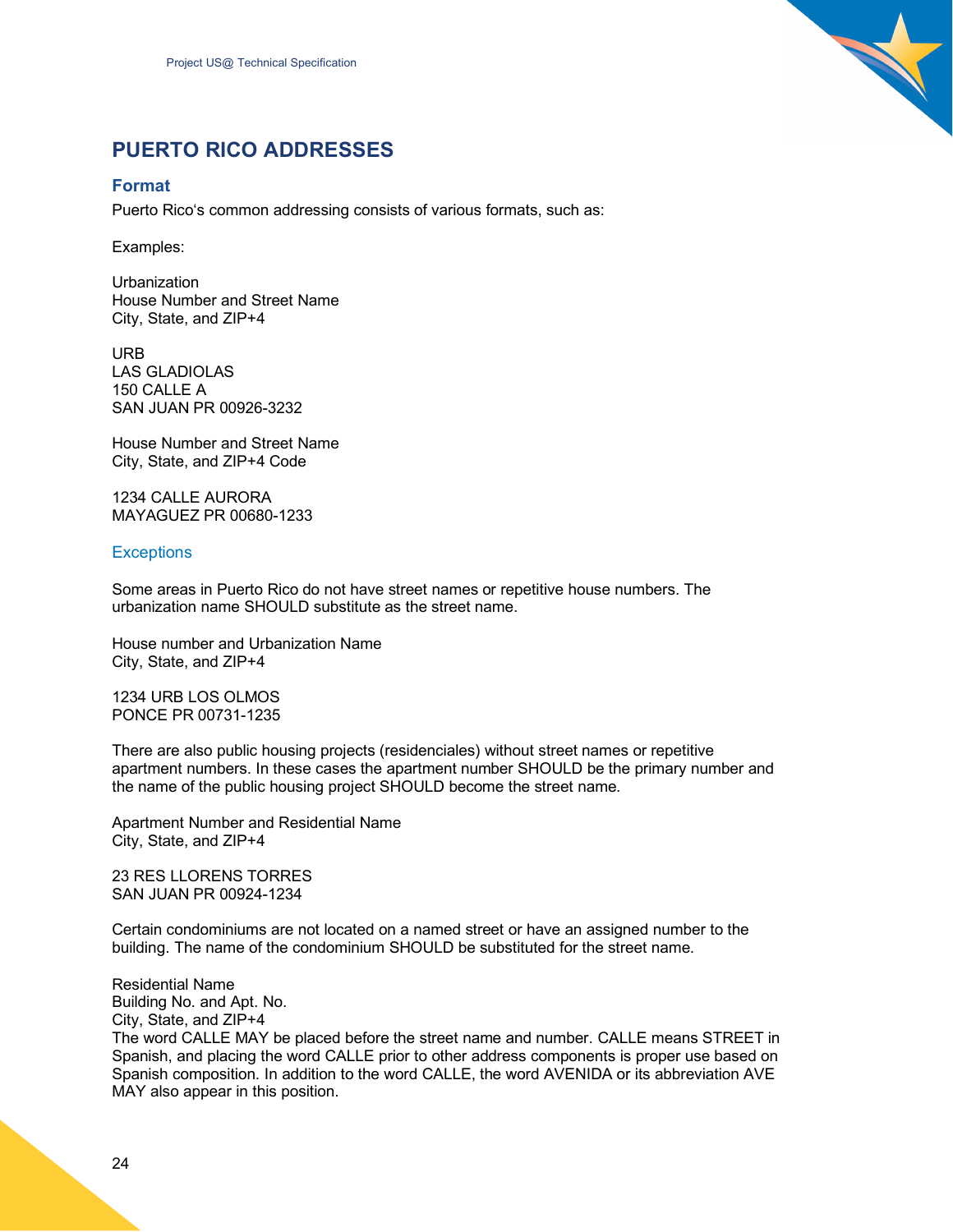

## <span id="page-23-0"></span>**PUERTO RICO ADDRESSES**

#### <span id="page-23-1"></span>**Format**

Puerto Rico's common addressing consists of various formats, such as:

Examples:

**Urbanization** House Number and Street Name City, State, and ZIP+4

URB LAS GLADIOLAS 150 CALLE A SAN JUAN PR 00926-3232

House Number and Street Name City, State, and ZIP+4 Code

1234 CALLE AURORA MAYAGUEZ PR 00680-1233

#### <span id="page-23-2"></span>**Exceptions**

Some areas in Puerto Rico do not have street names or repetitive house numbers. The urbanization name SHOULD substitute as the street name.

House number and Urbanization Name City, State, and ZIP+4

1234 URB LOS OLMOS PONCE PR 00731-1235

There are also public housing projects (residenciales) without street names or repetitive apartment numbers. In these cases the apartment number SHOULD be the primary number and the name of the public housing project SHOULD become the street name.

Apartment Number and Residential Name City, State, and ZIP+4

23 RES LLORENS TORRES SAN JUAN PR 00924-1234

Certain condominiums are not located on a named street or have an assigned number to the building. The name of the condominium SHOULD be substituted for the street name.

Residential Name Building No. and Apt. No. City, State, and ZIP+4 The word CALLE MAY be placed before the street name and number. CALLE means STREET in Spanish, and placing the word CALLE prior to other address components is proper use based on Spanish composition. In addition to the word CALLE, the word AVENIDA or its abbreviation AVE MAY also appear in this position.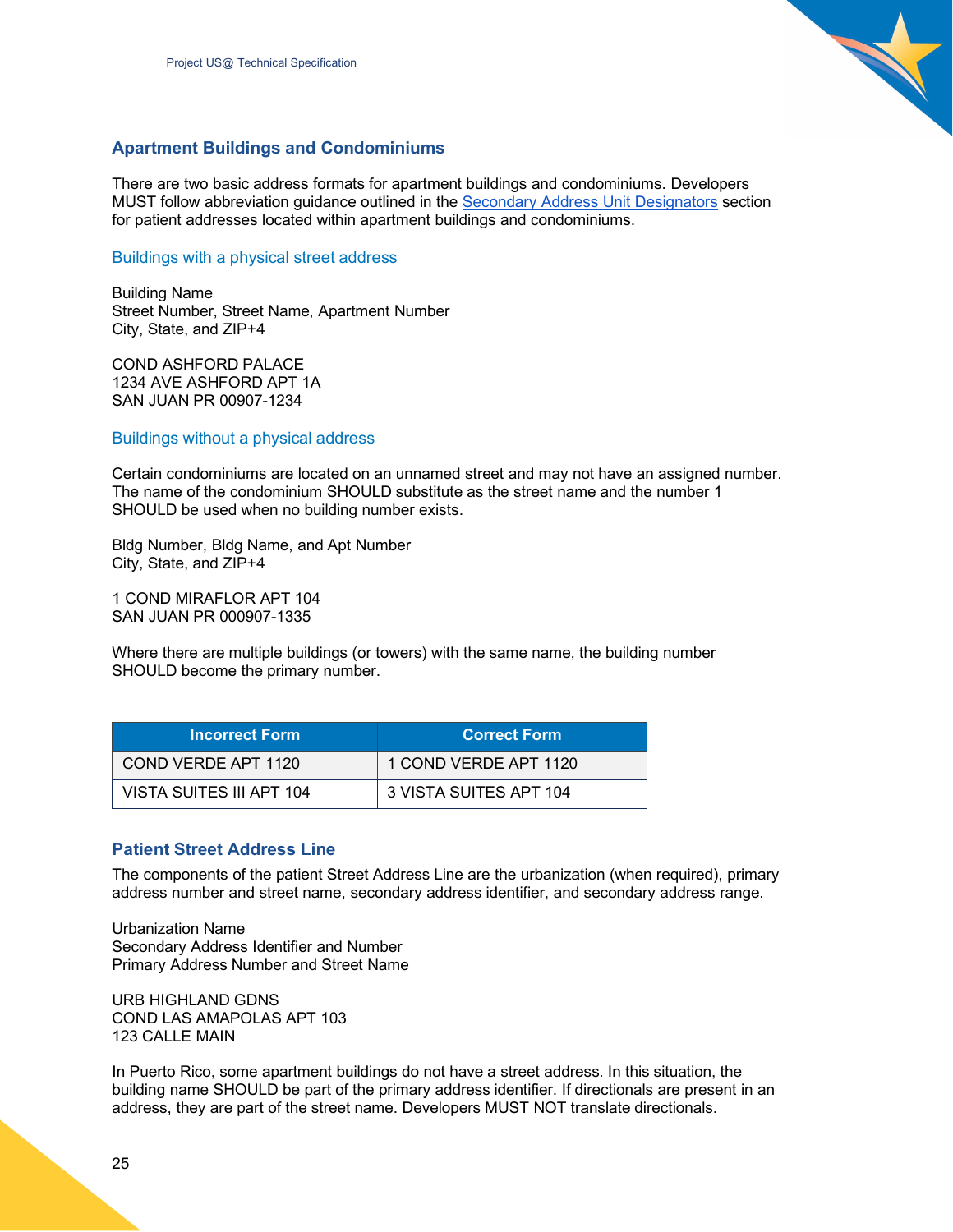

#### <span id="page-24-0"></span>**Apartment Buildings and Condominiums**

There are two basic address formats for apartment buildings and condominiums. Developers MUST follow abbreviation guidance outlined in the Secondary Address Unit Designators section for patient addresses located within apartment buildings and condominiums.

#### <span id="page-24-1"></span>Buildings with a physical street address

Building Name Street Number, Street Name, Apartment Number City, State, and ZIP+4

COND ASHFORD PALACE 1234 AVE ASHFORD APT 1A SAN JUAN PR 00907-1234

<span id="page-24-2"></span>Buildings without a physical address

Certain condominiums are located on an unnamed street and may not have an assigned number. The name of the condominium SHOULD substitute as the street name and the number 1 SHOULD be used when no building number exists.

Bldg Number, Bldg Name, and Apt Number City, State, and ZIP+4

1 COND MIRAFLOR APT 104 SAN JUAN PR 000907-1335

Where there are multiple buildings (or towers) with the same name, the building number SHOULD become the primary number.

| <b>Incorrect Form</b>    | <b>Correct Form</b>    |
|--------------------------|------------------------|
| COND VERDE APT 1120      | 1 COND VERDE APT 1120  |
| VISTA SUITES III APT 104 | 3 VISTA SUITES APT 104 |

#### <span id="page-24-3"></span>**Patient Street Address Line**

The components of the patient Street Address Line are the urbanization (when required), primary address number and street name, secondary address identifier, and secondary address range.

Urbanization Name Secondary Address Identifier and Number Primary Address Number and Street Name

URB HIGHLAND GDNS COND LAS AMAPOLAS APT 103 123 CALLE MAIN

In Puerto Rico, some apartment buildings do not have a street address. In this situation, the building name SHOULD be part of the primary address identifier. If directionals are present in an address, they are part of the street name. Developers MUST NOT translate directionals.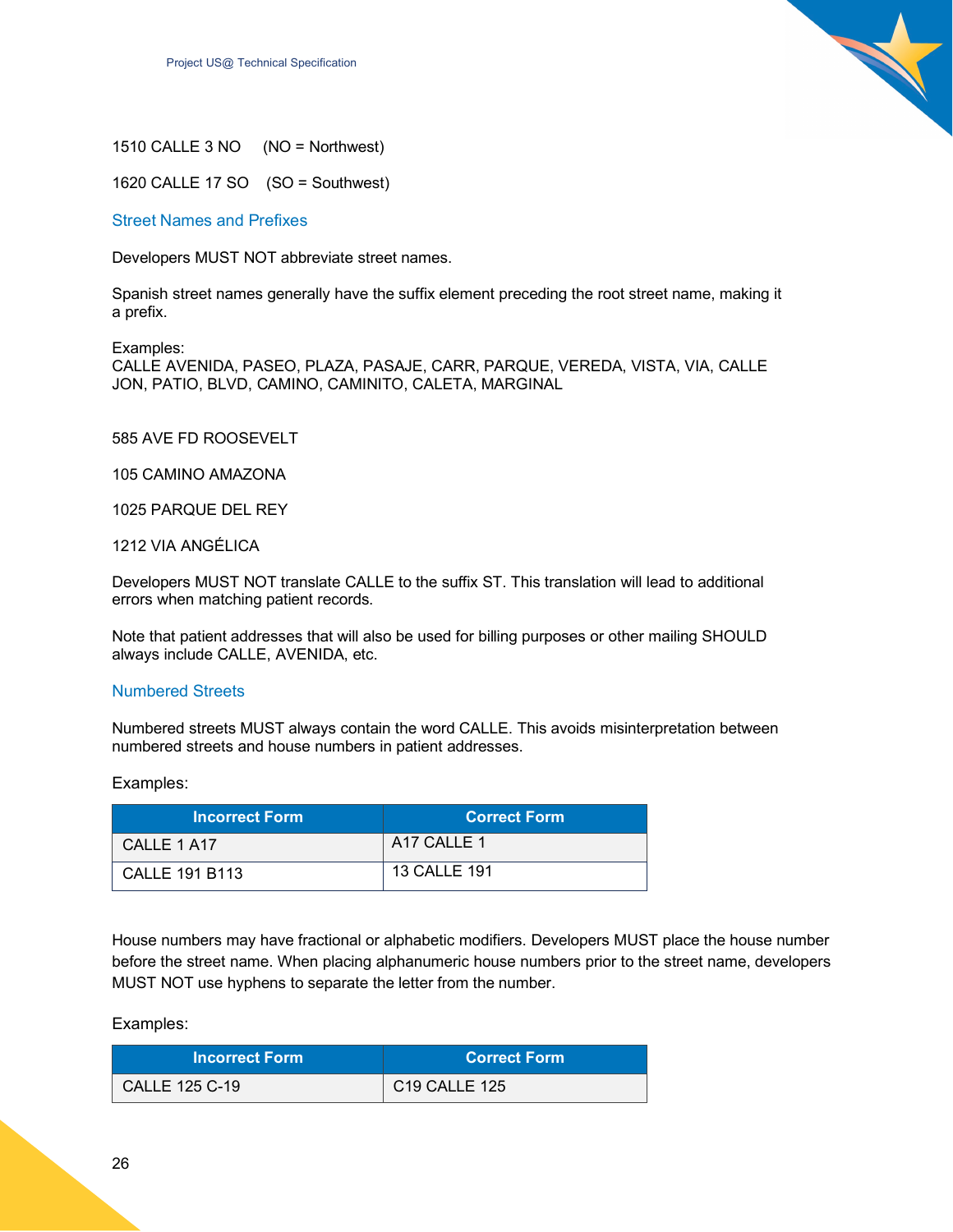

1510 CALLE 3 NO (NO = Northwest)

1620 CALLE 17 SO (SO = Southwest)

<span id="page-25-0"></span>Street Names and Prefixes

Developers MUST NOT abbreviate street names.

Spanish street names generally have the suffix element preceding the root street name, making it a prefix.

Examples:

CALLE AVENIDA, PASEO, PLAZA, PASAJE, CARR, PARQUE, VEREDA, VISTA, VIA, CALLE JON, PATIO, BLVD, CAMINO, CAMINITO, CALETA, MARGINAL

585 AVE FD ROOSEVELT

105 CAMINO AMAZONA

1025 PARQUE DEL REY

1212 VIA ANGÉLICA

Developers MUST NOT translate CALLE to the suffix ST. This translation will lead to additional errors when matching patient records.

Note that patient addresses that will also be used for billing purposes or other mailing SHOULD always include CALLE, AVENIDA, etc.

#### <span id="page-25-1"></span>Numbered Streets

Numbered streets MUST always contain the word CALLE. This avoids misinterpretation between numbered streets and house numbers in patient addresses.

Examples:

| <b>Incorrect Form</b> | <b>Correct Form</b>                |
|-----------------------|------------------------------------|
| CALLE 1 A17           | A <sub>17</sub> CALLE <sub>1</sub> |
| <b>CALLE 191 B113</b> | <b>13 CALLE 191</b>                |

House numbers may have fractional or alphabetic modifiers. Developers MUST place the house number before the street name. When placing alphanumeric house numbers prior to the street name, developers MUST NOT use hyphens to separate the letter from the number.

Examples:

| <b>Incorrect Form</b> | Correct Form  |
|-----------------------|---------------|
| <b>CALLE 125 C-19</b> | C19 CALLE 125 |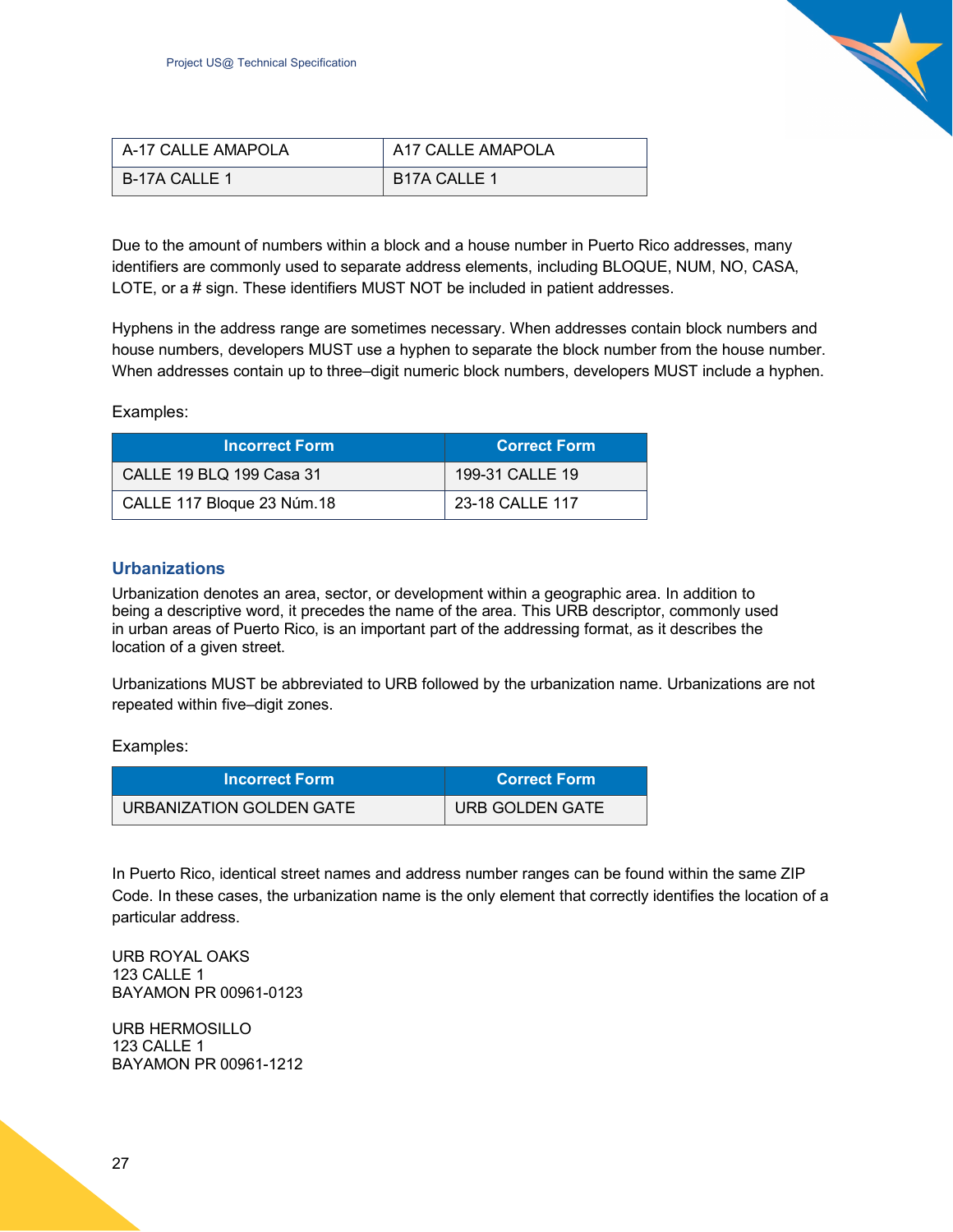

| A-17 CALLE AMAPOLA | A17 CALLE AMAPOLA         |
|--------------------|---------------------------|
| B-17A CALLE 1      | B <sub>17</sub> A CALLE 1 |

Due to the amount of numbers within a block and a house number in Puerto Rico addresses, many identifiers are commonly used to separate address elements, including BLOQUE, NUM, NO, CASA, LOTE, or a # sign. These identifiers MUST NOT be included in patient addresses.

Hyphens in the address range are sometimes necessary. When addresses contain block numbers and house numbers, developers MUST use a hyphen to separate the block number from the house number. When addresses contain up to three–digit numeric block numbers, developers MUST include a hyphen.

#### Examples:

| <b>Incorrect Form</b>      | <b>Correct Form</b> |
|----------------------------|---------------------|
| CALLE 19 BLQ 199 Casa 31   | 199-31 CALLE 19     |
| CALLE 117 Bloque 23 Núm.18 | 23-18 CALLE 117     |

#### <span id="page-26-0"></span>**Urbanizations**

Urbanization denotes an area, sector, or development within a geographic area. In addition to being a descriptive word, it precedes the name of the area. This URB descriptor, commonly used in urban areas of Puerto Rico, is an important part of the addressing format, as it describes the location of a given street.

Urbanizations MUST be abbreviated to URB followed by the urbanization name. Urbanizations are not repeated within five–digit zones.

Examples:

| <b>Incorrect Form</b>    | <b>Correct Form</b>    |
|--------------------------|------------------------|
| URBANIZATION GOLDEN GATE | <b>URB GOLDEN GATE</b> |

In Puerto Rico, identical street names and address number ranges can be found within the same ZIP Code. In these cases, the urbanization name is the only element that correctly identifies the location of a particular address.

URB ROYAL OAKS 123 CALLE 1 BAYAMON PR 00961-0123

URB HERMOSILLO 123 CALLE 1 BAYAMON PR 00961-1212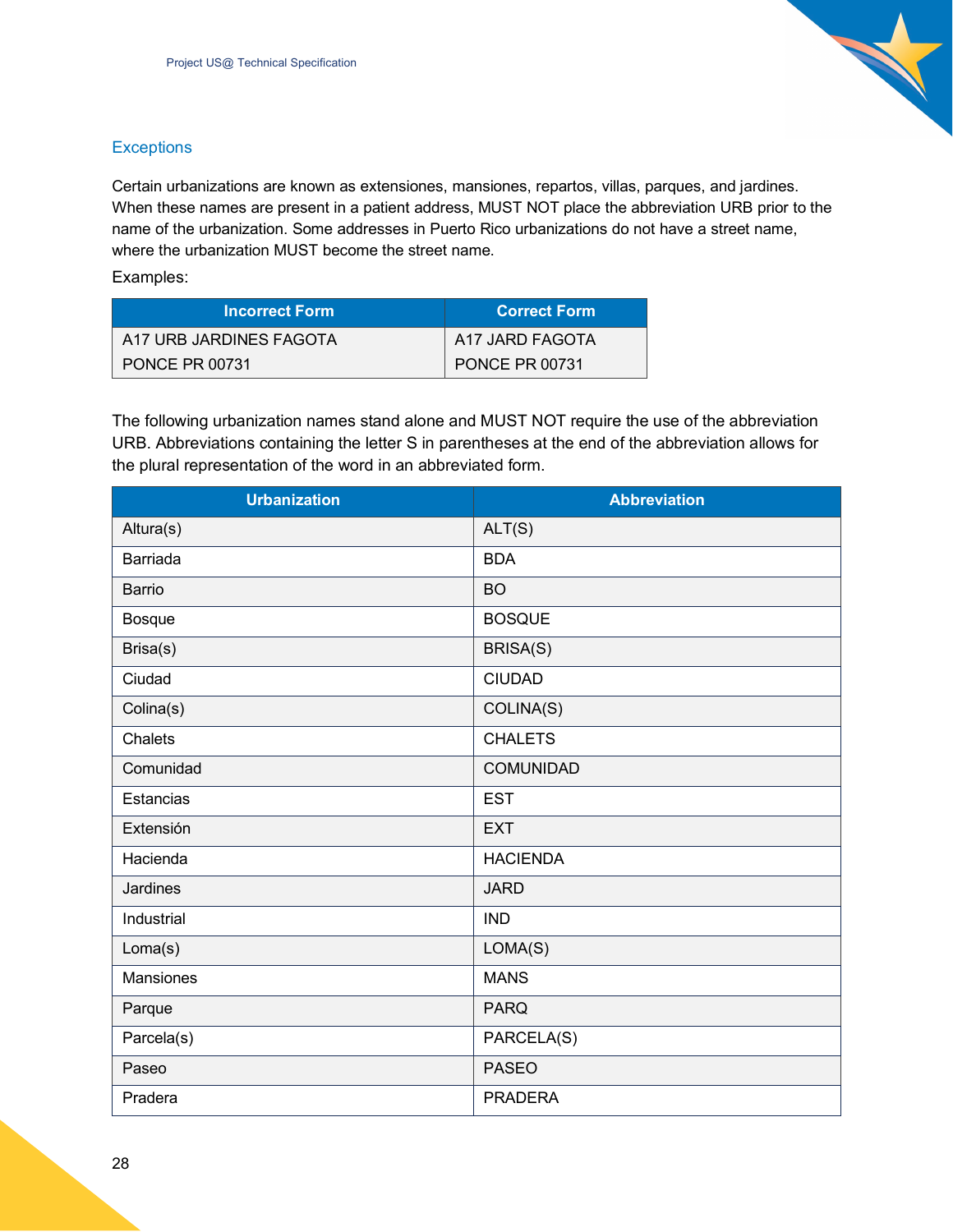

#### <span id="page-27-0"></span>**Exceptions**

Certain urbanizations are known as extensiones, mansiones, repartos, villas, parques, and jardines. When these names are present in a patient address, MUST NOT place the abbreviation URB prior to the name of the urbanization. Some addresses in Puerto Rico urbanizations do not have a street name, where the urbanization MUST become the street name.

Examples:

| <b>Incorrect Form</b>   | <b>Correct Form</b>   |
|-------------------------|-----------------------|
| A17 URB JARDINES FAGOTA | A17 JARD FAGOTA       |
| <b>PONCE PR 00731</b>   | <b>PONCE PR 00731</b> |

The following urbanization names stand alone and MUST NOT require the use of the abbreviation URB. Abbreviations containing the letter S in parentheses at the end of the abbreviation allows for the plural representation of the word in an abbreviated form.

| <b>Urbanization</b> | <b>Abbreviation</b> |
|---------------------|---------------------|
| Altura(s)           | ALT(S)              |
| Barriada            | <b>BDA</b>          |
| Barrio              | <b>BO</b>           |
| <b>Bosque</b>       | <b>BOSQUE</b>       |
| Brisa(s)            | BRISA(S)            |
| Ciudad              | <b>CIUDAD</b>       |
| Colina(s)           | COLINA(S)           |
| Chalets             | <b>CHALETS</b>      |
| Comunidad           | <b>COMUNIDAD</b>    |
| Estancias           | <b>EST</b>          |
| Extensión           | <b>EXT</b>          |
| Hacienda            | <b>HACIENDA</b>     |
| Jardines            | <b>JARD</b>         |
| Industrial          | <b>IND</b>          |
| Loma(s)             | LOMA(S)             |
| <b>Mansiones</b>    | <b>MANS</b>         |
| Parque              | <b>PARQ</b>         |
| Parcela(s)          | PARCELA(S)          |
| Paseo               | <b>PASEO</b>        |
| Pradera             | <b>PRADERA</b>      |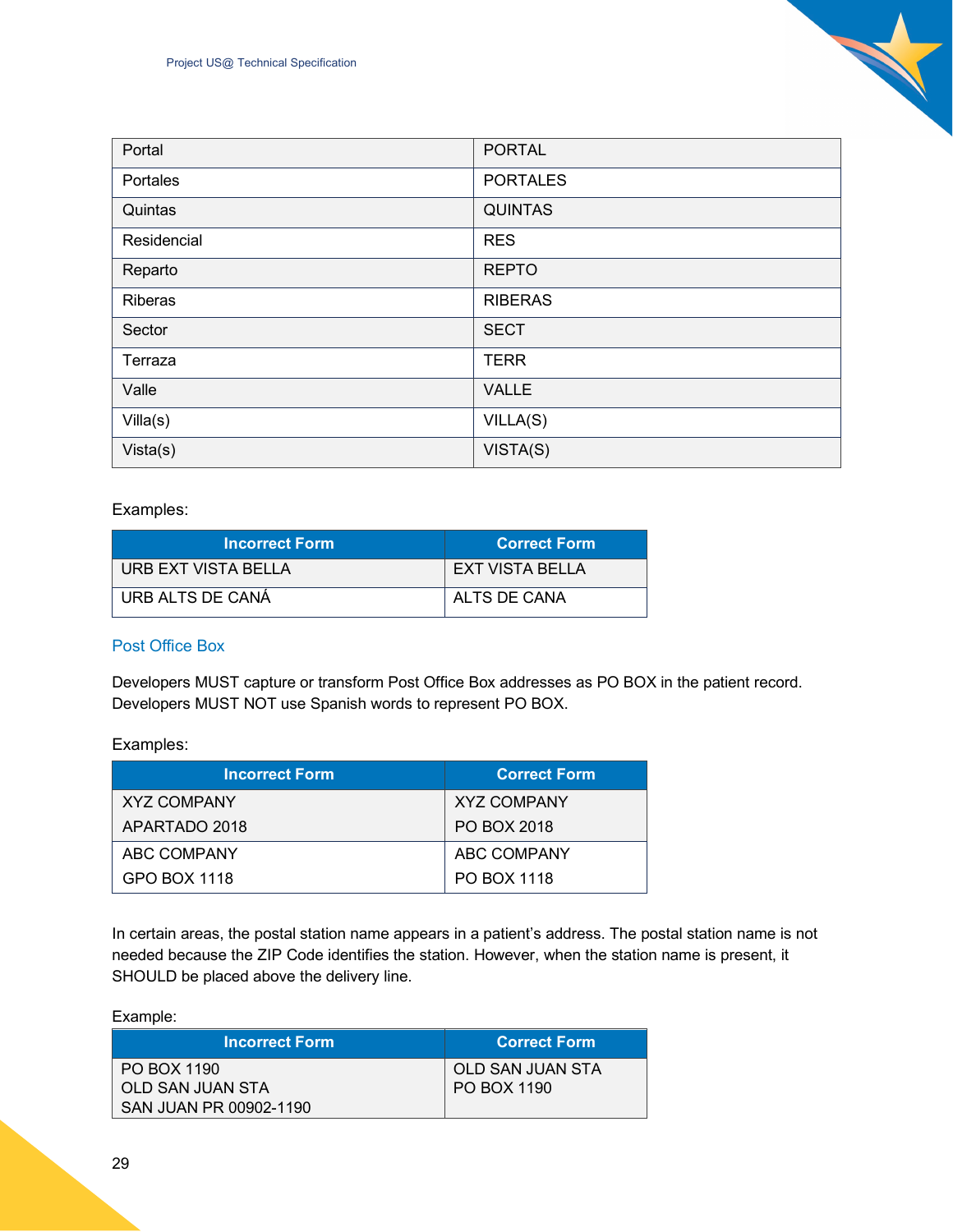| Portal      | <b>PORTAL</b>   |
|-------------|-----------------|
| Portales    | <b>PORTALES</b> |
| Quintas     | <b>QUINTAS</b>  |
| Residencial | <b>RES</b>      |
| Reparto     | <b>REPTO</b>    |
| Riberas     | <b>RIBERAS</b>  |
| Sector      | <b>SECT</b>     |
| Terraza     | <b>TERR</b>     |
| Valle       | <b>VALLE</b>    |
| Villa(s)    | VILLA(S)        |
| Vista(s)    | VISTA(S)        |

#### Examples:

| <b>Incorrect Form</b> | <b>Correct Form</b> |
|-----------------------|---------------------|
| URB EXT VISTA BELLA   | EXT VISTA BELLA     |
| URB ALTS DE CANÁ      | ALTS DE CANA        |

#### <span id="page-28-0"></span>Post Office Box

Developers MUST capture or transform Post Office Box addresses as PO BOX in the patient record. Developers MUST NOT use Spanish words to represent PO BOX.

#### Examples:

| <b>Incorrect Form</b> | <b>Correct Form</b> |
|-----------------------|---------------------|
| <b>XYZ COMPANY</b>    | <b>XYZ COMPANY</b>  |
| APARTADO 2018         | PO BOX 2018         |
| ABC COMPANY           | ABC COMPANY         |
| GPO BOX 1118          | PO BOX 1118         |

In certain areas, the postal station name appears in a patient's address. The postal station name is not needed because the ZIP Code identifies the station. However, when the station name is present, it SHOULD be placed above the delivery line.

Example:

| <b>Incorrect Form</b>  | <b>Correct Form</b> |
|------------------------|---------------------|
| PO BOX 1190            | OLD SAN JUAN STA    |
| OLD SAN JUAN STA       | PO BOX 1190         |
| SAN JUAN PR 00902-1190 |                     |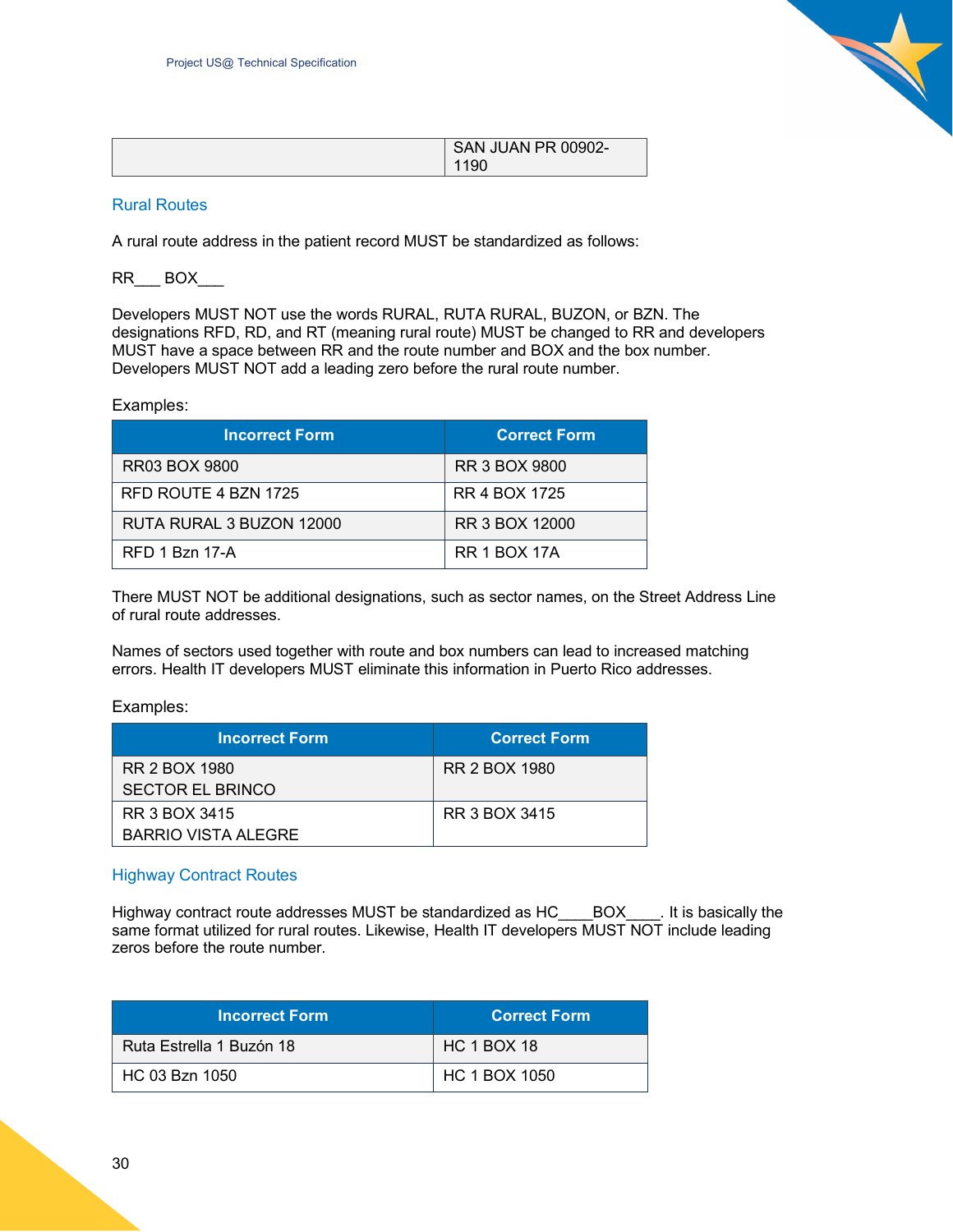

| SAN JUAN PR 00902- |
|--------------------|
| 1190               |

#### <span id="page-29-0"></span>Rural Routes

A rural route address in the patient record MUST be standardized as follows:

#### RR\_\_\_ BOX\_\_\_

Developers MUST NOT use the words RURAL, RUTA RURAL, BUZON, or BZN. The designations RFD, RD, and RT (meaning rural route) MUST be changed to RR and developers MUST have a space between RR and the route number and BOX and the box number. Developers MUST NOT add a leading zero before the rural route number.

Examples:

| <b>Incorrect Form</b>    | <b>Correct Form</b>  |
|--------------------------|----------------------|
| <b>RR03 BOX 9800</b>     | <b>RR 3 BOX 9800</b> |
| RFD ROUTE 4 BZN 1725     | RR 4 BOX 1725        |
| RUTA RURAL 3 BUZON 12000 | RR 3 BOX 12000       |
| RFD 1 Bzn 17-A           | <b>RR 1 BOX 17A</b>  |

There MUST NOT be additional designations, such as sector names, on the Street Address Line of rural route addresses.

Names of sectors used together with route and box numbers can lead to increased matching errors. Health IT developers MUST eliminate this information in Puerto Rico addresses.

Examples:

| <b>Incorrect Form</b>   | <b>Correct Form</b> |
|-------------------------|---------------------|
| RR 2 BOX 1980           | RR 2 BOX 1980       |
| <b>SECTOR EL BRINCO</b> |                     |
| RR 3 BOX 3415           | RR 3 BOX 3415       |
| BARRIO VISTA ALEGRE     |                     |

#### <span id="page-29-1"></span>Highway Contract Routes

Highway contract route addresses MUST be standardized as HC\_\_\_\_BOX\_\_\_\_*.* It is basically the same format utilized for rural routes. Likewise, Health IT developers MUST NOT include leading zeros before the route number.

| <b>Incorrect Form</b>    | <b>Correct Form</b> |
|--------------------------|---------------------|
| Ruta Estrella 1 Buzón 18 | <b>HC 1 BOX 18</b>  |
| HC 03 Bzn 1050           | HC 1 BOX 1050       |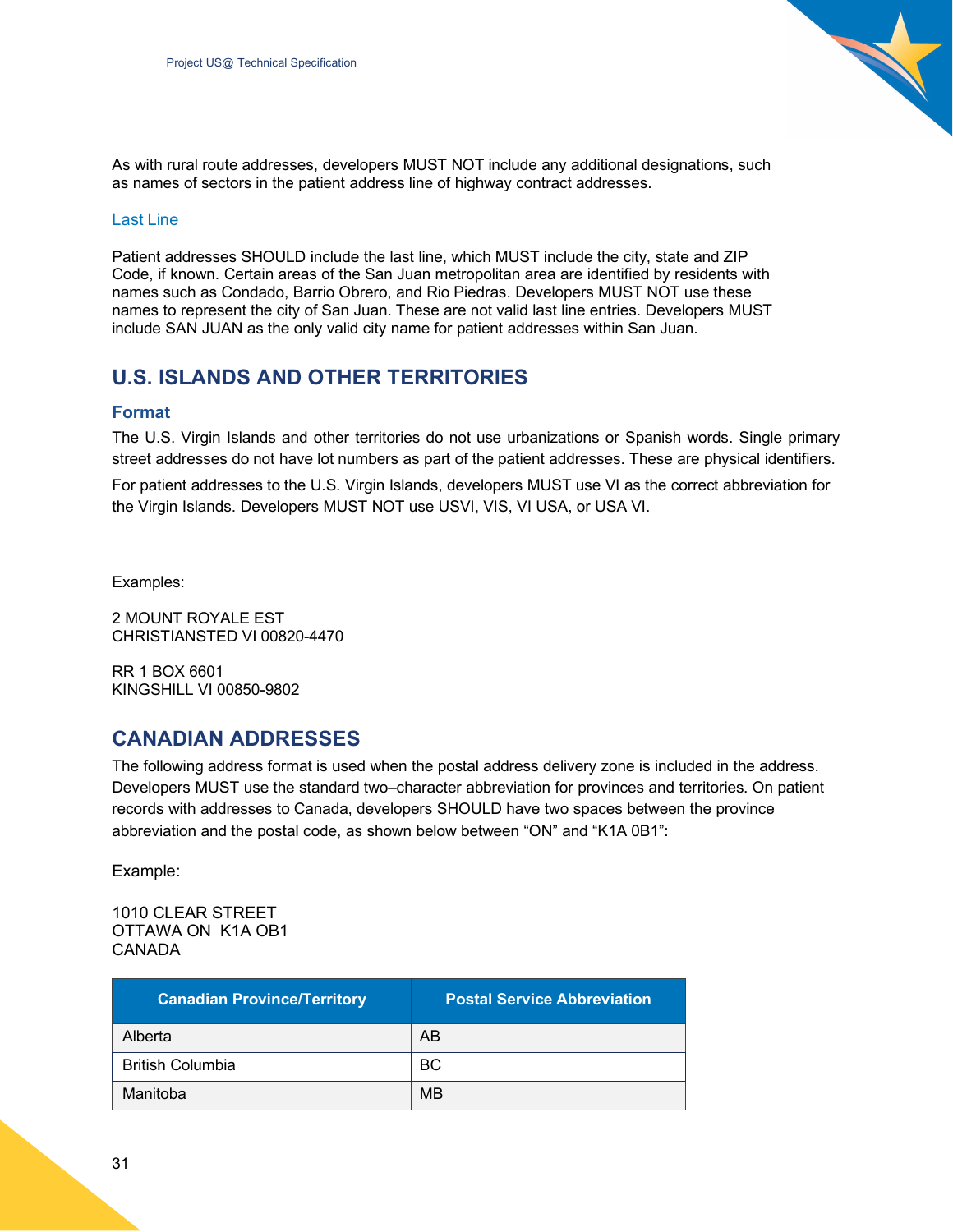

As with rural route addresses, developers MUST NOT include any additional designations, such as names of sectors in the patient address line of highway contract addresses.

#### <span id="page-30-0"></span>Last Line

Patient addresses SHOULD include the last line, which MUST include the city, state and ZIP Code, if known. Certain areas of the San Juan metropolitan area are identified by residents with names such as Condado, Barrio Obrero, and Rio Piedras. Developers MUST NOT use these names to represent the city of San Juan. These are not valid last line entries. Developers MUST include SAN JUAN as the only valid city name for patient addresses within San Juan.

## <span id="page-30-1"></span>**U.S. ISLANDS AND OTHER TERRITORIES**

#### <span id="page-30-2"></span>**Format**

The U.S. Virgin Islands and other territories do not use urbanizations or Spanish words. Single primary street addresses do not have lot numbers as part of the patient addresses. These are physical identifiers. For patient addresses to the U.S. Virgin Islands, developers MUST use VI as the correct abbreviation for the Virgin Islands. Developers MUST NOT use USVI, VIS, VI USA, or USA VI.

Examples:

2 MOUNT ROYALE EST CHRISTIANSTED VI 00820-4470

RR 1 BOX 6601 KINGSHILL VI 00850-9802

### <span id="page-30-3"></span>**CANADIAN ADDRESSES**

The following address format is used when the postal address delivery zone is included in the address. Developers MUST use the standard two–character abbreviation for provinces and territories. On patient records with addresses to Canada, developers SHOULD have two spaces between the province abbreviation and the postal code, as shown below between "ON" and "K1A 0B1":

Example:

#### 1010 CLEAR STREET OTTAWA ON K1A OB1 CANADA

| <b>Canadian Province/Territory</b> | <b>Postal Service Abbreviation</b> |
|------------------------------------|------------------------------------|
| Alberta                            | AB                                 |
| <b>British Columbia</b>            | <b>BC</b>                          |
| Manitoba                           | MB                                 |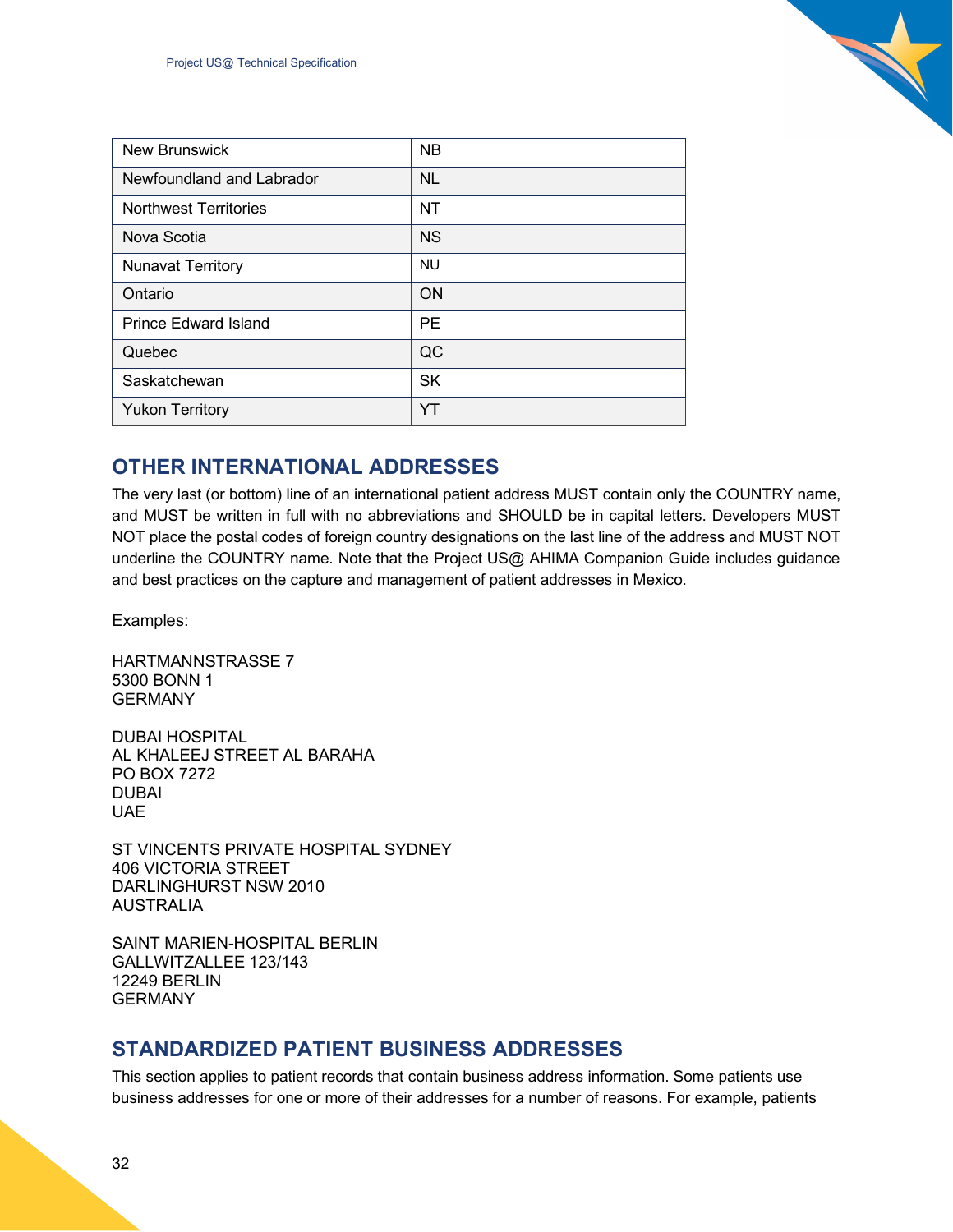| <b>New Brunswick</b>         | <b>NB</b> |
|------------------------------|-----------|
| Newfoundland and Labrador    | <b>NL</b> |
| <b>Northwest Territories</b> | <b>NT</b> |
| Nova Scotia                  | <b>NS</b> |
| <b>Nunavat Territory</b>     | <b>NU</b> |
| Ontario                      | <b>ON</b> |
| <b>Prince Edward Island</b>  | <b>PE</b> |
| Quebec                       | QC        |
| Saskatchewan                 | <b>SK</b> |
| <b>Yukon Territory</b>       | YT        |

## <span id="page-31-0"></span>**OTHER INTERNATIONAL ADDRESSES**

The very last (or bottom) line of an international patient address MUST contain only the COUNTRY name, and MUST be written in full with no abbreviations and SHOULD be in capital letters. Developers MUST NOT place the postal codes of foreign country designations on the last line of the address and MUST NOT underline the COUNTRY name. Note that the Project US@ AHIMA Companion Guide includes guidance and best practices on the capture and management of patient addresses in Mexico.

Examples:

HARTMANNSTRASSE 7 5300 BONN 1 GERMANY

DUBAI HOSPITAL AL KHALEEJ STREET AL BARAHA PO BOX 7272 DUBAI UAE

ST VINCENTS PRIVATE HOSPITAL SYDNEY 406 VICTORIA STREET DARLINGHURST NSW 2010 AUSTRALIA

SAINT MARIEN-HOSPITAL BERLIN GALLWITZALLEE 123/143 12249 BERLIN GERMANY

## <span id="page-31-1"></span>**STANDARDIZED PATIENT BUSINESS ADDRESSES**

This section applies to patient records that contain business address information. Some patients use business addresses for one or more of their addresses for a number of reasons. For example, patients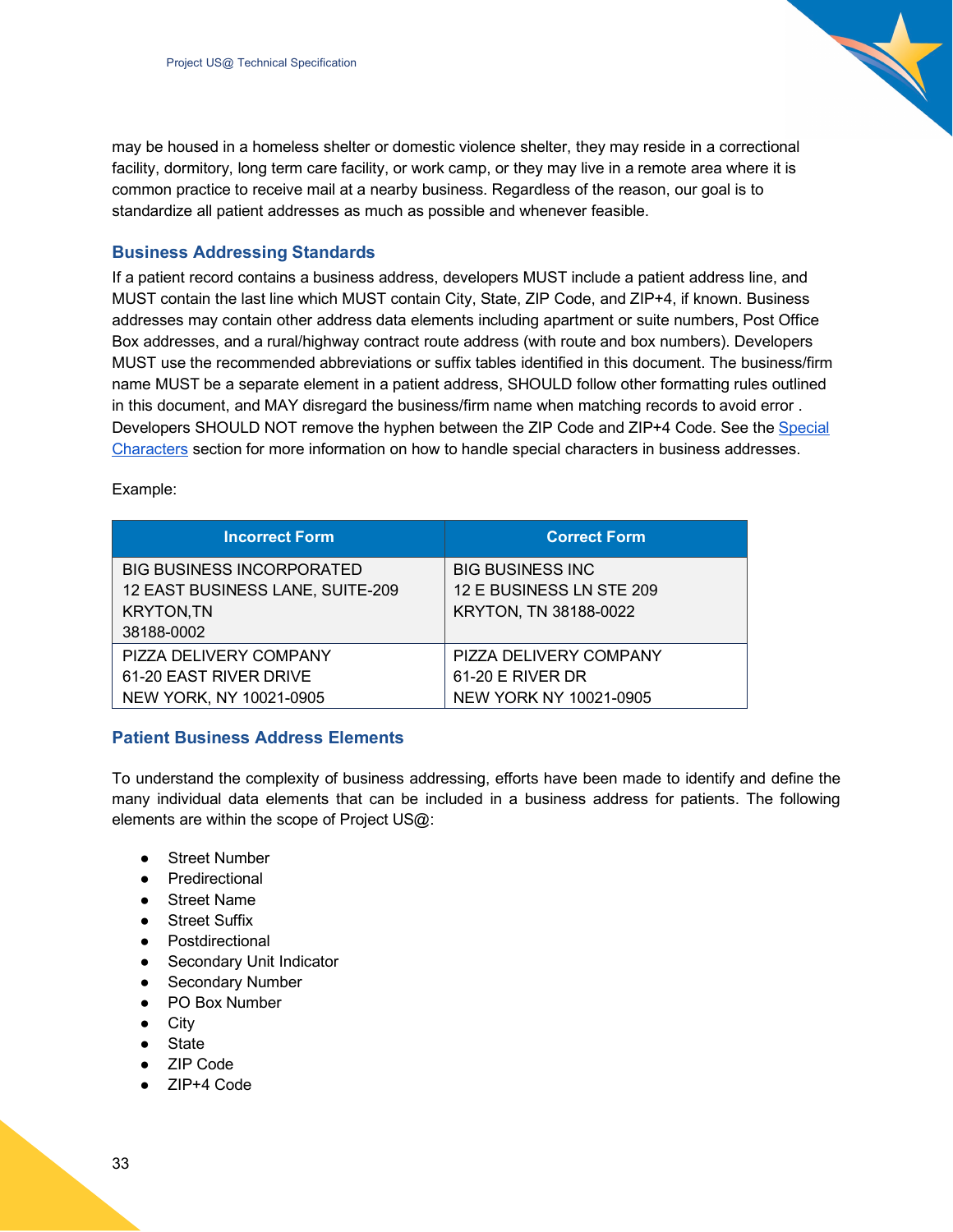may be housed in a homeless shelter or domestic violence shelter, they may reside in a correctional facility, dormitory, long term care facility, or work camp, or they may live in a remote area where it is common practice to receive mail at a nearby business. Regardless of the reason, our goal is to standardize all patient addresses as much as possible and whenever feasible.

#### <span id="page-32-0"></span>**Business Addressing Standards**

If a patient record contains a business address, developers MUST include a patient address line, and MUST contain the last line which MUST contain City, State, ZIP Code, and ZIP+4, if known. Business addresses may contain other address data elements including apartment or suite numbers, Post Office Box addresses, and a rural/highway contract route address (with route and box numbers). Developers MUST use the recommended abbreviations or suffix tables identified in this document. The business/firm name MUST be a separate element in a patient address, SHOULD follow other formatting rules outlined in this document, and MAY disregard the business/firm name when matching records to avoid error . Developers SHOULD NOT remove the hyphen between the ZIP Code and ZIP+4 Code. See the Special Characters section for more information on how to handle special characters in business addresses.

Example:

| <b>Incorrect Form</b>            | <b>Correct Form</b>      |
|----------------------------------|--------------------------|
| <b>BIG BUSINESS INCORPORATED</b> | <b>BIG BUSINESS INC</b>  |
| 12 EAST BUSINESS LANE, SUITE-209 | 12 E BUSINESS LN STE 209 |
| <b>KRYTON, TN</b>                | KRYTON, TN 38188-0022    |
| 38188-0002                       |                          |
| PIZZA DELIVERY COMPANY           | PIZZA DELIVERY COMPANY   |
| 61-20 EAST RIVER DRIVE           | $61-20$ E RIVER DR       |
| NEW YORK, NY 10021-0905          | NEW YORK NY 10021-0905   |

#### <span id="page-32-1"></span>**Patient Business Address Elements**

To understand the complexity of business addressing, efforts have been made to identify and define the many individual data elements that can be included in a business address for patients. The following elements are within the scope of Project US@:

- Street Number
- Predirectional
- Street Name
- Street Suffix
- Postdirectional
- Secondary Unit Indicator
- Secondary Number
- PO Box Number
- City
- State
- ZIP Code
- ZIP+4 Code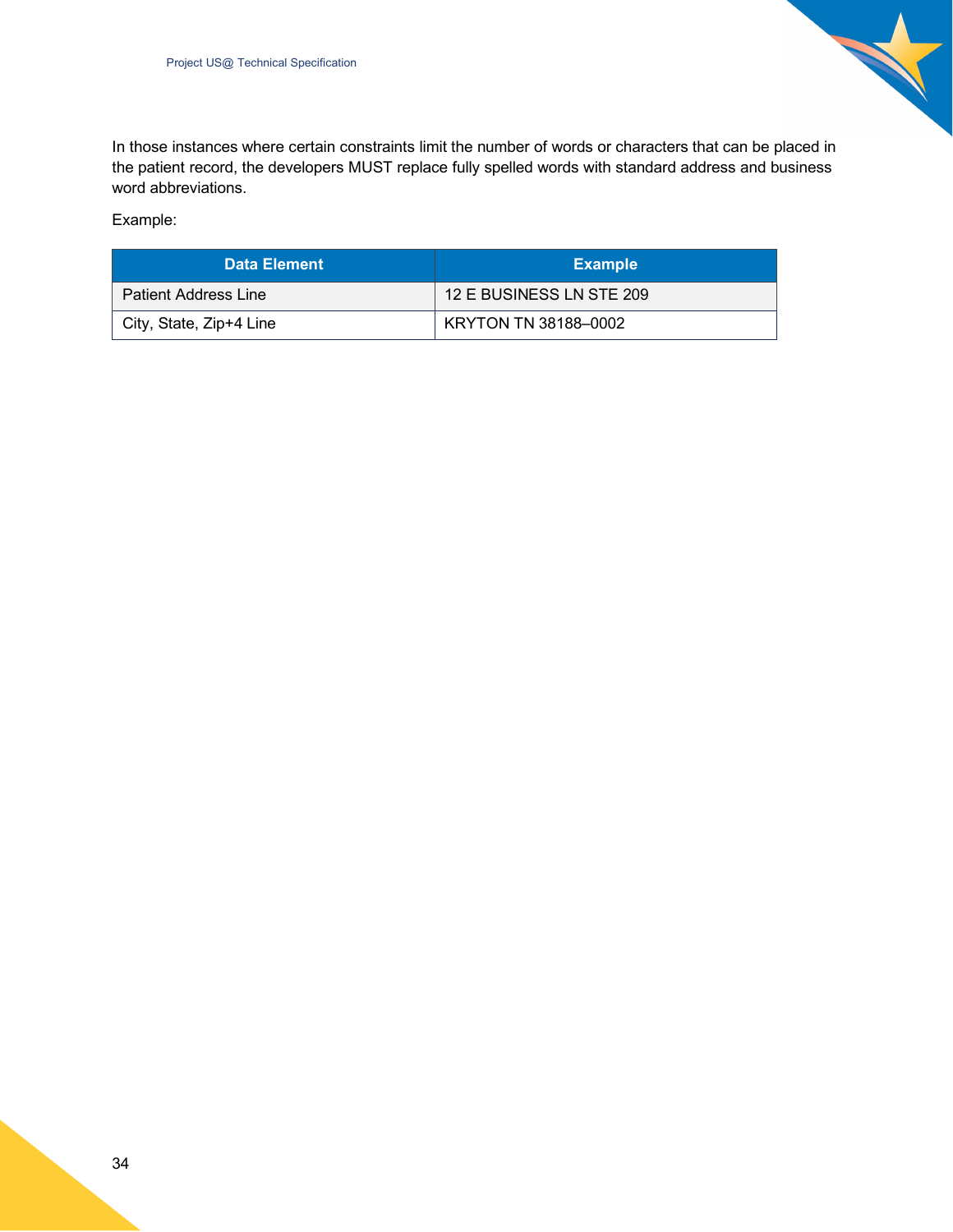

In those instances where certain constraints limit the number of words or characters that can be placed in the patient record, the developers MUST replace fully spelled words with standard address and business word abbreviations.

Example:

| Data Element                | <b>Example</b>           |
|-----------------------------|--------------------------|
| <b>Patient Address Line</b> | 12 E BUSINESS LN STE 209 |
| City, State, Zip+4 Line     | KRYTON TN 38188-0002     |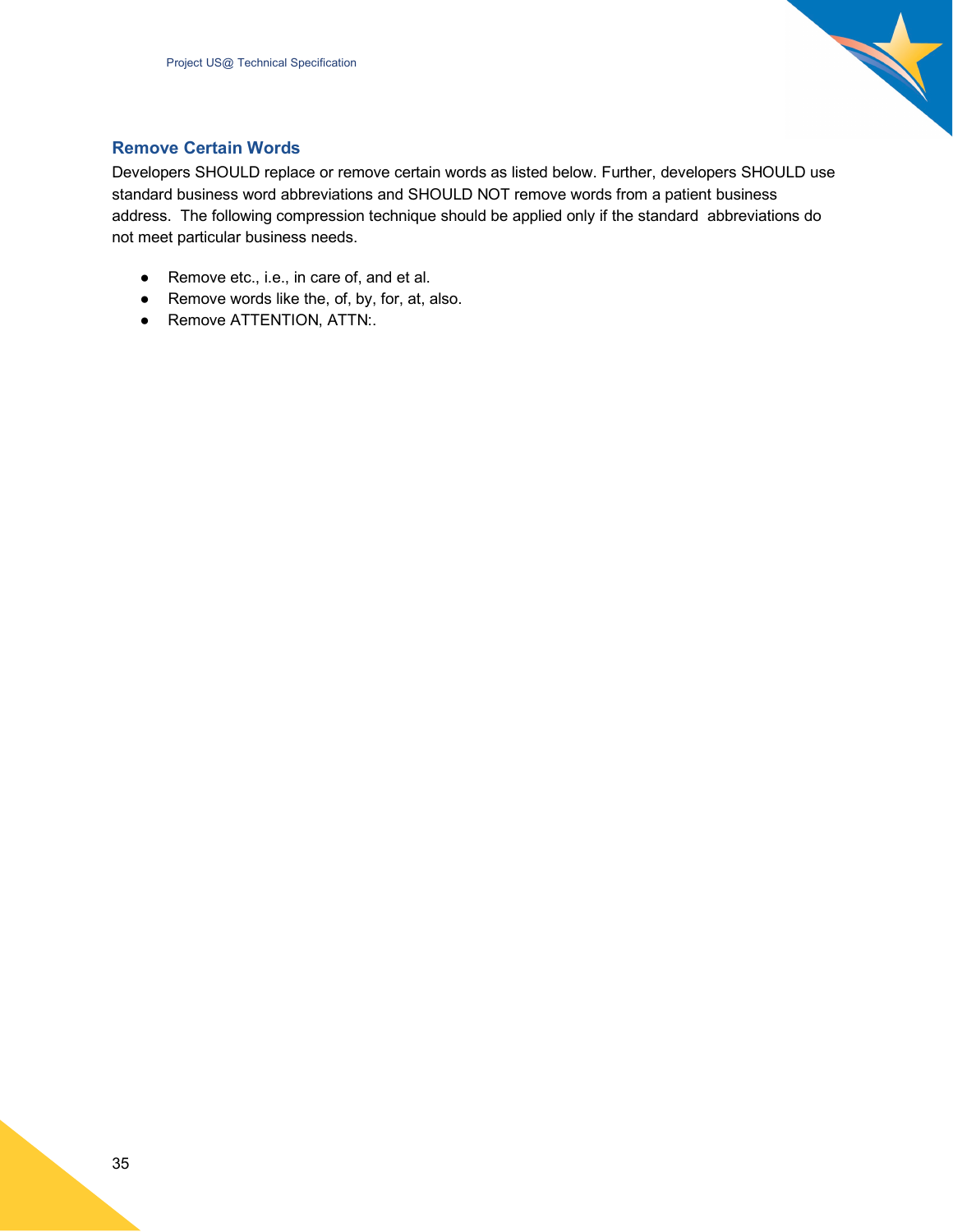

#### <span id="page-34-0"></span>**Remove Certain Words**

Developers SHOULD replace or remove certain words as listed below. Further, developers SHOULD use standard business word abbreviations and SHOULD NOT remove words from a patient business address. The following compression technique should be applied only if the standard abbreviations do not meet particular business needs.

- Remove etc., i.e., in care of, and et al.
- Remove words like the, of, by, for, at, also.
- <span id="page-34-1"></span>● Remove ATTENTION, ATTN:.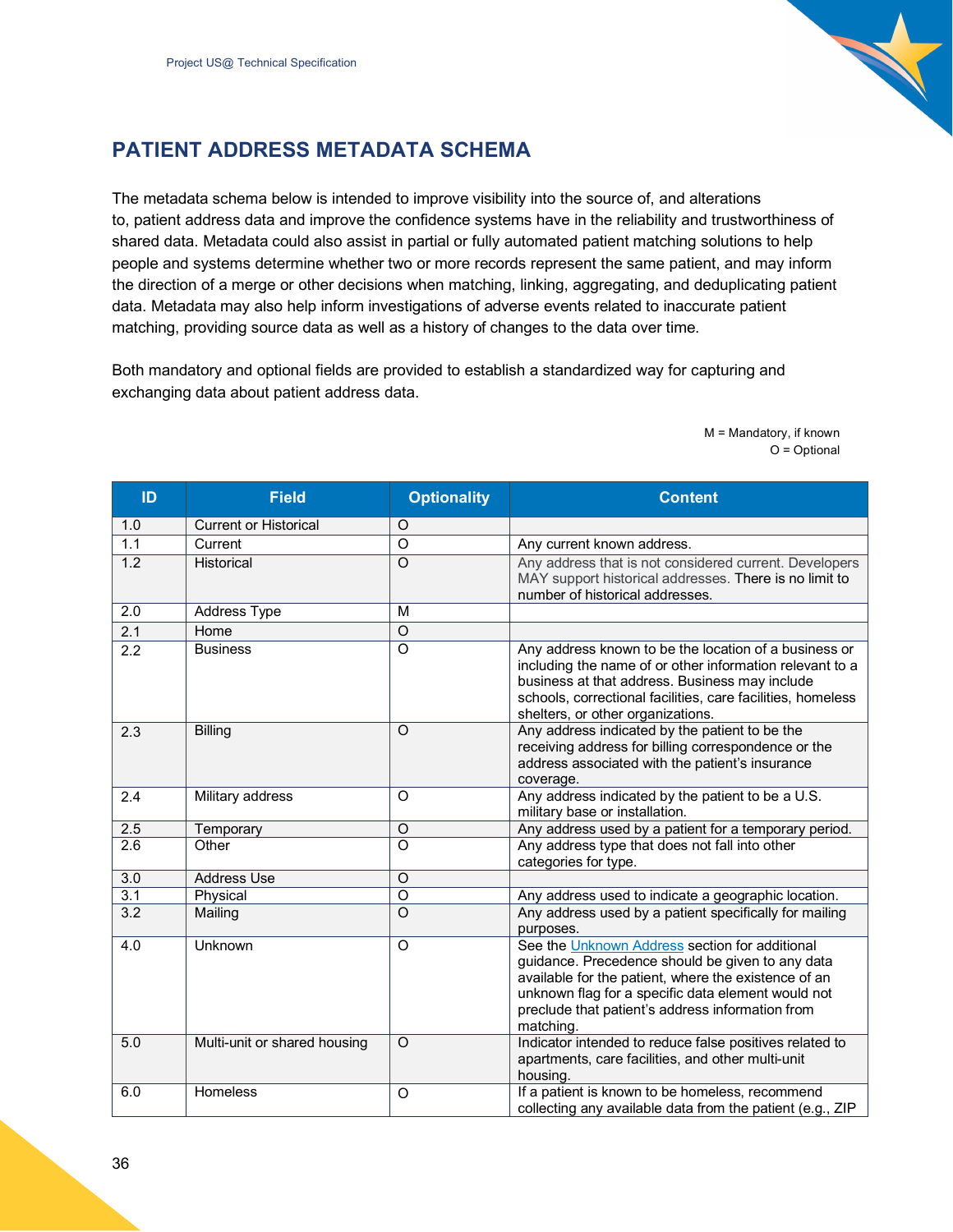

## <span id="page-35-0"></span>**PATIENT ADDRESS METADATA SCHEMA**

The metadata schema below is intended to improve visibility into the source of, and alterations to, patient address data and improve the confidence systems have in the reliability and trustworthiness of shared data. Metadata could also assist in partial or fully automated patient matching solutions to help people and systems determine whether two or more records represent the same patient, and may inform the direction of a merge or other decisions when matching, linking, aggregating, and deduplicating patient data. Metadata may also help inform investigations of adverse events related to inaccurate patient matching, providing source data as well as a history of changes to the data over time.

Both mandatory and optional fields are provided to establish a standardized way for capturing and exchanging data about patient address data.

> M = Mandatory, if known O = Optional

| ID               | <b>Field</b>                 | <b>Optionality</b> | <b>Content</b>                                                                                                                                                                                                                                                                    |
|------------------|------------------------------|--------------------|-----------------------------------------------------------------------------------------------------------------------------------------------------------------------------------------------------------------------------------------------------------------------------------|
| 1.0              | <b>Current or Historical</b> | $\circ$            |                                                                                                                                                                                                                                                                                   |
| 1.1              | Current                      | $\circ$            | Any current known address.                                                                                                                                                                                                                                                        |
| $\overline{1.2}$ | Historical                   | $\Omega$           | Any address that is not considered current. Developers<br>MAY support historical addresses. There is no limit to<br>number of historical addresses.                                                                                                                               |
| 2.0              | Address Type                 | M                  |                                                                                                                                                                                                                                                                                   |
| 2.1              | Home                         | $\circ$            |                                                                                                                                                                                                                                                                                   |
| 2.2              | <b>Business</b>              | $\circ$            | Any address known to be the location of a business or<br>including the name of or other information relevant to a<br>business at that address. Business may include<br>schools, correctional facilities, care facilities, homeless<br>shelters, or other organizations.           |
| 2.3              | <b>Billing</b>               | $\circ$            | Any address indicated by the patient to be the<br>receiving address for billing correspondence or the<br>address associated with the patient's insurance<br>coverage.                                                                                                             |
| 2.4              | Military address             | $\circ$            | Any address indicated by the patient to be a U.S.<br>military base or installation.                                                                                                                                                                                               |
| 2.5              | Temporary                    | $\circ$            | Any address used by a patient for a temporary period.                                                                                                                                                                                                                             |
| 2.6              | Other                        | $\overline{O}$     | Any address type that does not fall into other<br>categories for type.                                                                                                                                                                                                            |
| $\overline{3.0}$ | <b>Address Use</b>           | $\circ$            |                                                                                                                                                                                                                                                                                   |
| 3.1              | Physical                     | $\overline{o}$     | Any address used to indicate a geographic location.                                                                                                                                                                                                                               |
| 3.2              | Mailing                      | $\circ$            | Any address used by a patient specifically for mailing<br>purposes.                                                                                                                                                                                                               |
| 4.0              | Unknown                      | $\circ$            | See the Unknown Address section for additional<br>guidance. Precedence should be given to any data<br>available for the patient, where the existence of an<br>unknown flag for a specific data element would not<br>preclude that patient's address information from<br>matching. |
| 5.0              | Multi-unit or shared housing | $\circ$            | Indicator intended to reduce false positives related to<br>apartments, care facilities, and other multi-unit<br>housing.                                                                                                                                                          |
| 6.0              | Homeless                     | O                  | If a patient is known to be homeless, recommend<br>collecting any available data from the patient (e.g., ZIP                                                                                                                                                                      |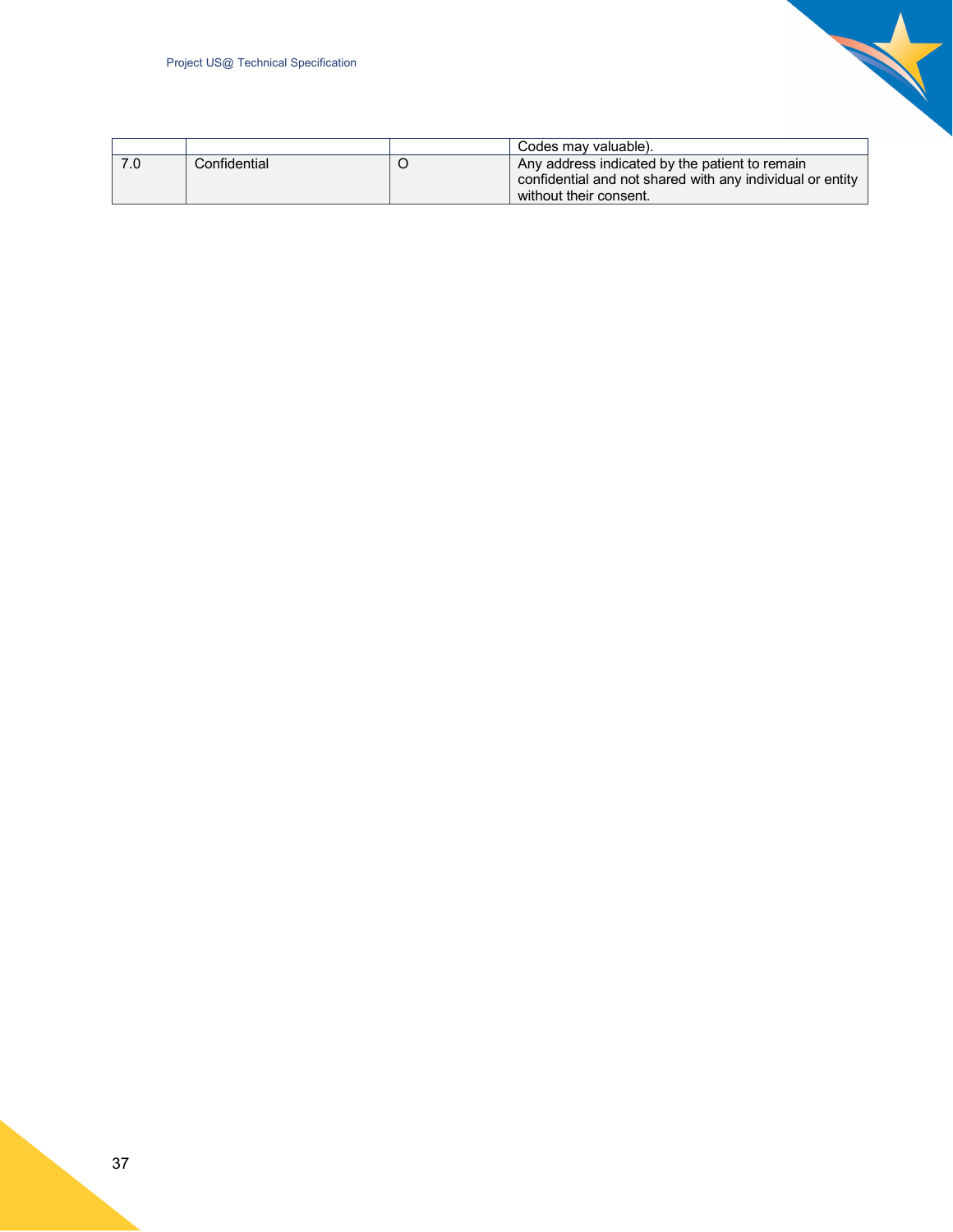

|              | Codes may valuable).                                      |
|--------------|-----------------------------------------------------------|
| Confidential | Any address indicated by the patient to remain            |
|              | confidential and not shared with any individual or entity |
|              | without their consent.                                    |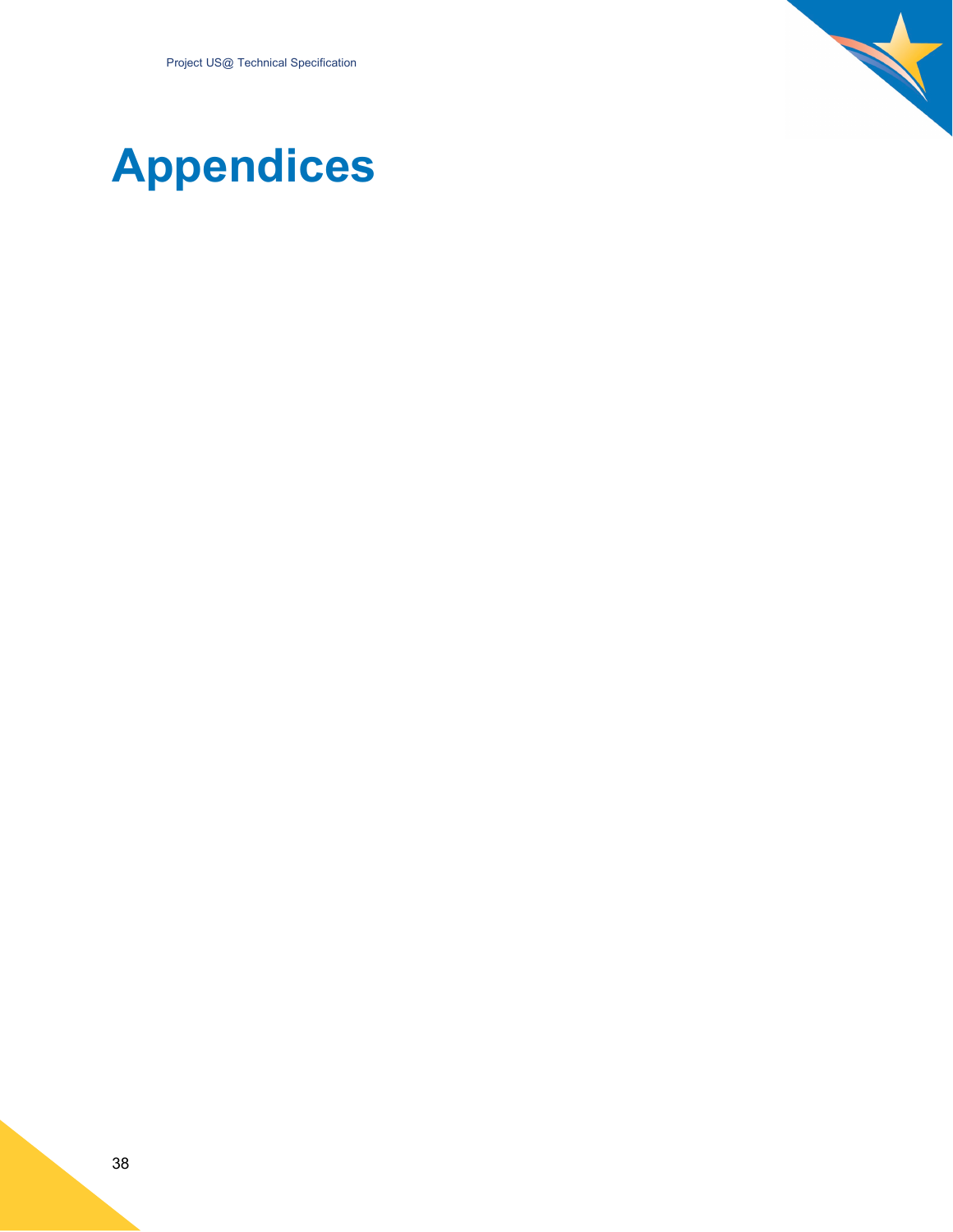

# <span id="page-37-0"></span>**Appendices**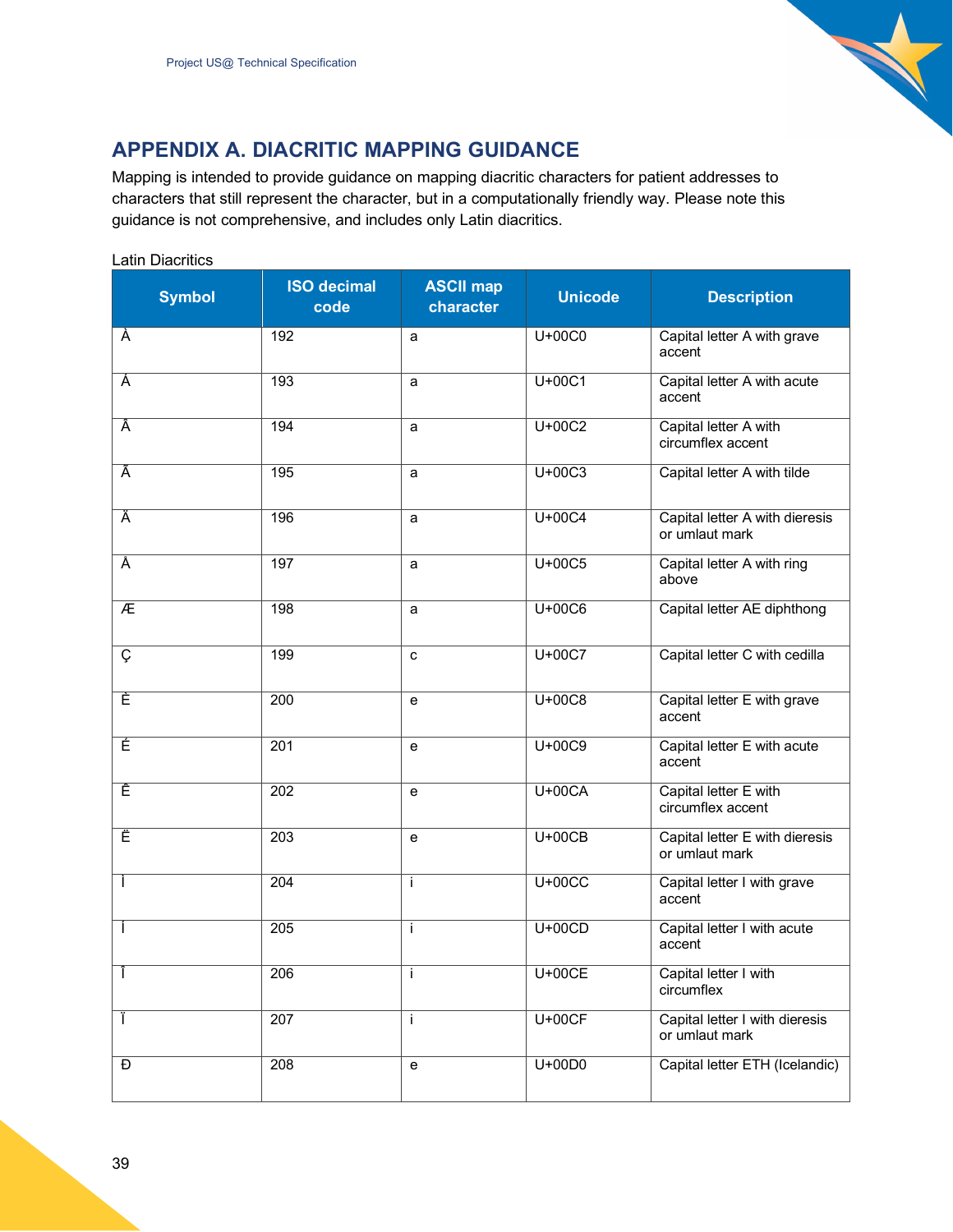

## <span id="page-38-0"></span>**APPENDIX A. DIACRITIC MAPPING GUIDANCE**

Mapping is intended to provide guidance on mapping diacritic characters for patient addresses to characters that still represent the character, but in a computationally friendly way. Please note this guidance is not comprehensive, and includes only Latin diacritics.

| <b>Symbol</b> | <b>ISO decimal</b><br>code | <b>ASCII map</b><br>character | <b>Unicode</b> | <b>Description</b>                               |
|---------------|----------------------------|-------------------------------|----------------|--------------------------------------------------|
| À             | 192                        | a                             | U+00C0         | Capital letter A with grave<br>accent            |
| Á             | 193                        | a                             | $U+00C1$       | Capital letter A with acute<br>accent            |
| Â             | 194                        | a                             | $U+00C2$       | Capital letter A with<br>circumflex accent       |
| Ã             | 195                        | a                             | $U+00C3$       | Capital letter A with tilde                      |
| Ä             | 196                        | a                             | U+00C4         | Capital letter A with dieresis<br>or umlaut mark |
| Å             | 197                        | a                             | $U+00C5$       | Capital letter A with ring<br>above              |
| Æ             | 198                        | a                             | $U+00C6$       | Capital letter AE diphthong                      |
| Ç             | 199                        | C                             | U+00C7         | Capital letter C with cedilla                    |
| È             | $\overline{200}$           | $\mathbf e$                   | $U+00C8$       | Capital letter E with grave<br>accent            |
| É             | 201                        | $\mathbf e$                   | U+00C9         | Capital letter E with acute<br>accent            |
| Ê             | 202                        | $\mathbf e$                   | $U+00CA$       | Capital letter E with<br>circumflex accent       |
| Ë             | 203                        | $\mathbf e$                   | $U+00CB$       | Capital letter E with dieresis<br>or umlaut mark |
| Ť             | 204                        | j.                            | $U+00CC$       | Capital letter I with grave<br>accent            |
| I             | 205                        | Ť                             | $U+00CD$       | Capital letter I with acute<br>accent            |
| J.            | 206                        | $\mathbf{I}$                  | $U+00CE$       | Capital letter I with<br>circumflex              |
| Ť             | $\overline{207}$           | Ť                             | $U+00CF$       | Capital letter I with dieresis<br>or umlaut mark |
| Ð             | 208                        | $\mathbf{e}$                  | $U+00D0$       | Capital letter ETH (Icelandic)                   |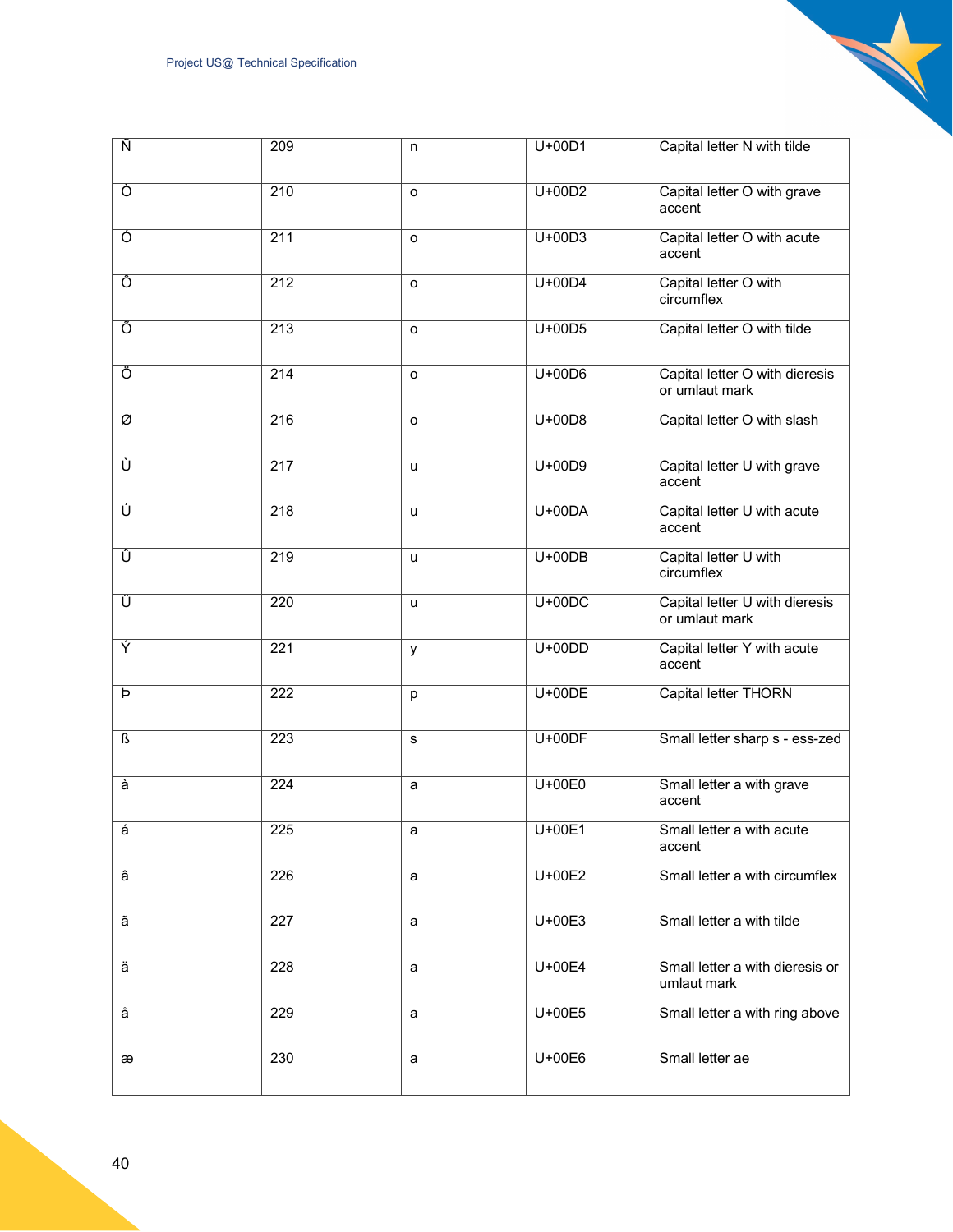| Ñ              | 209              | n       | $U+00D1$ | Capital letter N with tilde                      |
|----------------|------------------|---------|----------|--------------------------------------------------|
| Ò              | $\overline{210}$ | o       | $U+00D2$ | Capital letter O with grave<br>accent            |
| Ō              | 211              | o       | $U+00D3$ | Capital letter O with acute<br>accent            |
| Ô              | $\overline{212}$ | o       | $U+00D4$ | Capital letter O with<br>circumflex              |
| Õ              | 213              | $\circ$ | U+00D5   | Capital letter O with tilde                      |
| Ö              | $\overline{214}$ | $\circ$ | $U+00D6$ | Capital letter O with dieresis<br>or umlaut mark |
| Ø              | 216              | o       | U+00D8   | Capital letter O with slash                      |
| Ù              | $\overline{217}$ | u       | $U+00D9$ | Capital letter U with grave<br>accent            |
| Ú              | $\overline{218}$ | u       | $U+00DA$ | Capital letter U with acute<br>accent            |
| Û              | $\overline{219}$ | u       | $U+00DB$ | Capital letter U with<br>circumflex              |
| Ü              | $\overline{220}$ | u       | $U+00DC$ | Capital letter U with dieresis<br>or umlaut mark |
| Ý              | $\overline{221}$ | y       | $U+00DD$ | Capital letter Y with acute<br>accent            |
| $\overline{p}$ | 222              | р       | $U+00DE$ | Capital letter THORN                             |
| ß              | 223              | s       | $U+00DF$ | Small letter sharp s - ess-zed                   |
| à              | $\overline{224}$ | a       | $U+00E0$ | Small letter a with grave<br>accent              |
| á              | 225              | a       | $U+00E1$ | Small letter a with acute<br>accent              |
| â              | 226              | a       | $U+00E2$ | Small letter a with circumflex                   |
| ã              | 227              | a       | U+00E3   | Small letter a with tilde                        |
| ä              | 228              | a       | U+00E4   | Small letter a with dieresis or<br>umlaut mark   |
| å              | 229              | a       | U+00E5   | Small letter a with ring above                   |
| æ              | 230              | a       | U+00E6   | Small letter ae                                  |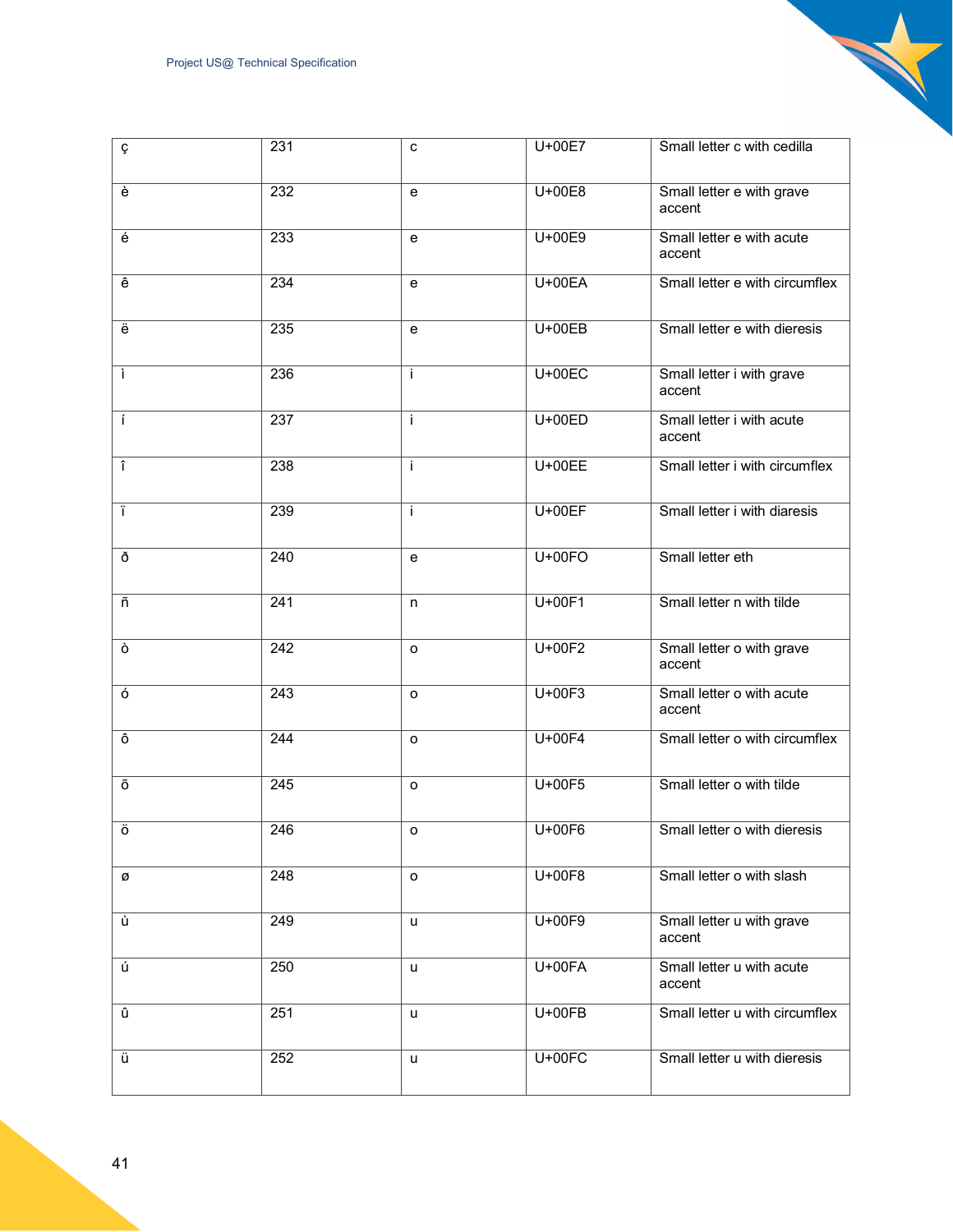| ç                       | 231              | с  | U+00E7   | Small letter c with cedilla         |
|-------------------------|------------------|----|----------|-------------------------------------|
| è                       | 232              | e  | U+00E8   | Small letter e with grave<br>accent |
| $\acute{\text e}$       | 233              | e  | U+00E9   | Small letter e with acute<br>accent |
| $\overline{e}$          | 234              | e  | $U+00EA$ | Small letter e with circumflex      |
| ë                       | 235              | e  | $U+00EB$ | Small letter e with dieresis        |
| $\overline{\mathbf{i}}$ | 236              | i. | $U+00EC$ | Small letter i with grave<br>accent |
| $\overline{1}$          | 237              | i. | $U+00ED$ | Small letter i with acute<br>accent |
| $\overline{\mathbf{r}}$ | 238              | i. | $U+00EE$ | Small letter i with circumflex      |
| $\overline{\mathsf{T}}$ | 239              | i. | $U+00EF$ | Small letter i with diaresis        |
| ð                       | $\overline{240}$ | e  | $U+00FO$ | Small letter eth                    |
| ñ                       | $\overline{241}$ | n  | $U+00F1$ | Small letter n with tilde           |
| ò                       | 242              | o  | $U+00F2$ | Small letter o with grave<br>accent |
| $\overline{6}$          | 243              | o  | $U+00F3$ | Small letter o with acute<br>accent |
| ô                       | 244              | o  | U+00F4   | Small letter o with circumflex      |
| Õ                       | 245              | o  | U+00F5   | Small letter o with tilde           |
| Ö                       | 246              | o  | U+00F6   | Small letter o with dieresis        |
| ø                       | 248              | o  | U+00F8   | Small letter o with slash           |
| ù                       | 249              | u  | U+00F9   | Small letter u with grave<br>accent |
| ú                       | 250              | u  | U+00FA   | Small letter u with acute<br>accent |
| û                       | 251              | u  | U+00FB   | Small letter u with circumflex      |
| ü                       | 252              | u  | $U+00FC$ | Small letter u with dieresis        |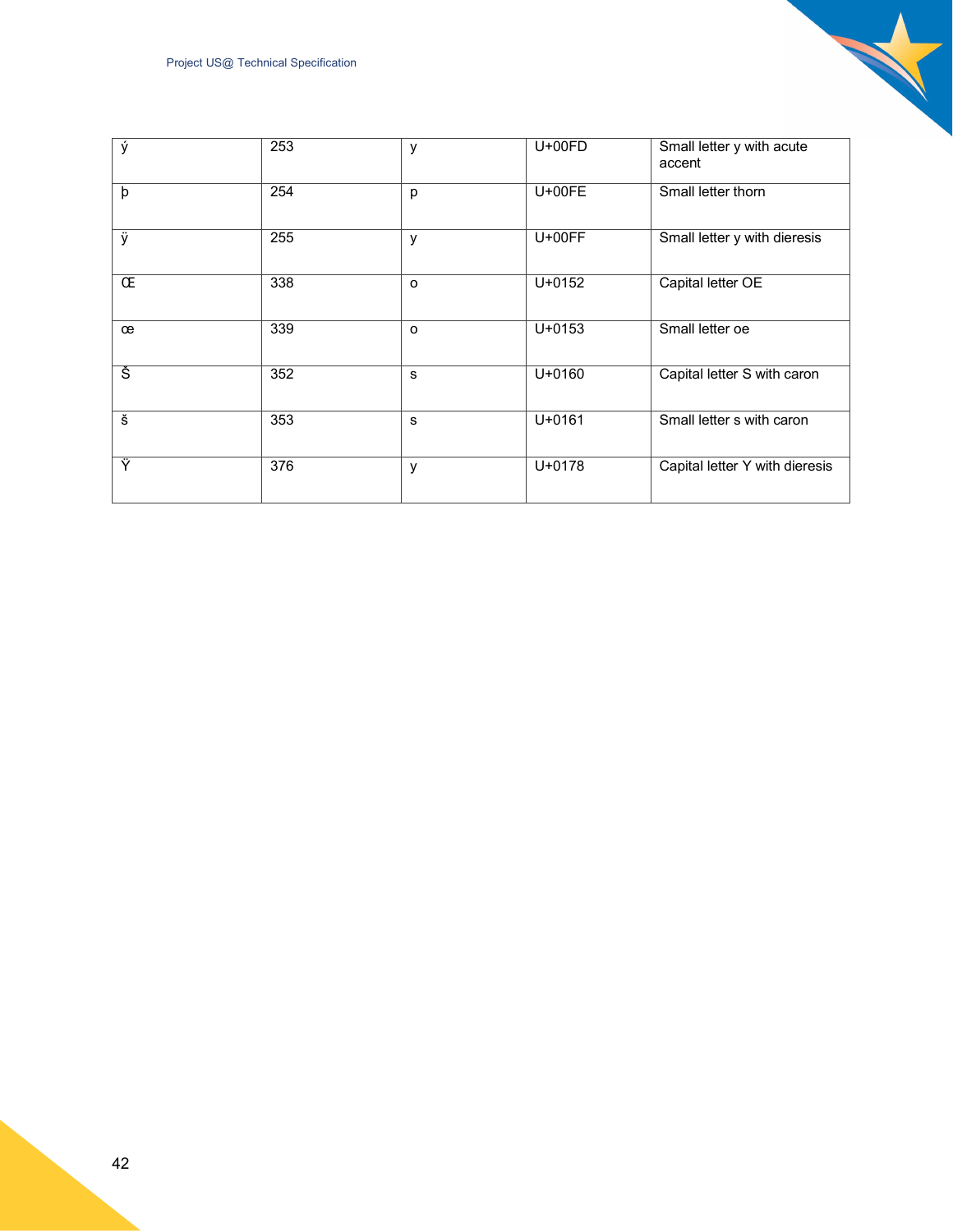<span id="page-41-0"></span>

| ý                      | 253 | y       | $U+00FD$   | Small letter y with acute<br>accent |
|------------------------|-----|---------|------------|-------------------------------------|
| þ                      | 254 | p       | $U+00FE$   | Small letter thorn                  |
| ÿ                      | 255 | y       | $U+00FF$   | Small letter y with dieresis        |
| Œ                      | 338 | $\circ$ | $U + 0152$ | Capital letter OE                   |
| œ                      | 339 | $\circ$ | $U + 0153$ | Small letter oe                     |
| Š                      | 352 | s       | $U + 0160$ | Capital letter S with caron         |
| $\overline{\check{s}}$ | 353 | s       | $U + 0161$ | Small letter s with caron           |
| Ÿ                      | 376 | y       | $U + 0178$ | Capital letter Y with dieresis      |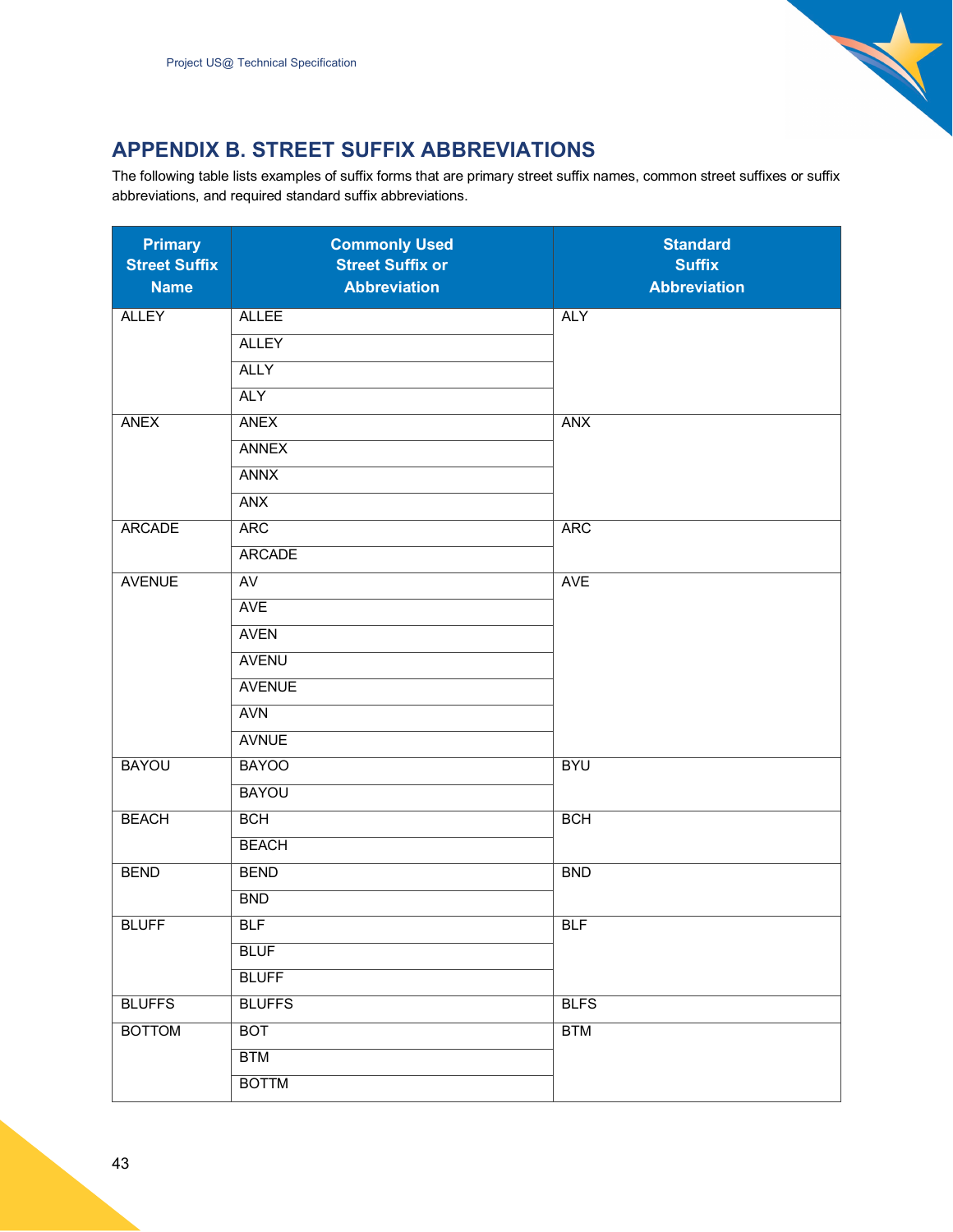

## <span id="page-42-0"></span>**APPENDIX B. STREET SUFFIX ABBREVIATIONS**

The following table lists examples of suffix forms that are primary street suffix names, common street suffixes or suffix abbreviations, and required standard suffix abbreviations.

| <b>Primary</b><br><b>Street Suffix</b><br><b>Name</b> | <b>Commonly Used</b><br><b>Street Suffix or</b><br><b>Abbreviation</b> | <b>Standard</b><br><b>Suffix</b><br><b>Abbreviation</b> |
|-------------------------------------------------------|------------------------------------------------------------------------|---------------------------------------------------------|
| <b>ALLEY</b>                                          | <b>ALLEE</b>                                                           | <b>ALY</b>                                              |
|                                                       | <b>ALLEY</b>                                                           |                                                         |
|                                                       | <b>ALLY</b>                                                            |                                                         |
|                                                       | <b>ALY</b>                                                             |                                                         |
| <b>ANEX</b>                                           | <b>ANEX</b>                                                            | <b>ANX</b>                                              |
|                                                       | <b>ANNEX</b>                                                           |                                                         |
|                                                       | <b>ANNX</b>                                                            |                                                         |
|                                                       | <b>ANX</b>                                                             |                                                         |
| <b>ARCADE</b>                                         | <b>ARC</b>                                                             | <b>ARC</b>                                              |
|                                                       | <b>ARCADE</b>                                                          |                                                         |
| <b>AVENUE</b>                                         | $\overline{AV}$                                                        | <b>AVE</b>                                              |
|                                                       | <b>AVE</b>                                                             |                                                         |
|                                                       | <b>AVEN</b>                                                            |                                                         |
|                                                       | <b>AVENU</b>                                                           |                                                         |
|                                                       | <b>AVENUE</b>                                                          |                                                         |
|                                                       | <b>AVN</b>                                                             |                                                         |
|                                                       | <b>AVNUE</b>                                                           |                                                         |
| <b>BAYOU</b>                                          | <b>BAYOO</b>                                                           | <b>BYU</b>                                              |
|                                                       | <b>BAYOU</b>                                                           |                                                         |
| <b>BEACH</b>                                          | <b>BCH</b>                                                             | <b>BCH</b>                                              |
|                                                       | <b>BEACH</b>                                                           |                                                         |
| <b>BEND</b>                                           | <b>BEND</b>                                                            | <b>BND</b>                                              |
|                                                       | <b>BND</b>                                                             |                                                         |
| <b>BLUFF</b>                                          | BLF                                                                    | <b>BLF</b>                                              |
|                                                       | <b>BLUF</b>                                                            |                                                         |
|                                                       | <b>BLUFF</b>                                                           |                                                         |
| <b>BLUFFS</b>                                         | <b>BLUFFS</b>                                                          | <b>BLFS</b>                                             |
| <b>BOTTOM</b>                                         | <b>BOT</b>                                                             | <b>BTM</b>                                              |
|                                                       | <b>BTM</b>                                                             |                                                         |
|                                                       | <b>BOTTM</b>                                                           |                                                         |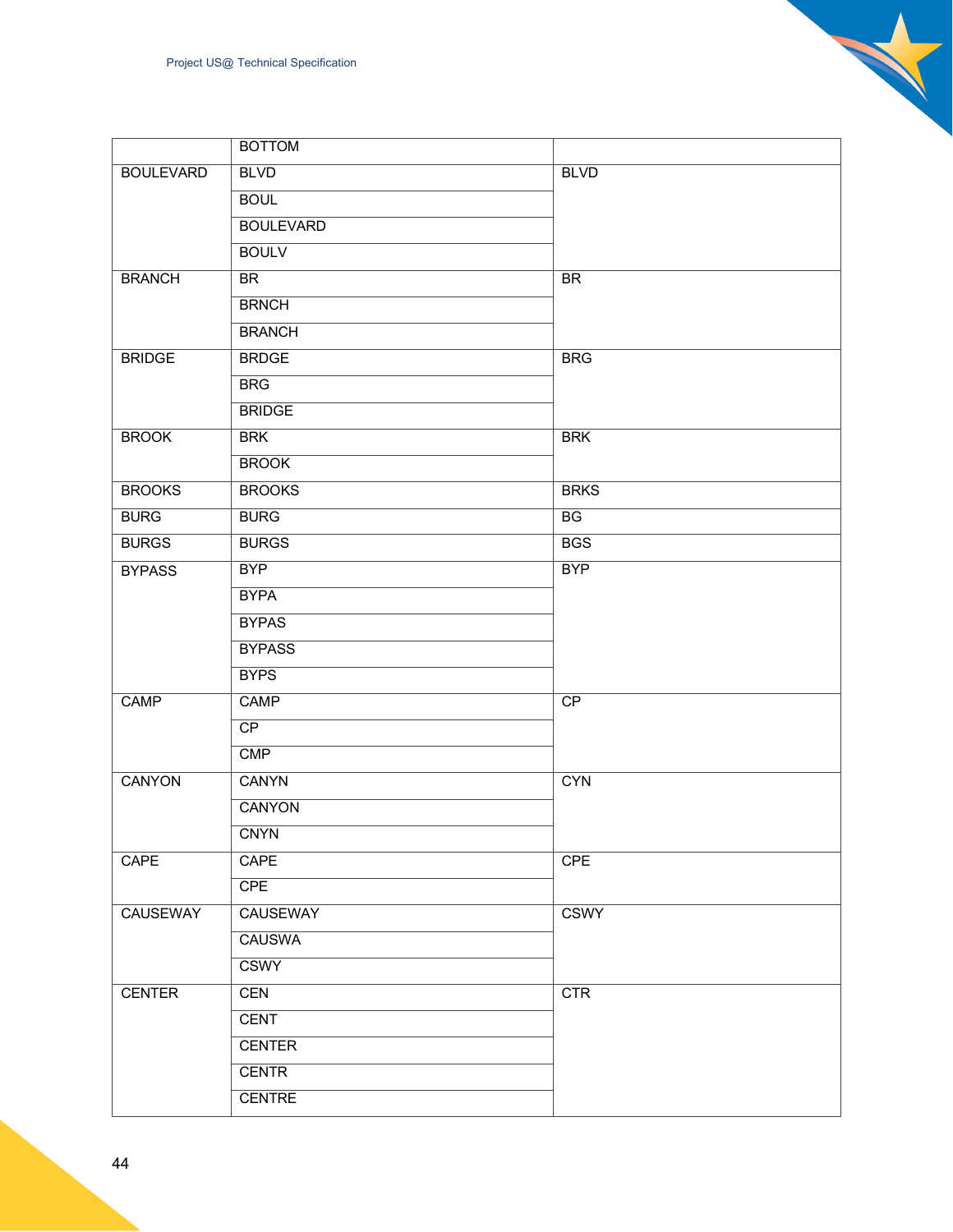|                  | <b>BOTTOM</b>    |                 |
|------------------|------------------|-----------------|
| <b>BOULEVARD</b> | <b>BLVD</b>      | <b>BLVD</b>     |
|                  | <b>BOUL</b>      |                 |
|                  | <b>BOULEVARD</b> |                 |
|                  | <b>BOULV</b>     |                 |
| <b>BRANCH</b>    | <b>BR</b>        | <b>BR</b>       |
|                  | <b>BRNCH</b>     |                 |
|                  | <b>BRANCH</b>    |                 |
| <b>BRIDGE</b>    | <b>BRDGE</b>     | <b>BRG</b>      |
|                  | <b>BRG</b>       |                 |
|                  | <b>BRIDGE</b>    |                 |
| <b>BROOK</b>     | <b>BRK</b>       | <b>BRK</b>      |
|                  | <b>BROOK</b>     |                 |
| <b>BROOKS</b>    | <b>BROOKS</b>    | <b>BRKS</b>     |
| <b>BURG</b>      | <b>BURG</b>      | $\overline{BG}$ |
| <b>BURGS</b>     | <b>BURGS</b>     | <b>BGS</b>      |
| <b>BYPASS</b>    | <b>BYP</b>       | <b>BYP</b>      |
|                  | <b>BYPA</b>      |                 |
|                  | <b>BYPAS</b>     |                 |
|                  | <b>BYPASS</b>    |                 |
|                  | <b>BYPS</b>      |                 |
| CAMP             | CAMP             | CP              |
|                  | $\overline{CP}$  |                 |
|                  | CMP              |                 |
| <b>CANYON</b>    | <b>CANYN</b>     | <b>CYN</b>      |
|                  | <b>CANYON</b>    |                 |
|                  | <b>CNYN</b>      |                 |
| CAPE             | CAPE             | <b>CPE</b>      |
|                  | <b>CPE</b>       |                 |
| <b>CAUSEWAY</b>  | <b>CAUSEWAY</b>  | <b>CSWY</b>     |
|                  | <b>CAUSWA</b>    |                 |
|                  | <b>CSWY</b>      |                 |
| <b>CENTER</b>    | <b>CEN</b>       | CTR             |
|                  | <b>CENT</b>      |                 |
|                  | <b>CENTER</b>    |                 |
|                  | <b>CENTR</b>     |                 |
|                  | <b>CENTRE</b>    |                 |

 $\mathbf{z}$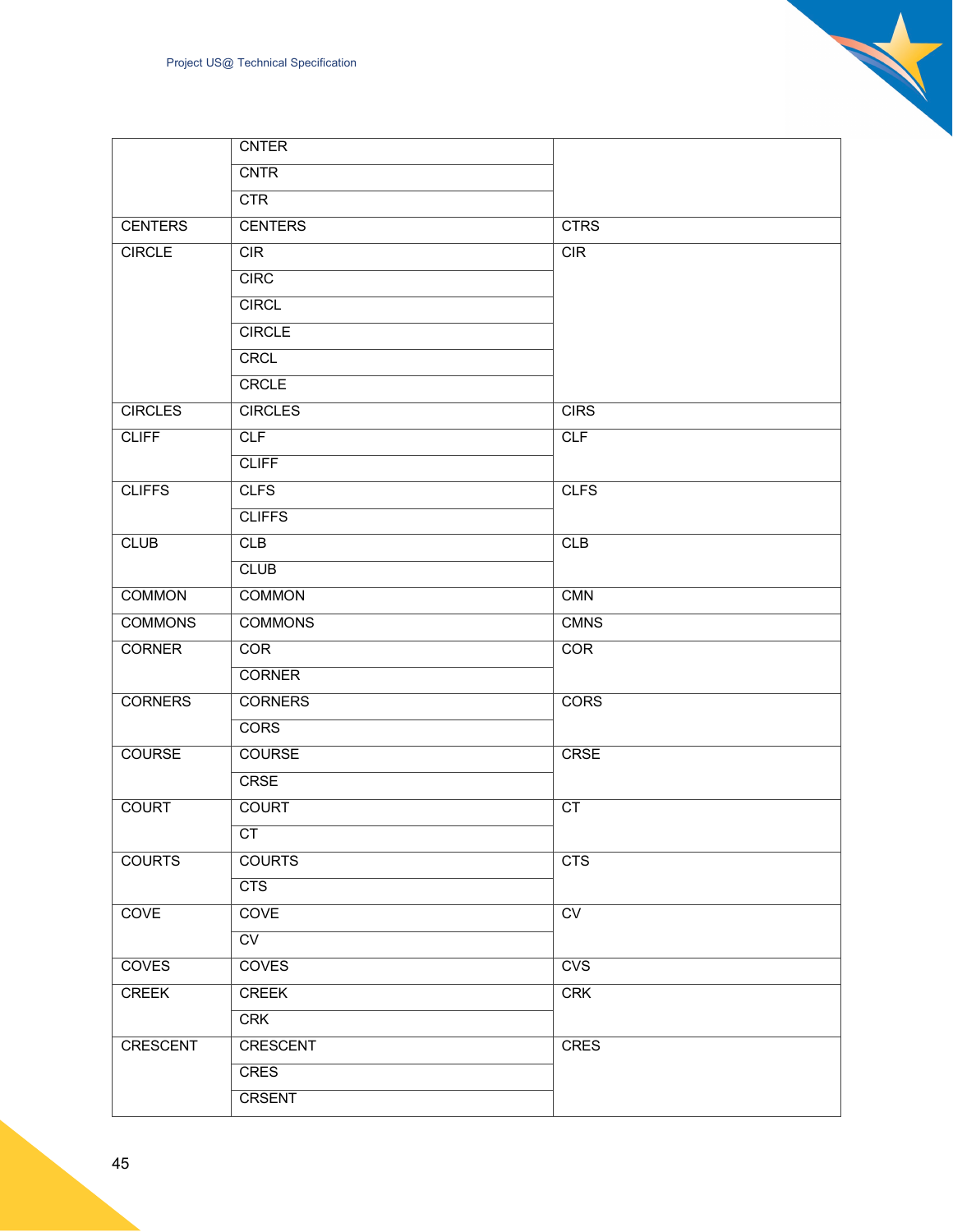|                | <b>CNTER</b>           |                        |
|----------------|------------------------|------------------------|
|                | <b>CNTR</b>            |                        |
|                | <b>CTR</b>             |                        |
| <b>CENTERS</b> | <b>CENTERS</b>         | <b>CTRS</b>            |
| <b>CIRCLE</b>  | CIR                    | CIR                    |
|                | CIRC                   |                        |
|                | <b>CIRCL</b>           |                        |
|                | <b>CIRCLE</b>          |                        |
|                | <b>CRCL</b>            |                        |
|                | <b>CRCLE</b>           |                        |
| <b>CIRCLES</b> | <b>CIRCLES</b>         | <b>CIRS</b>            |
| <b>CLIFF</b>   | CLF                    | CLF                    |
|                | <b>CLIFF</b>           |                        |
| <b>CLIFFS</b>  | <b>CLFS</b>            | <b>CLFS</b>            |
|                | <b>CLIFFS</b>          |                        |
| <b>CLUB</b>    | <b>CLB</b>             | CLB                    |
|                | <b>CLUB</b>            |                        |
| <b>COMMON</b>  | <b>COMMON</b>          | <b>CMN</b>             |
| <b>COMMONS</b> | <b>COMMONS</b>         | <b>CMNS</b>            |
| <b>CORNER</b>  | COR                    | COR                    |
|                | <b>CORNER</b>          |                        |
| <b>CORNERS</b> | <b>CORNERS</b>         | CORS                   |
|                | <b>CORS</b>            |                        |
| <b>COURSE</b>  | <b>COURSE</b>          | <b>CRSE</b>            |
|                | <b>CRSE</b>            |                        |
| <b>COURT</b>   | <b>COURT</b>           | $\overline{\text{CT}}$ |
|                | CT                     |                        |
| <b>COURTS</b>  | <b>COURTS</b>          | <b>CTS</b>             |
|                | CTS                    |                        |
| <b>COVE</b>    | <b>COVE</b>            | $\overline{\text{cv}}$ |
|                | $\overline{\text{CV}}$ |                        |
| <b>COVES</b>   | <b>COVES</b>           | CVS                    |
| <b>CREEK</b>   | <b>CREEK</b>           | CRK                    |
|                | <b>CRK</b>             |                        |
| CRESCENT       | <b>CRESCENT</b>        | <b>CRES</b>            |
|                | <b>CRES</b>            |                        |
|                | <b>CRSENT</b>          |                        |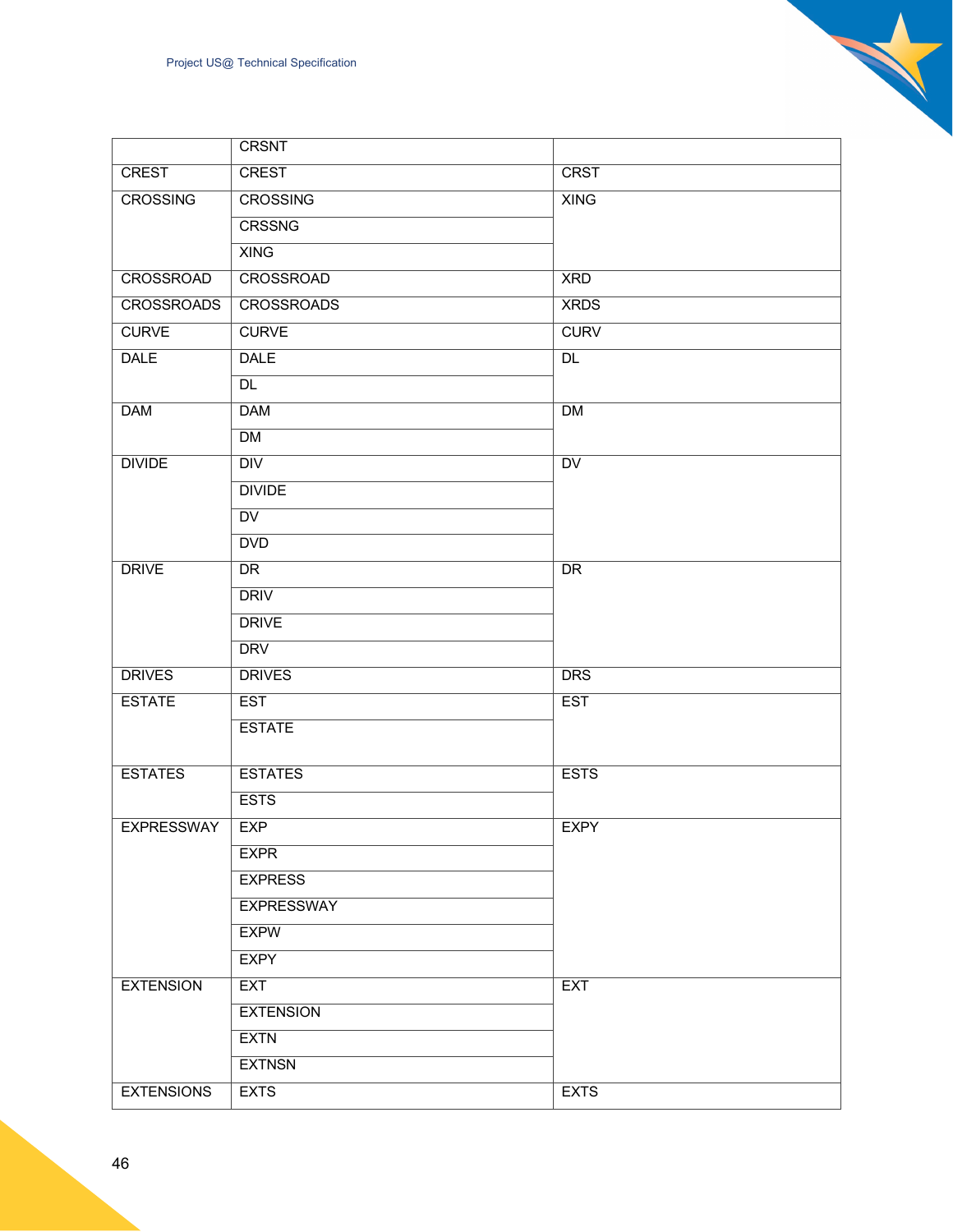|                   | <b>CRSNT</b>      |                 |
|-------------------|-------------------|-----------------|
| <b>CREST</b>      | <b>CREST</b>      | <b>CRST</b>     |
| <b>CROSSING</b>   | <b>CROSSING</b>   | <b>XING</b>     |
|                   | <b>CRSSNG</b>     |                 |
|                   | <b>XING</b>       |                 |
| <b>CROSSROAD</b>  | <b>CROSSROAD</b>  | <b>XRD</b>      |
| <b>CROSSROADS</b> | <b>CROSSROADS</b> | <b>XRDS</b>     |
| <b>CURVE</b>      | <b>CURVE</b>      | <b>CURV</b>     |
| <b>DALE</b>       | <b>DALE</b>       | <b>DL</b>       |
|                   | <b>DL</b>         |                 |
| <b>DAM</b>        | <b>DAM</b>        | <b>DM</b>       |
|                   | DM                |                 |
| <b>DIVIDE</b>     | $\overline{DIV}$  | $\overline{DV}$ |
|                   | <b>DIVIDE</b>     |                 |
|                   | $\overline{DV}$   |                 |
|                   | <b>DVD</b>        |                 |
| <b>DRIVE</b>      | <b>DR</b>         | <b>DR</b>       |
|                   | <b>DRIV</b>       |                 |
|                   | <b>DRIVE</b>      |                 |
|                   | <b>DRV</b>        |                 |
| <b>DRIVES</b>     | <b>DRIVES</b>     | <b>DRS</b>      |
| <b>ESTATE</b>     | <b>EST</b>        | <b>EST</b>      |
|                   | <b>ESTATE</b>     |                 |
|                   |                   |                 |
| <b>ESTATES</b>    | <b>ESTATES</b>    | <b>ESTS</b>     |
|                   | <b>ESTS</b>       |                 |
| <b>EXPRESSWAY</b> | <b>EXP</b>        | <b>EXPY</b>     |
|                   | <b>EXPR</b>       |                 |
|                   | <b>EXPRESS</b>    |                 |
|                   | <b>EXPRESSWAY</b> |                 |
|                   | <b>EXPW</b>       |                 |
|                   | <b>EXPY</b>       |                 |
| <b>EXTENSION</b>  | <b>EXT</b>        | <b>EXT</b>      |

**EXTENSION** 

EXTENSIONS EXTS EXTS

**EXTN EXTNSN**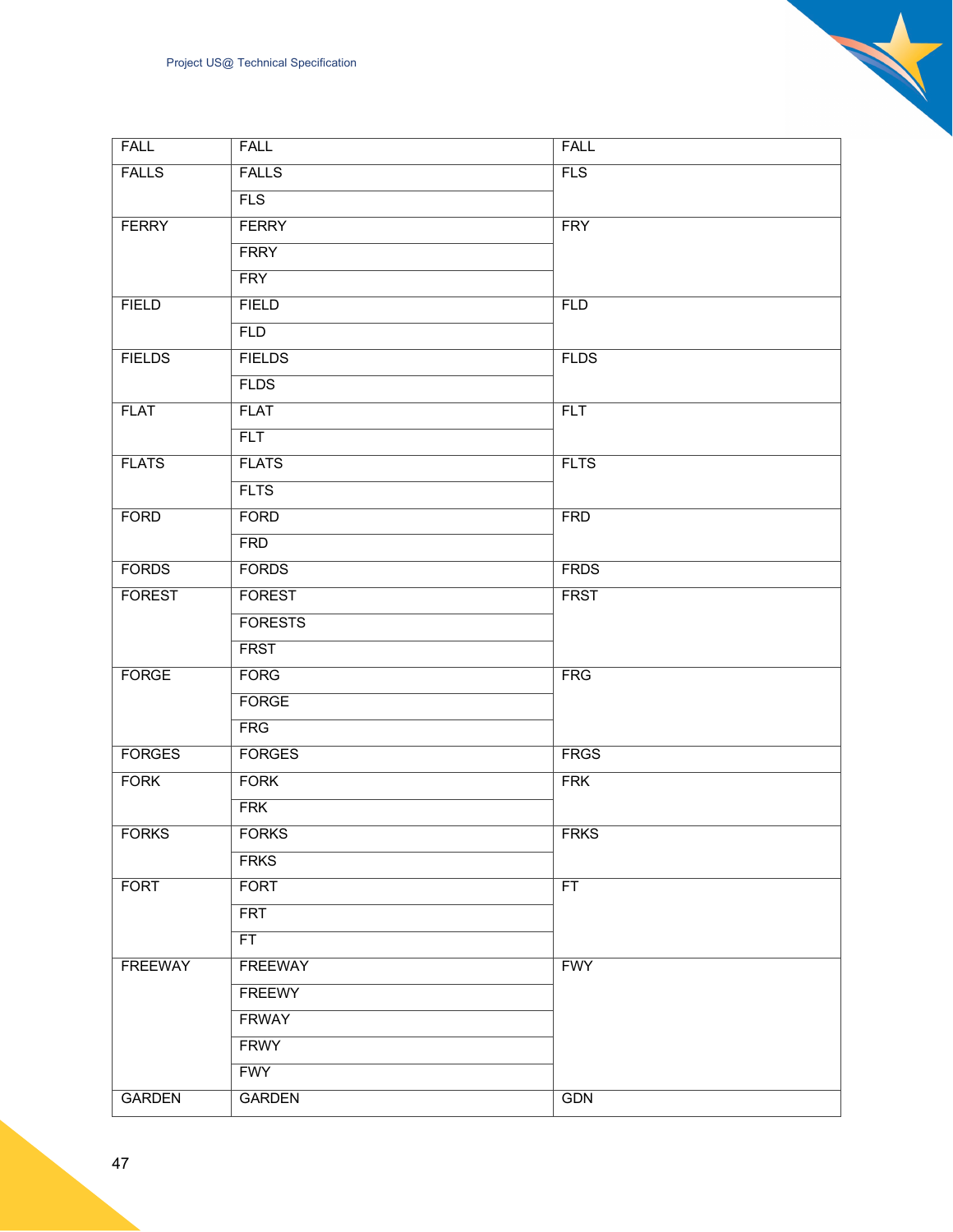| <b>FALL</b>    | <b>FALL</b>    | <b>FALL</b> |
|----------------|----------------|-------------|
| <b>FALLS</b>   | <b>FALLS</b>   | FLS         |
|                | FLS            |             |
| <b>FERRY</b>   | <b>FERRY</b>   | <b>FRY</b>  |
|                | <b>FRRY</b>    |             |
|                | <b>FRY</b>     |             |
| <b>FIELD</b>   | <b>FIELD</b>   | <b>FLD</b>  |
|                | <b>FLD</b>     |             |
| <b>FIELDS</b>  | <b>FIELDS</b>  | <b>FLDS</b> |
|                | <b>FLDS</b>    |             |
| <b>FLAT</b>    | <b>FLAT</b>    | <b>FLT</b>  |
|                | <b>FLT</b>     |             |
| <b>FLATS</b>   | <b>FLATS</b>   | <b>FLTS</b> |
|                | <b>FLTS</b>    |             |
| <b>FORD</b>    | <b>FORD</b>    | <b>FRD</b>  |
|                | <b>FRD</b>     |             |
| <b>FORDS</b>   | <b>FORDS</b>   | <b>FRDS</b> |
| <b>FOREST</b>  | <b>FOREST</b>  | <b>FRST</b> |
|                | <b>FORESTS</b> |             |
|                | <b>FRST</b>    |             |
| <b>FORGE</b>   | <b>FORG</b>    | <b>FRG</b>  |
|                | <b>FORGE</b>   |             |
|                | FRG            |             |
| <b>FORGES</b>  | <b>FORGES</b>  | <b>FRGS</b> |
| <b>FORK</b>    | <b>FORK</b>    | <b>FRK</b>  |
|                | <b>FRK</b>     |             |
| <b>FORKS</b>   | <b>FORKS</b>   | <b>FRKS</b> |
|                | <b>FRKS</b>    |             |
| <b>FORT</b>    | <b>FORT</b>    | FT          |
|                | <b>FRT</b>     |             |
|                | FT             |             |
| <b>FREEWAY</b> | <b>FREEWAY</b> | <b>FWY</b>  |
|                | <b>FREEWY</b>  |             |
|                | <b>FRWAY</b>   |             |
|                | <b>FRWY</b>    |             |
|                | <b>FWY</b>     |             |
| <b>GARDEN</b>  | <b>GARDEN</b>  | <b>GDN</b>  |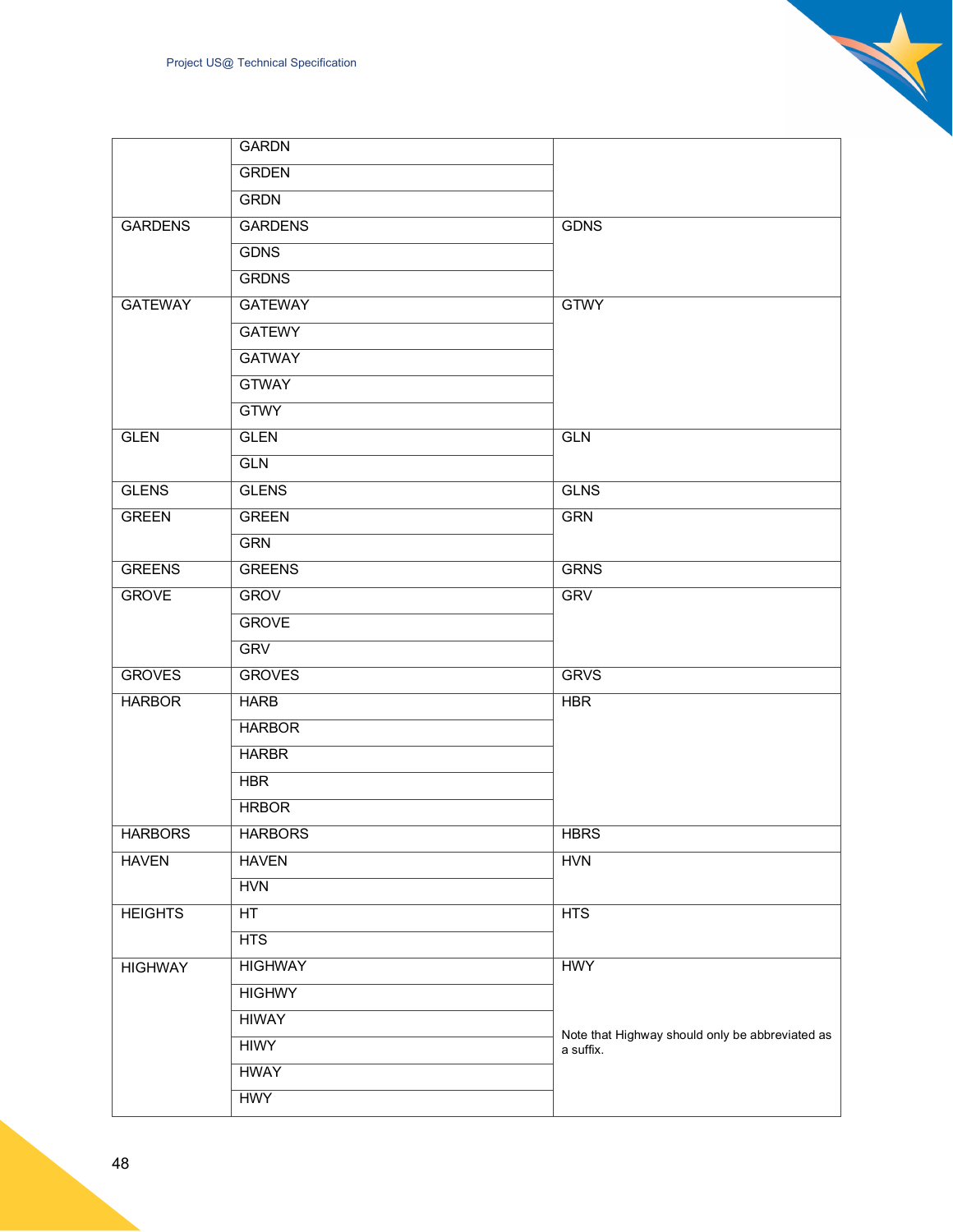|                | <b>GARDN</b>   |                                                              |
|----------------|----------------|--------------------------------------------------------------|
|                | <b>GRDEN</b>   |                                                              |
|                | <b>GRDN</b>    |                                                              |
| <b>GARDENS</b> | <b>GARDENS</b> | <b>GDNS</b>                                                  |
|                | <b>GDNS</b>    |                                                              |
|                | <b>GRDNS</b>   |                                                              |
| <b>GATEWAY</b> | <b>GATEWAY</b> | <b>GTWY</b>                                                  |
|                | <b>GATEWY</b>  |                                                              |
|                | <b>GATWAY</b>  |                                                              |
|                | <b>GTWAY</b>   |                                                              |
|                | <b>GTWY</b>    |                                                              |
| <b>GLEN</b>    | <b>GLEN</b>    | <b>GLN</b>                                                   |
|                | <b>GLN</b>     |                                                              |
| <b>GLENS</b>   | <b>GLENS</b>   | <b>GLNS</b>                                                  |
| <b>GREEN</b>   | <b>GREEN</b>   | <b>GRN</b>                                                   |
|                | <b>GRN</b>     |                                                              |
| <b>GREENS</b>  | <b>GREENS</b>  | <b>GRNS</b>                                                  |
| <b>GROVE</b>   | <b>GROV</b>    | <b>GRV</b>                                                   |
|                | <b>GROVE</b>   |                                                              |
|                | <b>GRV</b>     |                                                              |
| <b>GROVES</b>  | <b>GROVES</b>  | <b>GRVS</b>                                                  |
| <b>HARBOR</b>  | <b>HARB</b>    | <b>HBR</b>                                                   |
|                | <b>HARBOR</b>  |                                                              |
|                | <b>HARBR</b>   |                                                              |
|                | <b>HBR</b>     |                                                              |
|                | <b>HRBOR</b>   |                                                              |
| <b>HARBORS</b> | <b>HARBORS</b> | <b>HBRS</b>                                                  |
| <b>HAVEN</b>   | <b>HAVEN</b>   | <b>HVN</b>                                                   |
|                | <b>HVN</b>     |                                                              |
| <b>HEIGHTS</b> | HT             | HTS                                                          |
|                | HTS            |                                                              |
| <b>HIGHWAY</b> | <b>HIGHWAY</b> | <b>HWY</b>                                                   |
|                | <b>HIGHWY</b>  |                                                              |
|                | <b>HIWAY</b>   |                                                              |
|                | <b>HIWY</b>    | Note that Highway should only be abbreviated as<br>a suffix. |
|                | <b>HWAY</b>    |                                                              |
|                | <b>HWY</b>     |                                                              |

N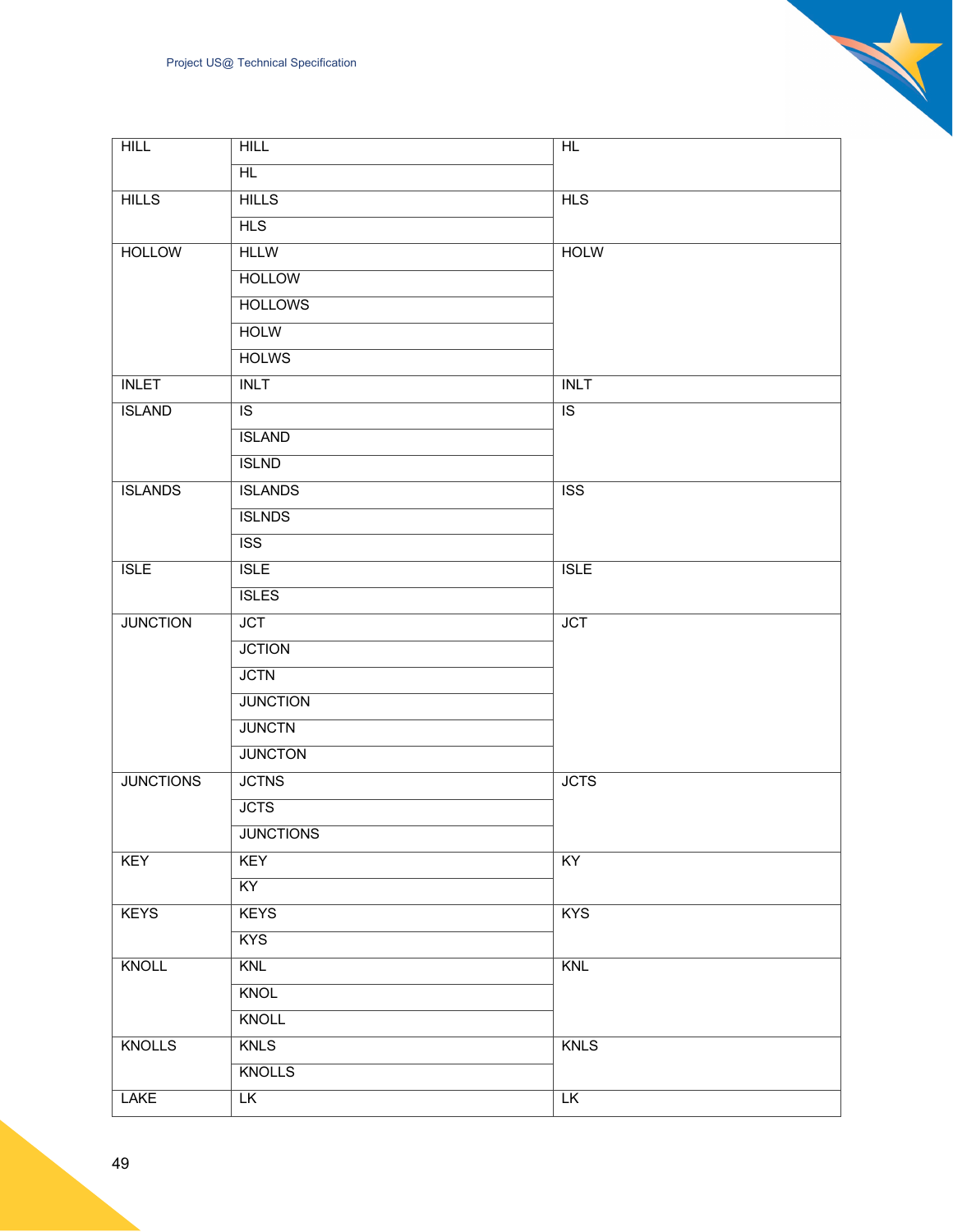| <b>HILL</b>      | HILL                    | HL                      |
|------------------|-------------------------|-------------------------|
|                  | HL                      |                         |
| <b>HILLS</b>     | <b>HILLS</b>            | HLS                     |
|                  | <b>HLS</b>              |                         |
| <b>HOLLOW</b>    | <b>HLLW</b>             | <b>HOLW</b>             |
|                  | <b>HOLLOW</b>           |                         |
|                  | <b>HOLLOWS</b>          |                         |
|                  | <b>HOLW</b>             |                         |
|                  | <b>HOLWS</b>            |                         |
| <b>INLET</b>     | <b>INLT</b>             | <b>INLT</b>             |
| <b>ISLAND</b>    | $\overline{1S}$         | $\overline{1S}$         |
|                  | <b>ISLAND</b>           |                         |
|                  | <b>ISLND</b>            |                         |
| <b>ISLANDS</b>   | <b>ISLANDS</b>          | $\overline{\text{ISS}}$ |
|                  | <b>ISLNDS</b>           |                         |
|                  | $\overline{\text{ISS}}$ |                         |
| <b>ISLE</b>      | <b>ISLE</b>             | ISLE                    |
|                  | <b>ISLES</b>            |                         |
| <b>JUNCTION</b>  | <b>JCT</b>              | <b>JCT</b>              |
|                  | <b>JCTION</b>           |                         |
|                  | <b>JCTN</b>             |                         |
|                  | <b>JUNCTION</b>         |                         |
|                  | <b>JUNCTN</b>           |                         |
|                  | <b>JUNCTON</b>          |                         |
| <b>JUNCTIONS</b> | <b>JCTNS</b>            | <b>JCTS</b>             |
|                  | <b>JCTS</b>             |                         |
|                  | <b>JUNCTIONS</b>        |                         |
| KEY              | <b>KEY</b>              | KY                      |
|                  | KY                      |                         |
| <b>KEYS</b>      | <b>KEYS</b>             | <b>KYS</b>              |
|                  | <b>KYS</b>              |                         |
| KNOLL            | KNL                     | <b>KNL</b>              |
|                  | <b>KNOL</b>             |                         |
|                  | <b>KNOLL</b>            |                         |
| <b>KNOLLS</b>    | <b>KNLS</b>             | <b>KNLS</b>             |
|                  | <b>KNOLLS</b>           |                         |
| <b>LAKE</b>      | LK                      | LK                      |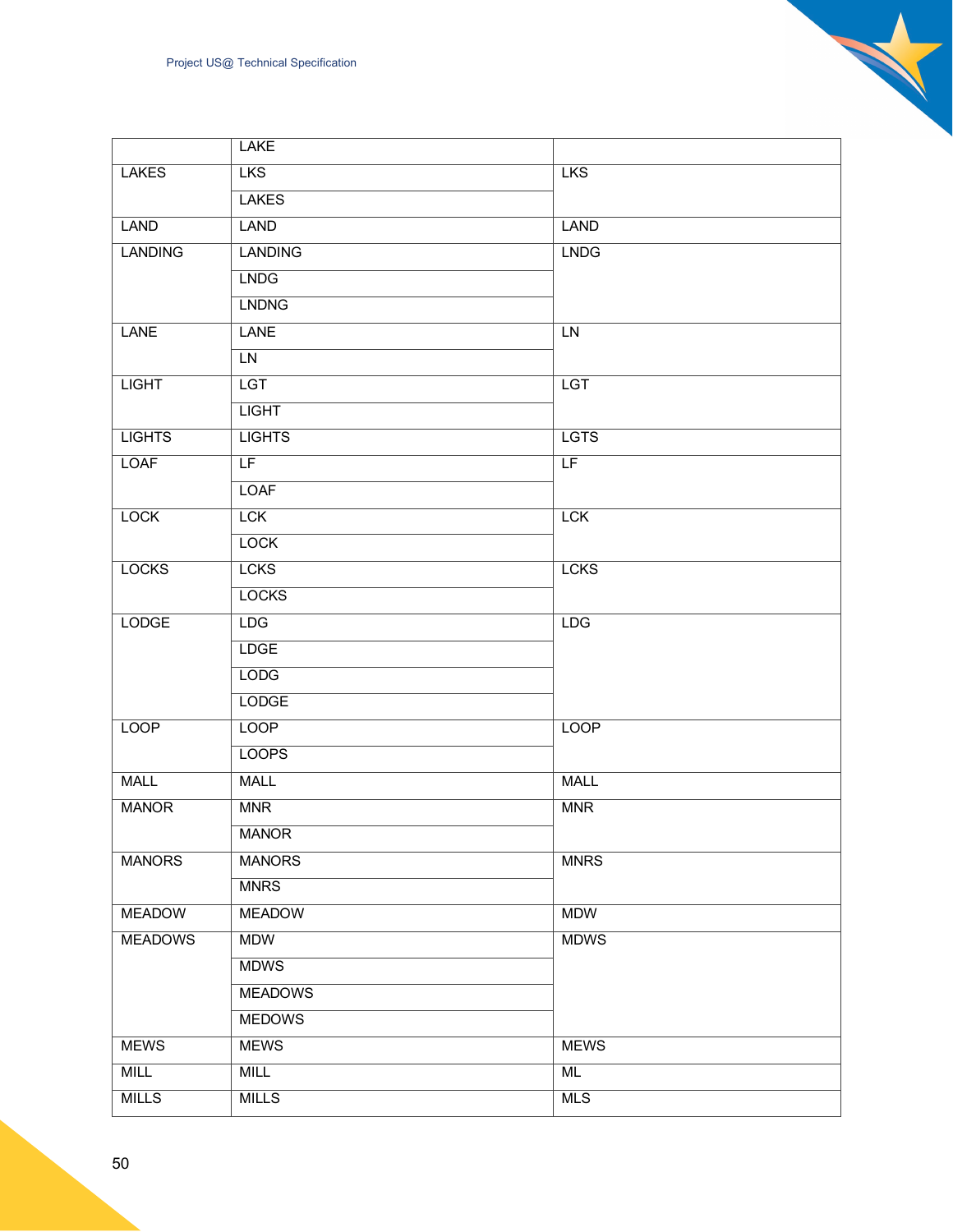|                | <b>LAKE</b>    |             |
|----------------|----------------|-------------|
| <b>LAKES</b>   | <b>LKS</b>     | <b>LKS</b>  |
|                | <b>LAKES</b>   |             |
| LAND           | LAND           | <b>LAND</b> |
| <b>LANDING</b> | <b>LANDING</b> | <b>LNDG</b> |
|                | <b>LNDG</b>    |             |
|                | <b>LNDNG</b>   |             |
| <b>LANE</b>    | <b>LANE</b>    | LN          |
|                | <b>LN</b>      |             |
| <b>LIGHT</b>   | LGT            | LGT         |
|                | <b>LIGHT</b>   |             |
| <b>LIGHTS</b>  | <b>LIGHTS</b>  | <b>LGTS</b> |
| <b>LOAF</b>    | LF.            | LF          |
|                | <b>LOAF</b>    |             |
| <b>LOCK</b>    | <b>LCK</b>     | <b>LCK</b>  |
|                | <b>LOCK</b>    |             |
| <b>LOCKS</b>   | <b>LCKS</b>    | <b>LCKS</b> |
|                | <b>LOCKS</b>   |             |
| <b>LODGE</b>   | LDG            | <b>LDG</b>  |
|                | <b>LDGE</b>    |             |
|                | <b>LODG</b>    |             |
|                | LODGE          |             |
| <b>LOOP</b>    | LOOP           | <b>LOOP</b> |
|                | <b>LOOPS</b>   |             |
| <b>MALL</b>    | <b>MALL</b>    | <b>MALL</b> |
| <b>MANOR</b>   | <b>MNR</b>     | <b>MNR</b>  |
|                | <b>MANOR</b>   |             |
| <b>MANORS</b>  | <b>MANORS</b>  | <b>MNRS</b> |
|                | <b>MNRS</b>    |             |
| <b>MEADOW</b>  | <b>MEADOW</b>  | <b>MDW</b>  |
| <b>MEADOWS</b> | <b>MDW</b>     | <b>MDWS</b> |
|                | <b>MDWS</b>    |             |
|                | <b>MEADOWS</b> |             |
|                | <b>MEDOWS</b>  |             |
| <b>MEWS</b>    | <b>MEWS</b>    | <b>MEWS</b> |
| <b>MILL</b>    | <b>MILL</b>    | <b>ML</b>   |
| <b>MILLS</b>   | <b>MILLS</b>   | <b>MLS</b>  |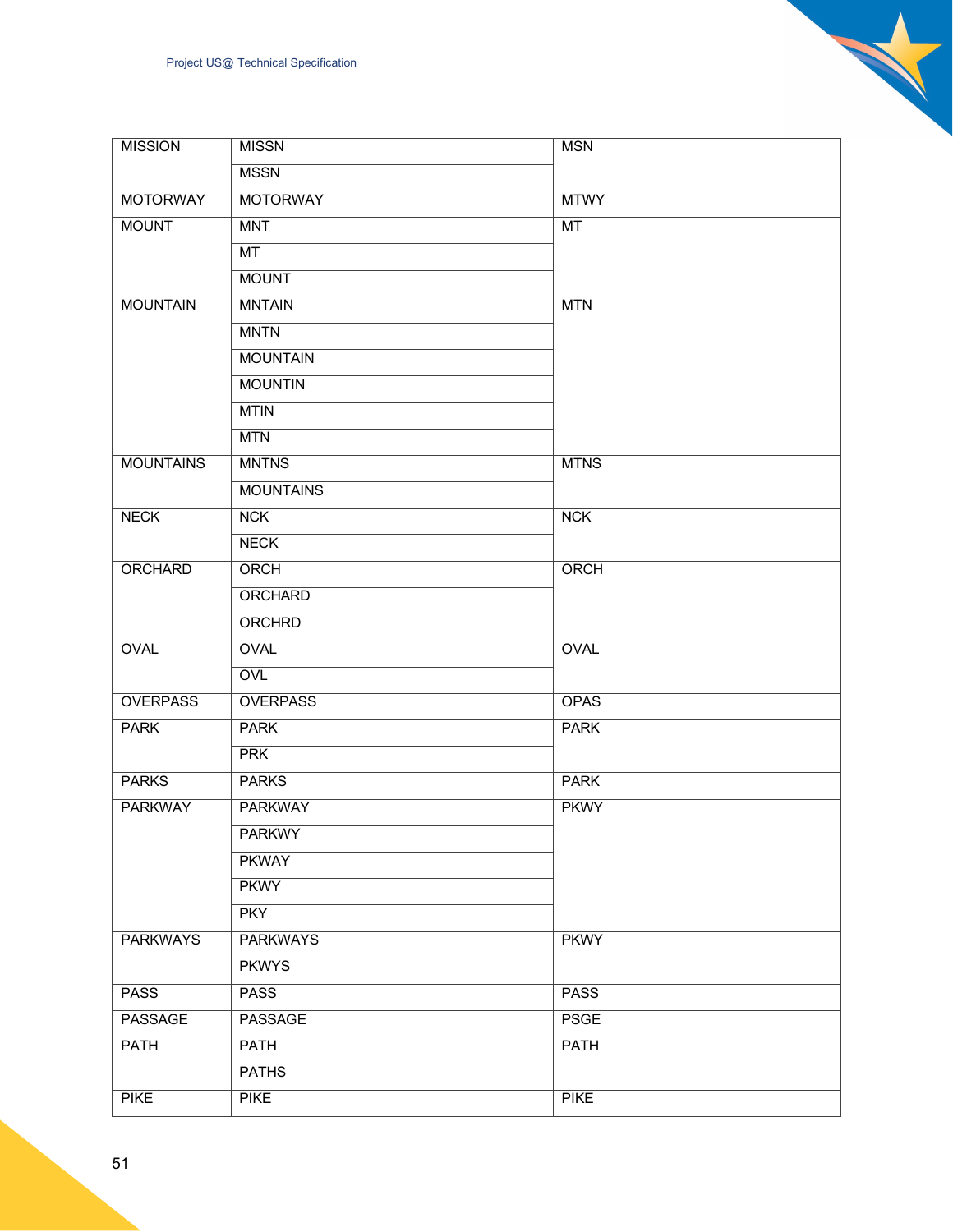| <b>MISSION</b>   | <b>MISSN</b>     | MSN         |
|------------------|------------------|-------------|
|                  | <b>MSSN</b>      |             |
| <b>MOTORWAY</b>  | <b>MOTORWAY</b>  | <b>MTWY</b> |
| <b>MOUNT</b>     | <b>MNT</b>       | MT          |
|                  | MT               |             |
|                  | <b>MOUNT</b>     |             |
| <b>MOUNTAIN</b>  | <b>MNTAIN</b>    | <b>MTN</b>  |
|                  | <b>MNTN</b>      |             |
|                  | <b>MOUNTAIN</b>  |             |
|                  | <b>MOUNTIN</b>   |             |
|                  | <b>MTIN</b>      |             |
|                  | <b>MTN</b>       |             |
| <b>MOUNTAINS</b> | <b>MNTNS</b>     | <b>MTNS</b> |
|                  | <b>MOUNTAINS</b> |             |
| <b>NECK</b>      | NCK              | NCK         |
|                  | <b>NECK</b>      |             |
| ORCHARD          | ORCH             | ORCH        |
|                  | <b>ORCHARD</b>   |             |
|                  | <b>ORCHRD</b>    |             |
| <b>OVAL</b>      | <b>OVAL</b>      | <b>OVAL</b> |
|                  | <b>OVL</b>       |             |
| <b>OVERPASS</b>  | <b>OVERPASS</b>  | <b>OPAS</b> |
| <b>PARK</b>      | <b>PARK</b>      | <b>PARK</b> |
|                  | <b>PRK</b>       |             |
| <b>PARKS</b>     | <b>PARKS</b>     | <b>PARK</b> |
| <b>PARKWAY</b>   | <b>PARKWAY</b>   | <b>PKWY</b> |
|                  | <b>PARKWY</b>    |             |
|                  | <b>PKWAY</b>     |             |
|                  | <b>PKWY</b>      |             |
|                  | <b>PKY</b>       |             |
| <b>PARKWAYS</b>  | <b>PARKWAYS</b>  | <b>PKWY</b> |
|                  | <b>PKWYS</b>     |             |
| <b>PASS</b>      | <b>PASS</b>      | <b>PASS</b> |
| PASSAGE          | PASSAGE          | <b>PSGE</b> |
| <b>PATH</b>      | <b>PATH</b>      | <b>PATH</b> |
|                  | <b>PATHS</b>     |             |
| <b>PIKE</b>      | <b>PIKE</b>      | <b>PIKE</b> |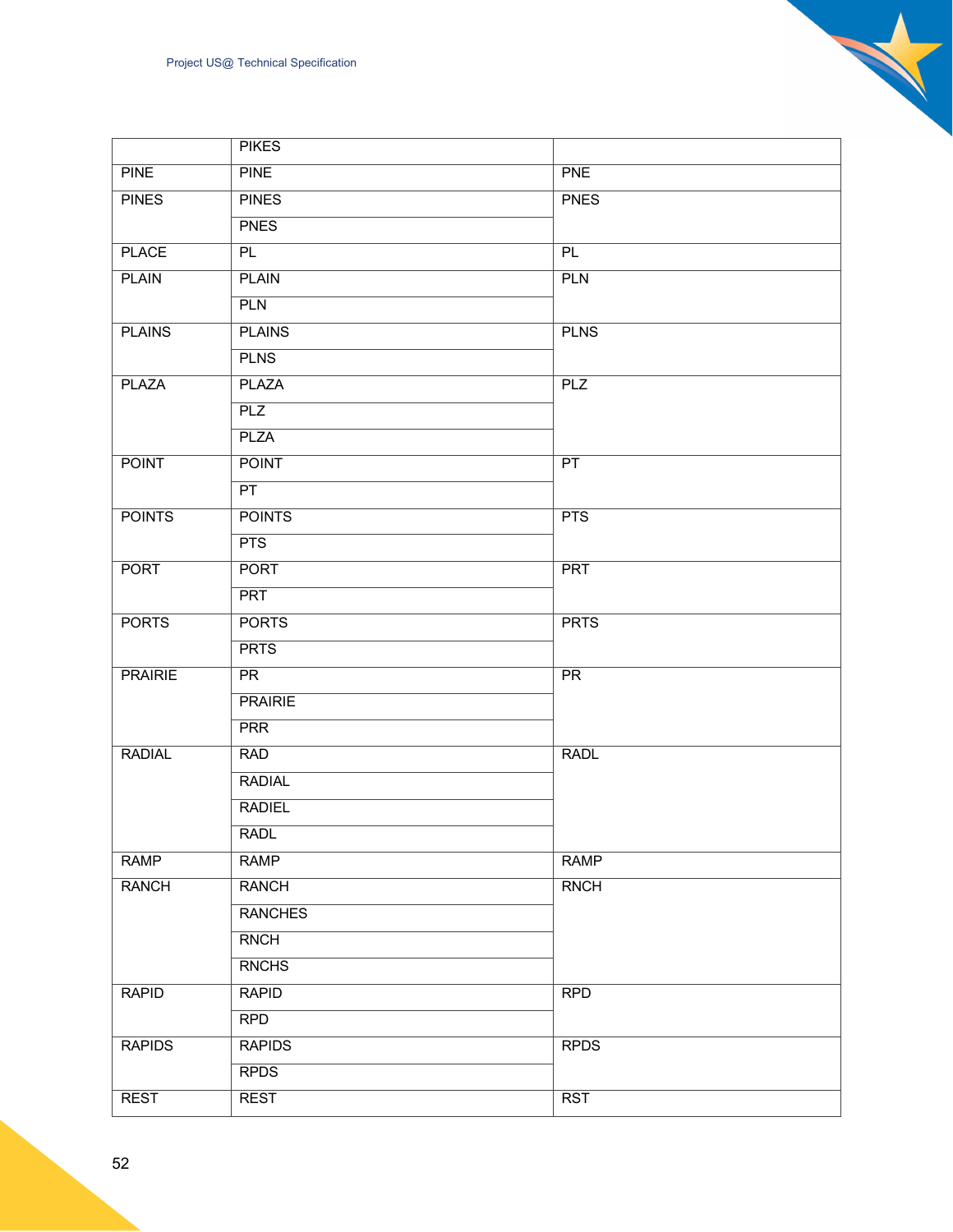|                | <b>PIKES</b>   |                 |  |
|----------------|----------------|-----------------|--|
| <b>PINE</b>    | <b>PINE</b>    | <b>PNE</b>      |  |
| <b>PINES</b>   | <b>PINES</b>   | <b>PNES</b>     |  |
|                | <b>PNES</b>    |                 |  |
| <b>PLACE</b>   | PL             | PL              |  |
| <b>PLAIN</b>   | <b>PLAIN</b>   | <b>PLN</b>      |  |
|                | <b>PLN</b>     |                 |  |
| <b>PLAINS</b>  | <b>PLAINS</b>  | <b>PLNS</b>     |  |
|                | <b>PLNS</b>    |                 |  |
| <b>PLAZA</b>   | <b>PLAZA</b>   | PLZ             |  |
|                | PLZ            |                 |  |
|                | <b>PLZA</b>    |                 |  |
| <b>POINT</b>   | <b>POINT</b>   | PT              |  |
|                | PT             |                 |  |
| <b>POINTS</b>  | <b>POINTS</b>  | PTS             |  |
|                | <b>PTS</b>     |                 |  |
| <b>PORT</b>    | <b>PORT</b>    | <b>PRT</b>      |  |
|                | <b>PRT</b>     |                 |  |
| <b>PORTS</b>   | <b>PORTS</b>   | <b>PRTS</b>     |  |
|                | <b>PRTS</b>    |                 |  |
| <b>PRAIRIE</b> | PR             | $\overline{PR}$ |  |
|                | <b>PRAIRIE</b> |                 |  |
|                | <b>PRR</b>     |                 |  |
| <b>RADIAL</b>  | <b>RAD</b>     | <b>RADL</b>     |  |
|                | <b>RADIAL</b>  |                 |  |
|                | <b>RADIEL</b>  |                 |  |
|                | <b>RADL</b>    |                 |  |
| <b>RAMP</b>    | <b>RAMP</b>    | <b>RAMP</b>     |  |
| <b>RANCH</b>   | <b>RANCH</b>   | <b>RNCH</b>     |  |
|                | <b>RANCHES</b> |                 |  |
|                | <b>RNCH</b>    |                 |  |
|                | <b>RNCHS</b>   |                 |  |
| <b>RAPID</b>   | <b>RAPID</b>   | <b>RPD</b>      |  |
|                | <b>RPD</b>     |                 |  |
| <b>RAPIDS</b>  | <b>RAPIDS</b>  | <b>RPDS</b>     |  |
|                | <b>RPDS</b>    |                 |  |
| <b>REST</b>    | <b>REST</b>    | <b>RST</b>      |  |
|                |                |                 |  |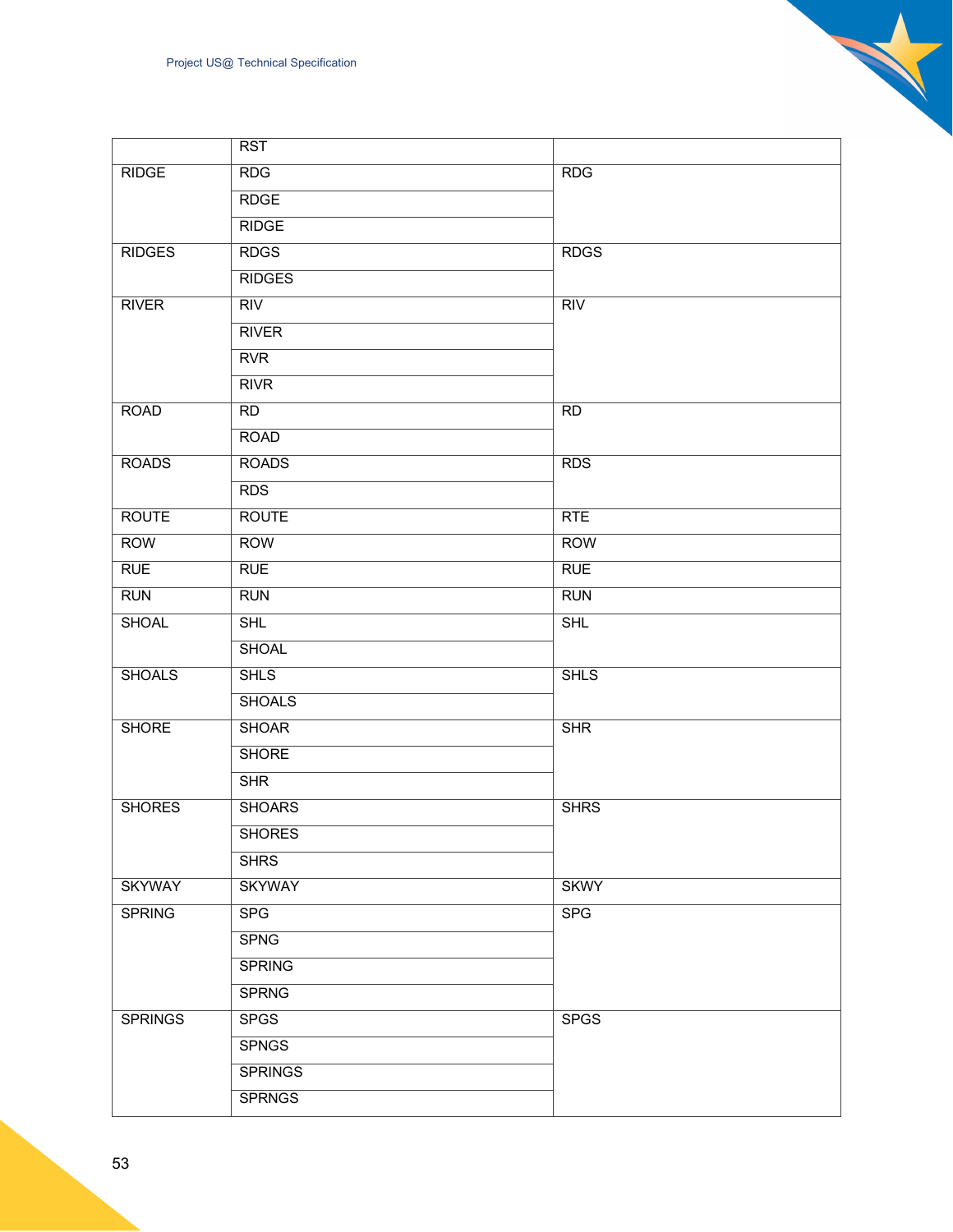|                | RST            |             |
|----------------|----------------|-------------|
| <b>RIDGE</b>   | <b>RDG</b>     | <b>RDG</b>  |
|                | <b>RDGE</b>    |             |
|                | <b>RIDGE</b>   |             |
| <b>RIDGES</b>  | <b>RDGS</b>    | <b>RDGS</b> |
|                | <b>RIDGES</b>  |             |
| <b>RIVER</b>   | RIV            | RIV         |
|                | <b>RIVER</b>   |             |
|                | <b>RVR</b>     |             |
|                | <b>RIVR</b>    |             |
| <b>ROAD</b>    | RD             | <b>RD</b>   |
|                | <b>ROAD</b>    |             |
| <b>ROADS</b>   | <b>ROADS</b>   | <b>RDS</b>  |
|                | <b>RDS</b>     |             |
| <b>ROUTE</b>   | <b>ROUTE</b>   | RTE         |
| <b>ROW</b>     | <b>ROW</b>     | <b>ROW</b>  |
| <b>RUE</b>     | <b>RUE</b>     | <b>RUE</b>  |
| <b>RUN</b>     | <b>RUN</b>     | <b>RUN</b>  |
| <b>SHOAL</b>   | <b>SHL</b>     | SHL         |
|                | <b>SHOAL</b>   |             |
| <b>SHOALS</b>  | <b>SHLS</b>    | <b>SHLS</b> |
|                | <b>SHOALS</b>  |             |
| <b>SHORE</b>   | <b>SHOAR</b>   | <b>SHR</b>  |
|                | <b>SHORE</b>   |             |
|                | SHR            |             |
| <b>SHORES</b>  | <b>SHOARS</b>  | <b>SHRS</b> |
|                | <b>SHORES</b>  |             |
|                | <b>SHRS</b>    |             |
| <b>SKYWAY</b>  | <b>SKYWAY</b>  | <b>SKWY</b> |
| <b>SPRING</b>  | <b>SPG</b>     | <b>SPG</b>  |
|                | <b>SPNG</b>    |             |
|                | <b>SPRING</b>  |             |
|                | <b>SPRNG</b>   |             |
| <b>SPRINGS</b> | <b>SPGS</b>    | <b>SPGS</b> |
|                | <b>SPNGS</b>   |             |
|                | <b>SPRINGS</b> |             |
|                | <b>SPRNGS</b>  |             |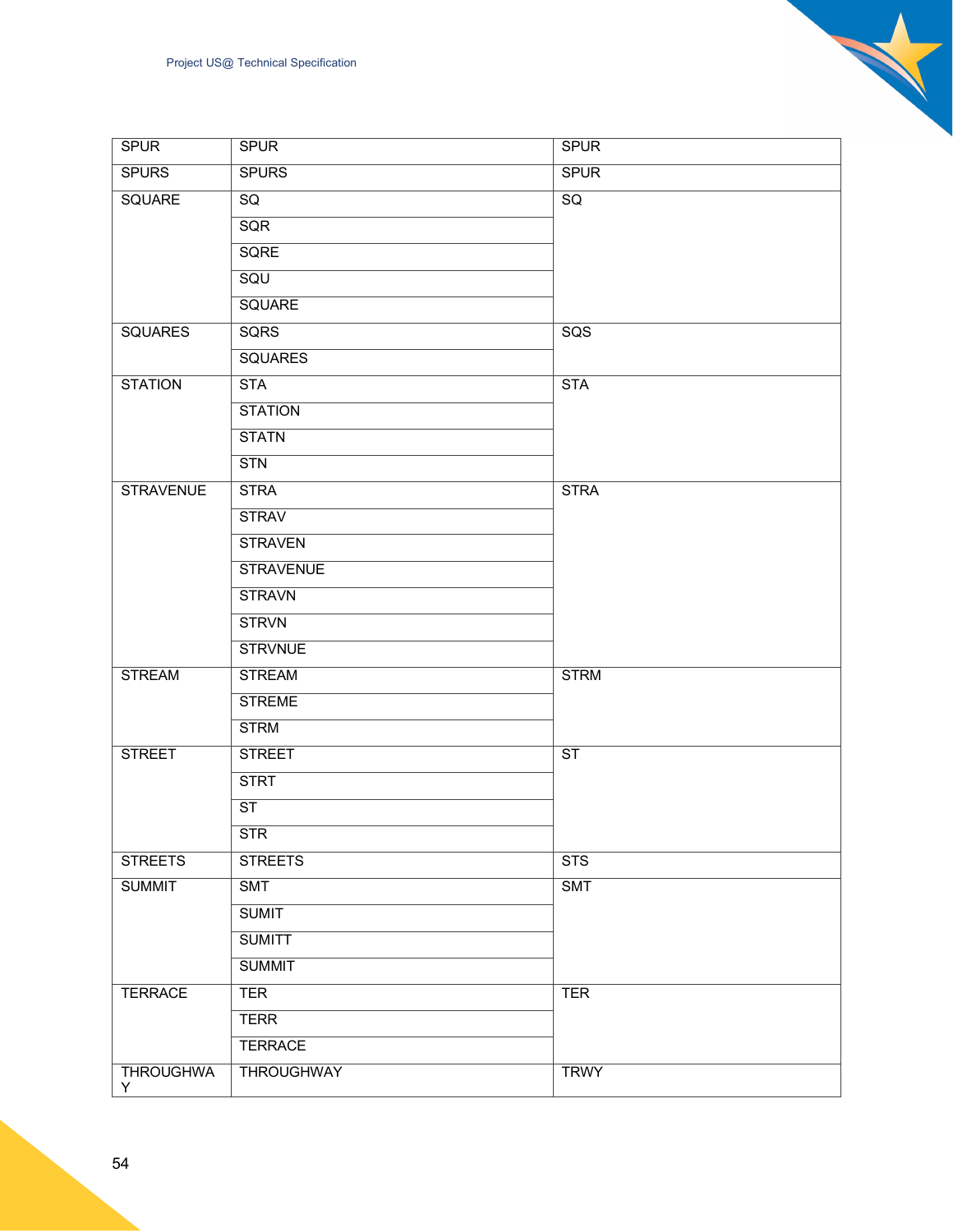| <b>SPUR</b>            | <b>SPUR</b>            | <b>SPUR</b>            |
|------------------------|------------------------|------------------------|
| <b>SPURS</b>           | <b>SPURS</b>           | <b>SPUR</b>            |
| <b>SQUARE</b>          | SQ                     | $\overline{SQ}$        |
|                        | SQR                    |                        |
|                        | <b>SQRE</b>            |                        |
|                        | <b>SQU</b>             |                        |
|                        | <b>SQUARE</b>          |                        |
| <b>SQUARES</b>         | <b>SQRS</b>            | SGS                    |
|                        | <b>SQUARES</b>         |                        |
| <b>STATION</b>         | <b>STA</b>             | <b>STA</b>             |
|                        | <b>STATION</b>         |                        |
|                        | <b>STATN</b>           |                        |
|                        | STN                    |                        |
| <b>STRAVENUE</b>       | <b>STRA</b>            | <b>STRA</b>            |
|                        | <b>STRAV</b>           |                        |
|                        | <b>STRAVEN</b>         |                        |
|                        | <b>STRAVENUE</b>       |                        |
|                        | <b>STRAVN</b>          |                        |
|                        | <b>STRVN</b>           |                        |
|                        | <b>STRVNUE</b>         |                        |
| <b>STREAM</b>          | <b>STREAM</b>          | <b>STRM</b>            |
|                        | <b>STREME</b>          |                        |
|                        | <b>STRM</b>            |                        |
| <b>STREET</b>          | <b>STREET</b>          | $\overline{\text{ST}}$ |
|                        | <b>STRT</b>            |                        |
|                        | $\overline{\text{ST}}$ |                        |
|                        | STR                    |                        |
| <b>STREETS</b>         | <b>STREETS</b>         | <b>STS</b>             |
| <b>SUMMIT</b>          | <b>SMT</b>             | <b>SMT</b>             |
|                        | <b>SUMIT</b>           |                        |
|                        | <b>SUMITT</b>          |                        |
|                        | <b>SUMMIT</b>          |                        |
| <b>TERRACE</b>         | <b>TER</b>             | <b>TER</b>             |
|                        | <b>TERR</b>            |                        |
|                        | <b>TERRACE</b>         |                        |
| <b>THROUGHWA</b><br>Y. | <b>THROUGHWAY</b>      | <b>TRWY</b>            |

 $\mathbf{z}$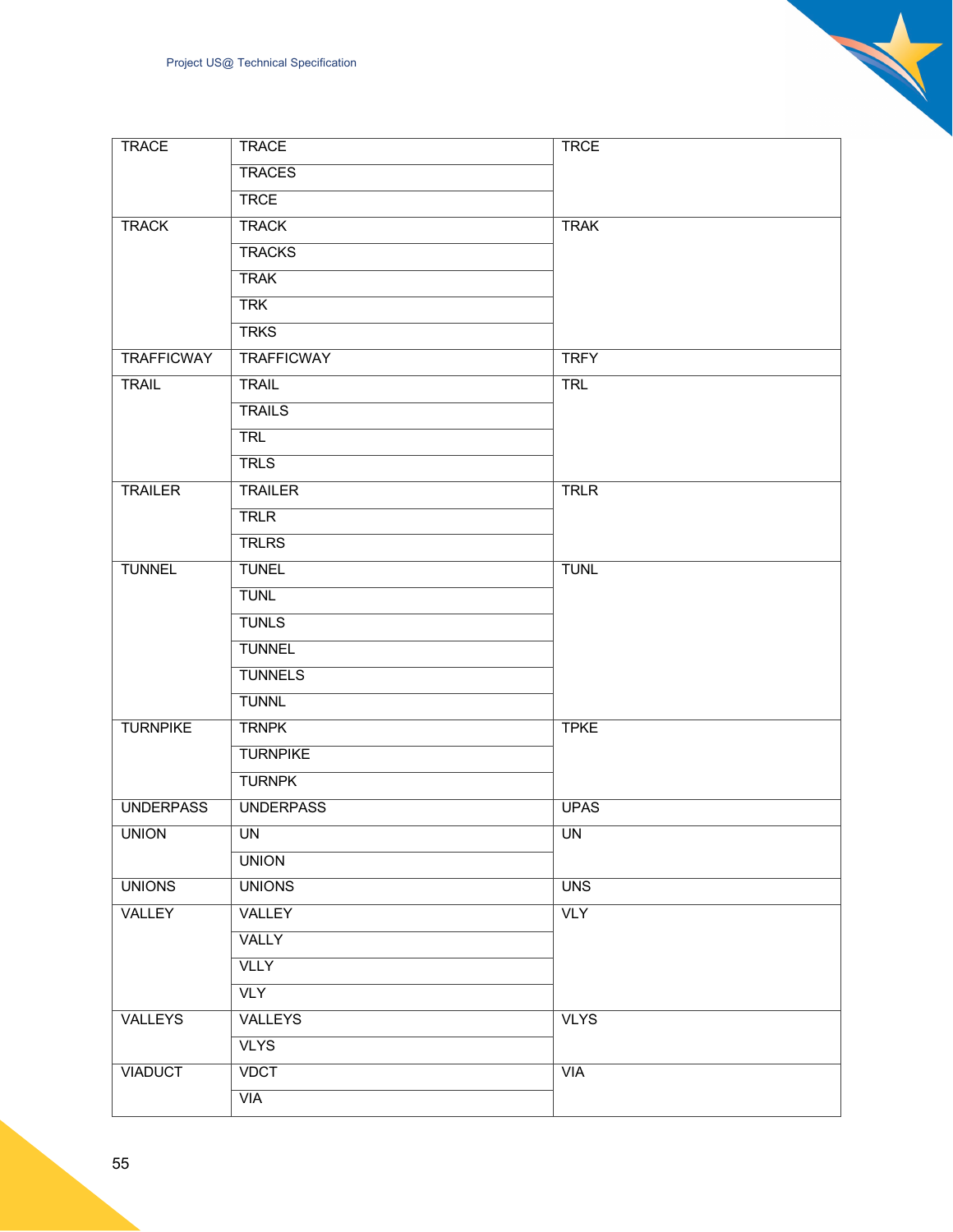| <b>TRACE</b>      | <b>TRACE</b>      | <b>TRCE</b> |
|-------------------|-------------------|-------------|
|                   | <b>TRACES</b>     |             |
|                   | <b>TRCE</b>       |             |
| <b>TRACK</b>      | <b>TRACK</b>      | <b>TRAK</b> |
|                   | <b>TRACKS</b>     |             |
|                   | <b>TRAK</b>       |             |
|                   | <b>TRK</b>        |             |
|                   | <b>TRKS</b>       |             |
| <b>TRAFFICWAY</b> | <b>TRAFFICWAY</b> | <b>TRFY</b> |
| <b>TRAIL</b>      | <b>TRAIL</b>      | <b>TRL</b>  |
|                   | <b>TRAILS</b>     |             |
|                   | <b>TRL</b>        |             |
|                   | <b>TRLS</b>       |             |
| <b>TRAILER</b>    | <b>TRAILER</b>    | <b>TRLR</b> |
|                   | <b>TRLR</b>       |             |
|                   | <b>TRLRS</b>      |             |
| <b>TUNNEL</b>     | <b>TUNEL</b>      | <b>TUNL</b> |
|                   | <b>TUNL</b>       |             |
|                   | <b>TUNLS</b>      |             |
|                   | <b>TUNNEL</b>     |             |
|                   | <b>TUNNELS</b>    |             |
|                   | <b>TUNNL</b>      |             |
| <b>TURNPIKE</b>   | <b>TRNPK</b>      | <b>TPKE</b> |
|                   | <b>TURNPIKE</b>   |             |
|                   | <b>TURNPK</b>     |             |
| <b>UNDERPASS</b>  | <b>UNDERPASS</b>  | <b>UPAS</b> |
| <b>UNION</b>      | <b>UN</b>         | <b>UN</b>   |
|                   | <b>UNION</b>      |             |
| <b>UNIONS</b>     | <b>UNIONS</b>     | <b>UNS</b>  |
| VALLEY            | VALLEY            | <b>VLY</b>  |
|                   | VALLY             |             |
|                   | <b>VLLY</b>       |             |
|                   | <b>VLY</b>        |             |
| VALLEYS           | <b>VALLEYS</b>    | <b>VLYS</b> |
|                   | <b>VLYS</b>       |             |
| <b>VIADUCT</b>    | <b>VDCT</b>       | VIA         |
|                   | <b>VIA</b>        |             |

55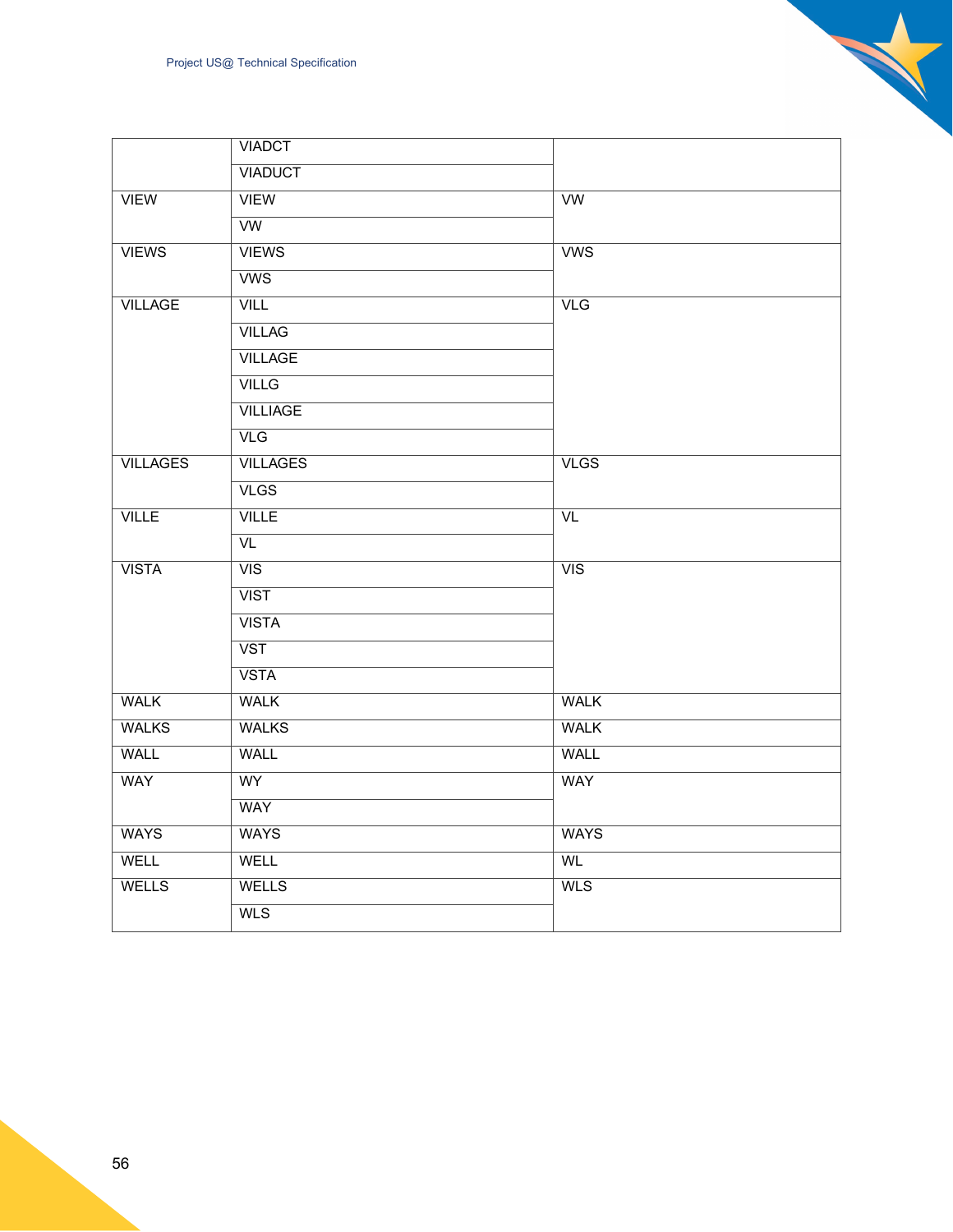|                 | Project US@ Technical Specification |                  |
|-----------------|-------------------------------------|------------------|
|                 | <b>VIADCT</b>                       |                  |
|                 | <b>VIADUCT</b>                      |                  |
| <b>VIEW</b>     | <b>VIEW</b>                         | W                |
|                 | $\overline{\text{vw}}$              |                  |
| <b>VIEWS</b>    | <b>VIEWS</b>                        | WSS              |
|                 | <b>VWS</b>                          |                  |
| <b>VILLAGE</b>  | <b>VILL</b>                         | VLG              |
|                 | <b>VILLAG</b>                       |                  |
|                 | <b>VILLAGE</b>                      |                  |
|                 | <b>VILLG</b>                        |                  |
|                 | <b>VILLIAGE</b>                     |                  |
|                 | VLG                                 |                  |
| <b>VILLAGES</b> | <b>VILLAGES</b>                     | VLS              |
|                 | VLS                                 |                  |
| VILLE           | <b>VILLE</b>                        | $\overline{VL}$  |
|                 | $\overline{VL}$                     |                  |
| <b>VISTA</b>    | $\overline{VIS}$                    | $\overline{VIS}$ |
|                 | <b>VIST</b>                         |                  |
|                 | <b>VISTA</b>                        |                  |
|                 | $\overline{\text{VST}}$             |                  |
|                 | <b>VSTA</b>                         |                  |
| <b>WALK</b>     | <b>WALK</b>                         | <b>WALK</b>      |
| <b>WALKS</b>    | <b>WALKS</b>                        | <b>WALK</b>      |
| <b>WALL</b>     | <b>WALL</b>                         | <b>WALL</b>      |
| <b>WAY</b>      | <b>WY</b>                           | <b>WAY</b>       |
|                 | <b>WAY</b>                          |                  |

WAYS WAYS WAYS WELL | WELL | WL WELLS WELLS WELLS

WLS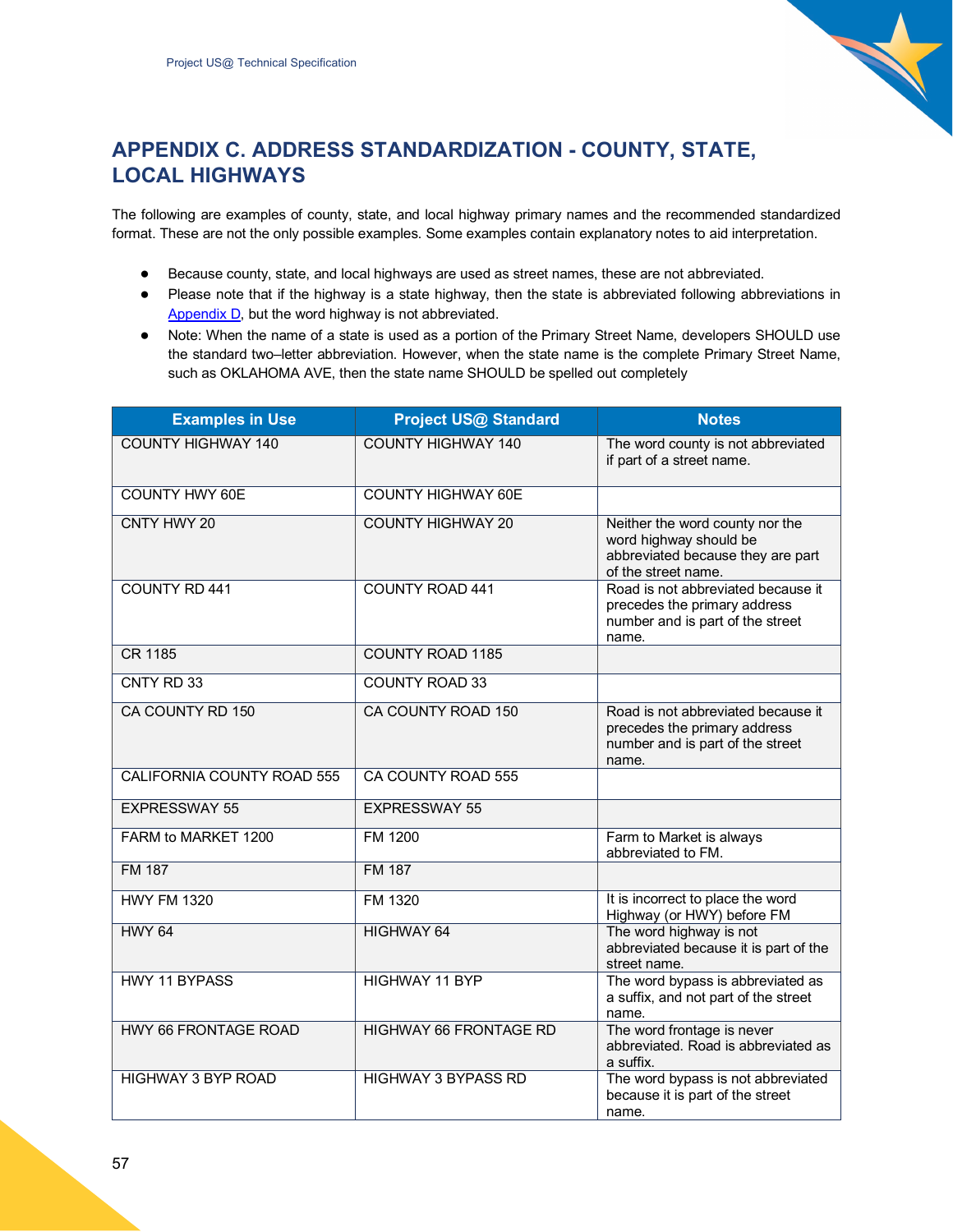

## <span id="page-56-0"></span>**APPENDIX C. ADDRESS STANDARDIZATION - COUNTY, STATE, LOCAL HIGHWAYS**

The following are examples of county, state, and local highway primary names and the recommended standardized format. These are not the only possible examples. Some examples contain explanatory notes to aid interpretation.

- Because county, state, and local highways are used as street names, these are not abbreviated.
- Please note that if the highway is a state highway, then the state is abbreviated following abbreviations in Appendix D, but the word highway is not abbreviated.
- Note: When the name of a state is used as a portion of the Primary Street Name, developers SHOULD use the standard two–letter abbreviation. However, when the state name is the complete Primary Street Name, such as OKLAHOMA AVE, then the state name SHOULD be spelled out completely

| <b>Examples in Use</b>            | <b>Project US@ Standard</b>   | <b>Notes</b>                                                                                                          |
|-----------------------------------|-------------------------------|-----------------------------------------------------------------------------------------------------------------------|
| <b>COUNTY HIGHWAY 140</b>         | <b>COUNTY HIGHWAY 140</b>     | The word county is not abbreviated<br>if part of a street name.                                                       |
| <b>COUNTY HWY 60E</b>             | <b>COUNTY HIGHWAY 60E</b>     |                                                                                                                       |
| CNTY HWY 20                       | <b>COUNTY HIGHWAY 20</b>      | Neither the word county nor the<br>word highway should be<br>abbreviated because they are part<br>of the street name. |
| <b>COUNTY RD 441</b>              | <b>COUNTY ROAD 441</b>        | Road is not abbreviated because it<br>precedes the primary address<br>number and is part of the street<br>name.       |
| CR 1185                           | <b>COUNTY ROAD 1185</b>       |                                                                                                                       |
| CNTY RD 33                        | <b>COUNTY ROAD 33</b>         |                                                                                                                       |
| CA COUNTY RD 150                  | CA COUNTY ROAD 150            | Road is not abbreviated because it<br>precedes the primary address<br>number and is part of the street<br>name.       |
| <b>CALIFORNIA COUNTY ROAD 555</b> | CA COUNTY ROAD 555            |                                                                                                                       |
| <b>EXPRESSWAY 55</b>              | <b>EXPRESSWAY 55</b>          |                                                                                                                       |
| FARM to MARKET 1200               | FM 1200                       | Farm to Market is always<br>abbreviated to FM.                                                                        |
| <b>FM 187</b>                     | <b>FM 187</b>                 |                                                                                                                       |
| <b>HWY FM 1320</b>                | FM 1320                       | It is incorrect to place the word<br>Highway (or HWY) before FM                                                       |
| <b>HWY 64</b>                     | <b>HIGHWAY 64</b>             | The word highway is not<br>abbreviated because it is part of the<br>street name.                                      |
| <b>HWY 11 BYPASS</b>              | <b>HIGHWAY 11 BYP</b>         | The word bypass is abbreviated as<br>a suffix, and not part of the street<br>name.                                    |
| <b>HWY 66 FRONTAGE ROAD</b>       | <b>HIGHWAY 66 FRONTAGE RD</b> | The word frontage is never<br>abbreviated. Road is abbreviated as<br>a suffix.                                        |
| <b>HIGHWAY 3 BYP ROAD</b>         | <b>HIGHWAY 3 BYPASS RD</b>    | The word bypass is not abbreviated<br>because it is part of the street<br>name.                                       |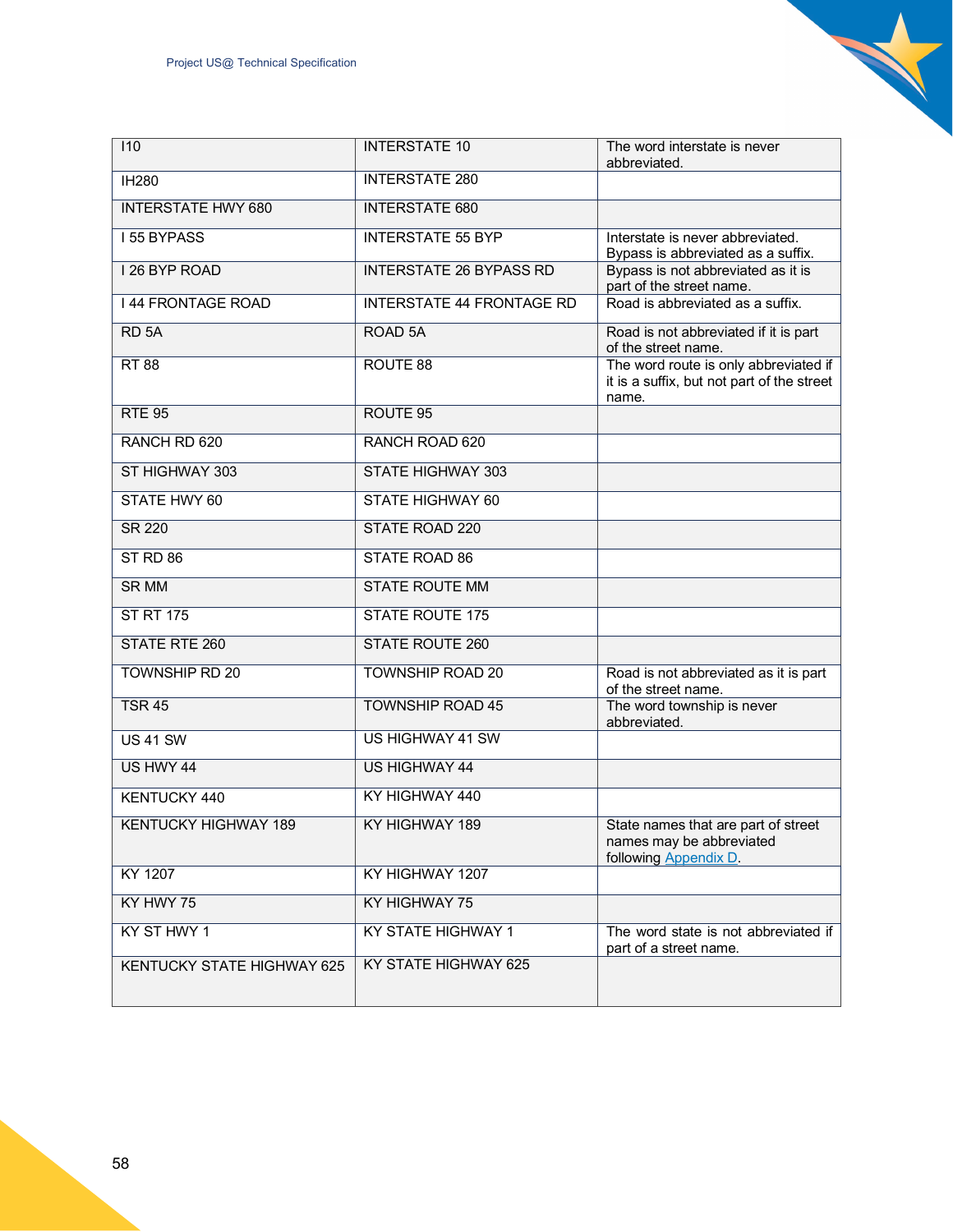| 110                         | <b>INTERSTATE 10</b>             | The word interstate is never<br>abbreviated.                                                 |
|-----------------------------|----------------------------------|----------------------------------------------------------------------------------------------|
| <b>IH280</b>                | <b>INTERSTATE 280</b>            |                                                                                              |
| <b>INTERSTATE HWY 680</b>   | <b>INTERSTATE 680</b>            |                                                                                              |
| <b>I 55 BYPASS</b>          | <b>INTERSTATE 55 BYP</b>         | Interstate is never abbreviated.<br>Bypass is abbreviated as a suffix.                       |
| I 26 BYP ROAD               | <b>INTERSTATE 26 BYPASS RD</b>   | Bypass is not abbreviated as it is<br>part of the street name.                               |
| <b>144 FRONTAGE ROAD</b>    | <b>INTERSTATE 44 FRONTAGE RD</b> | Road is abbreviated as a suffix.                                                             |
| RD <sub>5A</sub>            | ROAD <sub>5A</sub>               | Road is not abbreviated if it is part<br>of the street name.                                 |
| <b>RT 88</b>                | ROUTE 88                         | The word route is only abbreviated if<br>it is a suffix, but not part of the street<br>name. |
| <b>RTE 95</b>               | ROUTE <sub>95</sub>              |                                                                                              |
| RANCH RD 620                | RANCH ROAD 620                   |                                                                                              |
| ST HIGHWAY 303              | <b>STATE HIGHWAY 303</b>         |                                                                                              |
| <b>STATE HWY 60</b>         | <b>STATE HIGHWAY 60</b>          |                                                                                              |
| <b>SR 220</b>               | <b>STATE ROAD 220</b>            |                                                                                              |
| ST <sub>RD</sub> 86         | <b>STATE ROAD 86</b>             |                                                                                              |
| <b>SR MM</b>                | <b>STATE ROUTE MM</b>            |                                                                                              |
| <b>ST RT 175</b>            | <b>STATE ROUTE 175</b>           |                                                                                              |
| <b>STATE RTE 260</b>        | <b>STATE ROUTE 260</b>           |                                                                                              |
| <b>TOWNSHIP RD 20</b>       | <b>TOWNSHIP ROAD 20</b>          | Road is not abbreviated as it is part<br>of the street name.                                 |
| <b>TSR 45</b>               | <b>TOWNSHIP ROAD 45</b>          | The word township is never<br>abbreviated.                                                   |
| <b>US 41 SW</b>             | <b>US HIGHWAY 41 SW</b>          |                                                                                              |
| US HWY 44                   | <b>US HIGHWAY 44</b>             |                                                                                              |
| KENTUCKY 440                | KY HIGHWAY 440                   |                                                                                              |
| <b>KENTUCKY HIGHWAY 189</b> | KY HIGHWAY 189                   | State names that are part of street<br>names may be abbreviated<br>following Appendix D.     |
| KY 1207                     | KY HIGHWAY 1207                  |                                                                                              |
| KY HWY 75                   | KY HIGHWAY 75                    |                                                                                              |
| KY ST HWY 1                 | KY STATE HIGHWAY 1               | The word state is not abbreviated if<br>part of a street name.                               |
| KENTUCKY STATE HIGHWAY 625  | KY STATE HIGHWAY 625             |                                                                                              |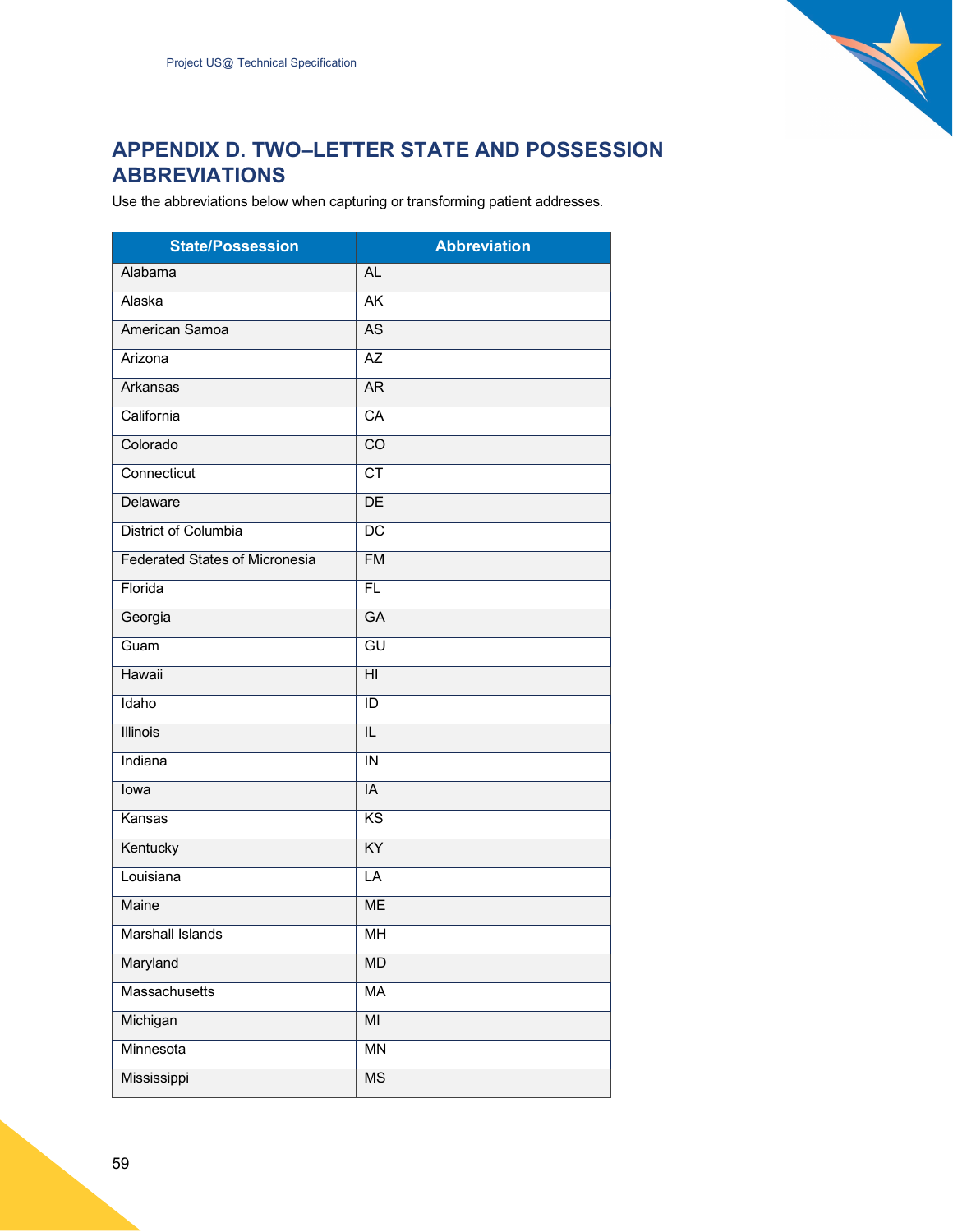

## <span id="page-58-0"></span>**APPENDIX D. TWO–LETTER STATE AND POSSESSION ABBREVIATIONS**

Use the abbreviations below when capturing or transforming patient addresses.

| <b>State/Possession</b>               | <b>Abbreviation</b>        |
|---------------------------------------|----------------------------|
| Alabama                               | AL.                        |
| Alaska                                | $\overline{\mathsf{AK}}$   |
| American Samoa                        | $\overline{AS}$            |
| Arizona                               | $\overline{AZ}$            |
| <b>Arkansas</b>                       | AR                         |
| California                            | $\overline{CA}$            |
| Colorado                              | $\overline{co}$            |
| Connecticut                           | $\overline{\text{CT}}$     |
| Delaware                              | DE                         |
| District of Columbia                  | $\overline{{\mathsf{DC}}}$ |
| <b>Federated States of Micronesia</b> | F <sub>M</sub>             |
| Florida                               | $\overline{FL}$            |
| Georgia                               | <b>GA</b>                  |
| Guam                                  | $\overline{GU}$            |
| <b>Hawaii</b>                         | $\overline{H}$             |
| Idaho                                 | $\overline{ID}$            |
| <b>Illinois</b>                       | $\overline{\mathsf{IL}}$   |
| Indiana                               | $\overline{\mathsf{IN}}$   |
| lowa                                  | $\overline{IA}$            |
| Kansas                                | $\overline{\text{KS}}$     |
| Kentucky                              | $\overline{KY}$            |
| Louisiana                             | LA                         |
| Maine                                 | <b>ME</b>                  |
| Marshall Islands                      | MН                         |
| Maryland                              | <b>MD</b>                  |
| Massachusetts                         | <b>MA</b>                  |
| Michigan                              | $\overline{MI}$            |
| Minnesota                             | $\overline{MN}$            |
| Mississippi                           | $\overline{\text{MS}}$     |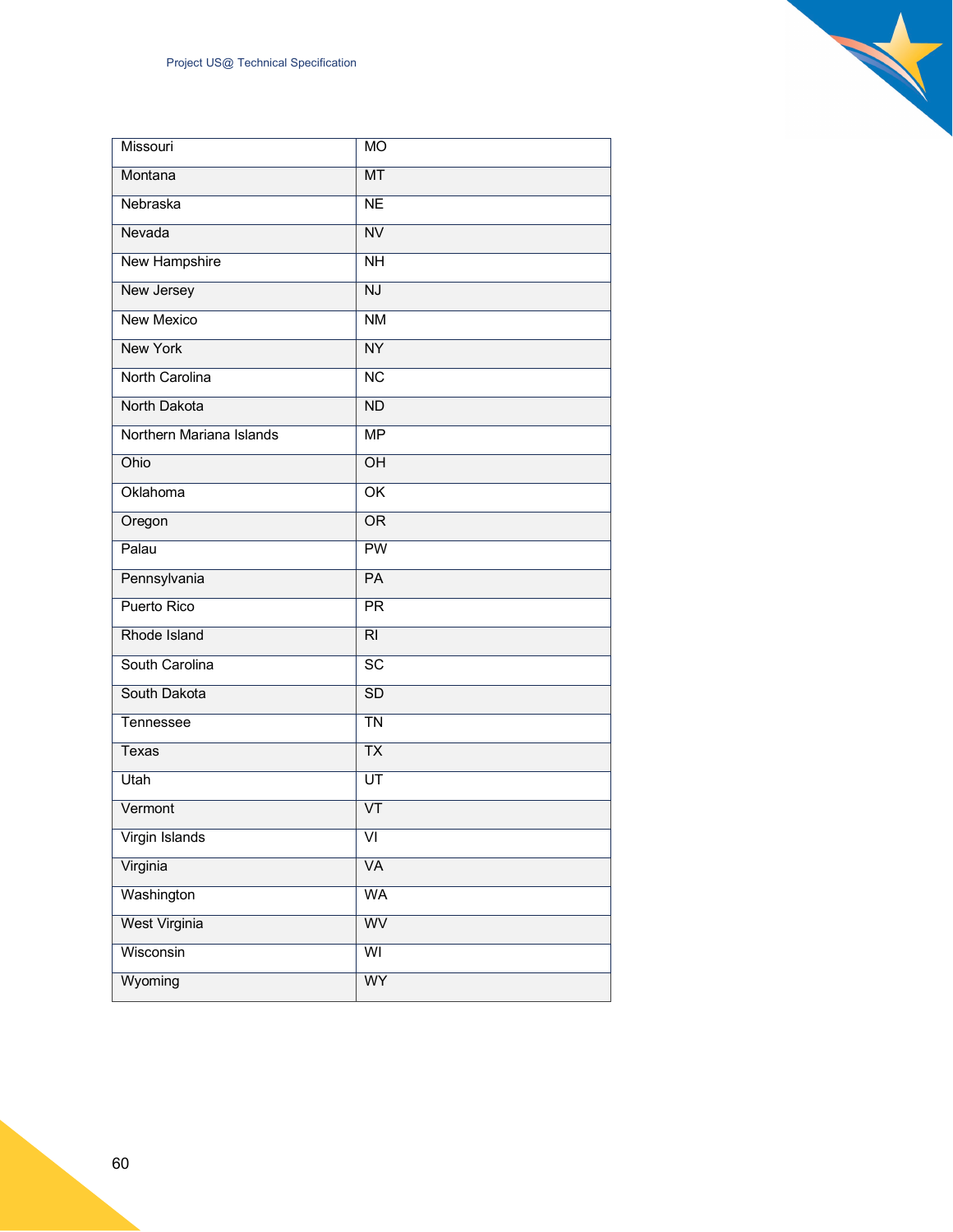| Missouri                 | <b>MO</b>                |
|--------------------------|--------------------------|
| Montana                  | MT                       |
| Nebraska                 | $\overline{\text{NE}}$   |
| Nevada                   | $\overline{\text{NV}}$   |
| <b>New Hampshire</b>     | $\overline{NH}$          |
| New Jersey               | $\overline{\text{NJ}}$   |
| <b>New Mexico</b>        | $\overline{\text{NM}}$   |
| <b>New York</b>          | $\overline{NY}$          |
| North Carolina           | $\overline{\text{NC}}$   |
| North Dakota             | $\overline{ND}$          |
| Northern Mariana Islands | $\overline{\mathsf{MP}}$ |
| Ohio                     | $\overline{OH}$          |
| Oklahoma                 | $\overline{\text{OK}}$   |
| Oregon                   | $\overline{\text{OR}}$   |
| Palau                    | $\overline{PW}$          |
| Pennsylvania             | $\overline{PA}$          |
| Puerto Rico              | $\overline{PR}$          |
| Rhode Island             | $\overline{R}$           |
| South Carolina           | SC                       |
| South Dakota             | SD                       |
| Tennessee                | $\overline{T}N$          |
| Texas                    | $\overline{TX}$          |
| Utah                     | $\overline{UT}$          |
| Vermont                  | $\overline{\mathsf{VT}}$ |
| Virgin Islands           | $\overline{VI}$          |
| Virginia                 | <b>VA</b>                |
| Washington               | <b>WA</b>                |
| <b>West Virginia</b>     | WV                       |
| Wisconsin                | $\overline{\mathsf{W}}$  |
| Wyoming                  | <b>WY</b>                |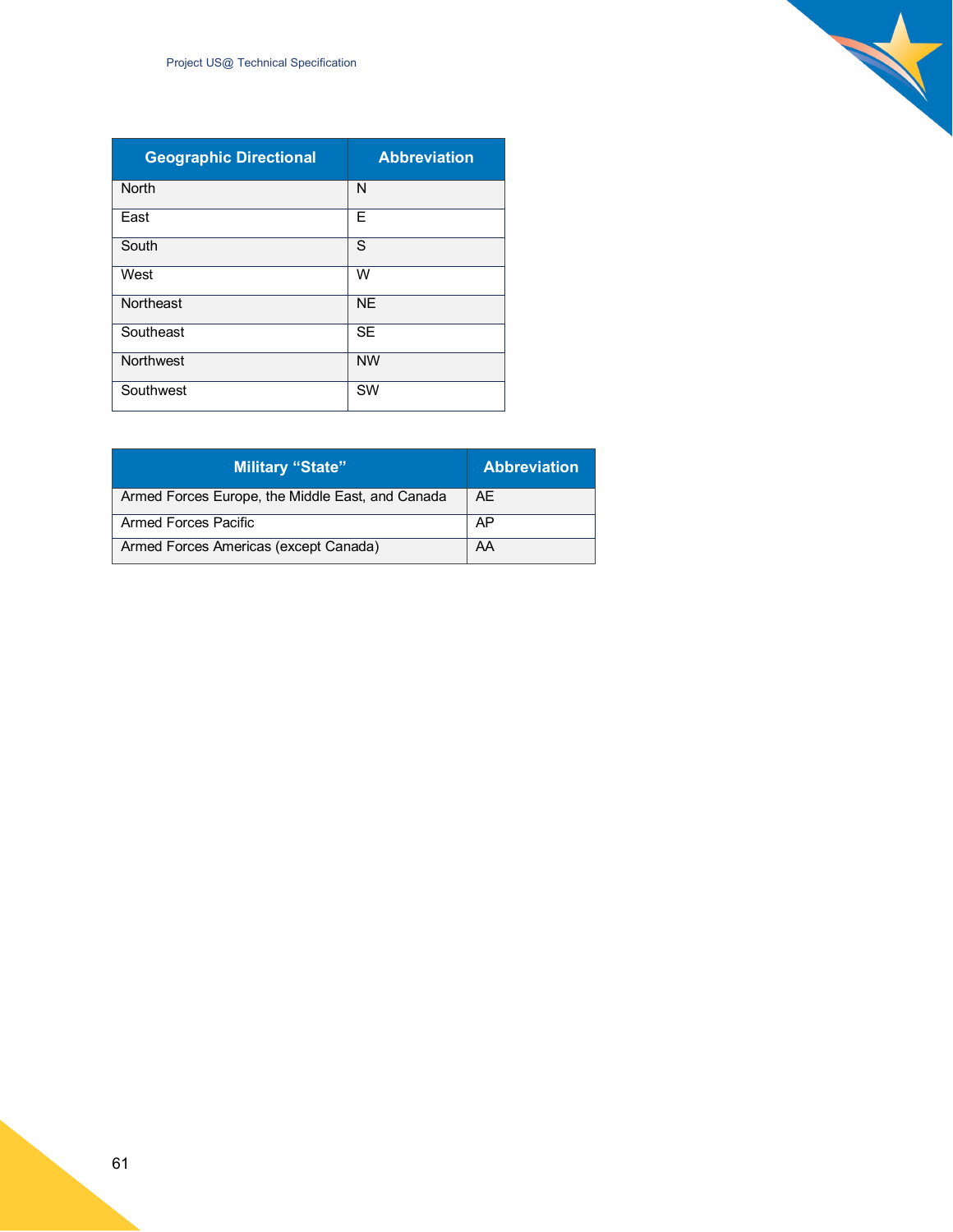| <b>Geographic Directional</b> | <b>Abbreviation</b> |
|-------------------------------|---------------------|
| <b>North</b>                  | N                   |
| East                          | Е                   |
| South                         | S                   |
| West                          | W                   |
| Northeast                     | <b>NE</b>           |
| Southeast                     | <b>SE</b>           |
| Northwest                     | <b>NW</b>           |
| Southwest                     | SW                  |

N

| <b>Military "State"</b>                          | <b>Abbreviation</b> |
|--------------------------------------------------|---------------------|
| Armed Forces Europe, the Middle East, and Canada | <b>AE</b>           |
| Armed Forces Pacific                             | AP                  |
| Armed Forces Americas (except Canada)            | AA                  |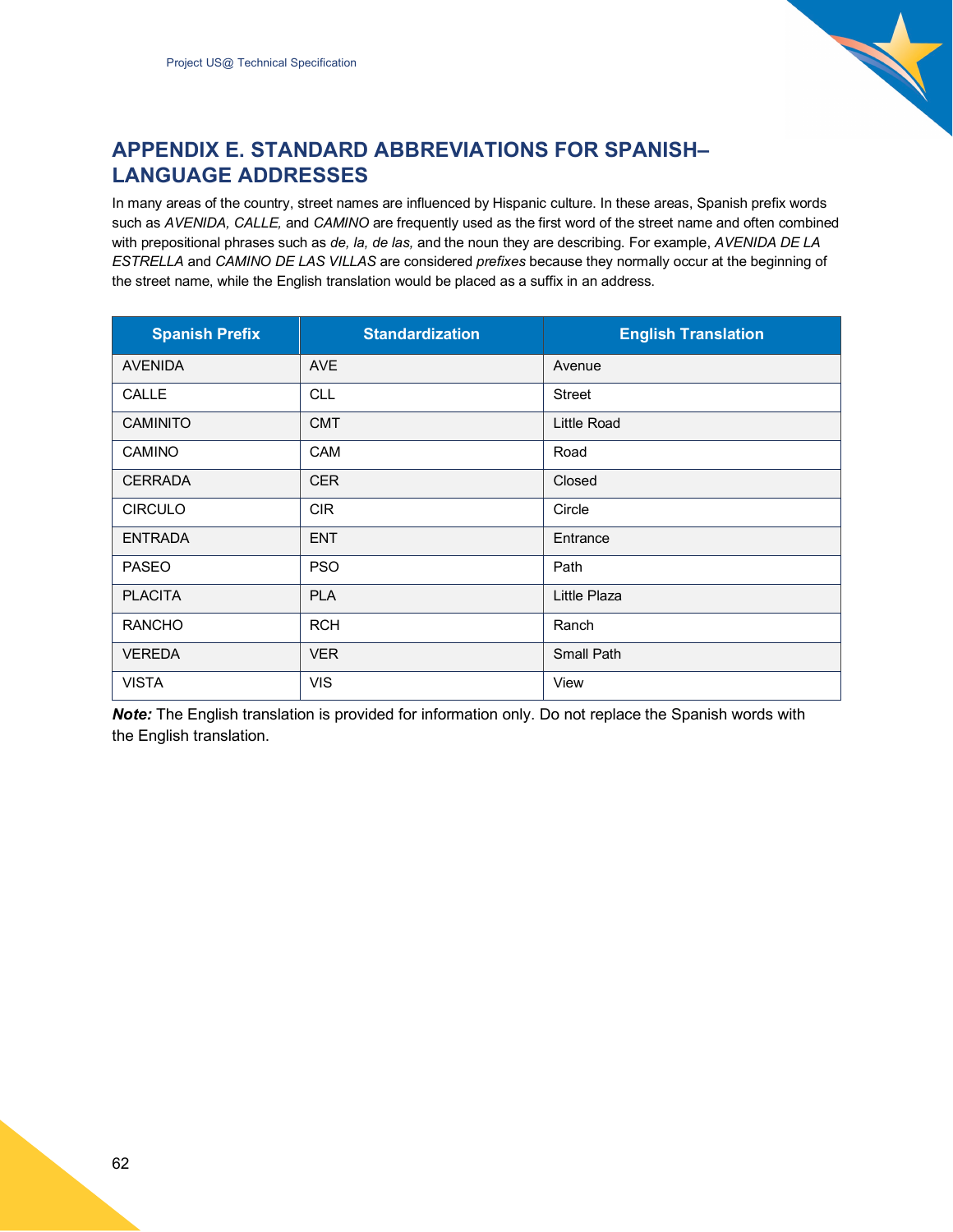

## <span id="page-61-0"></span>**APPENDIX E. STANDARD ABBREVIATIONS FOR SPANISH– LANGUAGE ADDRESSES**

In many areas of the country, street names are influenced by Hispanic culture. In these areas, Spanish prefix words such as *AVENIDA, CALLE,* and *CAMINO* are frequently used as the first word of the street name and often combined with prepositional phrases such as *de, la, de las,* and the noun they are describing. For example, *AVENIDA DE LA ESTRELLA* and *CAMINO DE LAS VILLAS* are considered *prefixes* because they normally occur at the beginning of the street name, while the English translation would be placed as a suffix in an address.

| <b>Spanish Prefix</b> | <b>Standardization</b> | <b>English Translation</b> |
|-----------------------|------------------------|----------------------------|
| <b>AVENIDA</b>        | <b>AVE</b>             | Avenue                     |
| CALLE                 | <b>CLL</b>             | <b>Street</b>              |
| <b>CAMINITO</b>       | <b>CMT</b>             | Little Road                |
| <b>CAMINO</b>         | <b>CAM</b>             | Road                       |
| <b>CERRADA</b>        | <b>CER</b>             | Closed                     |
| <b>CIRCULO</b>        | <b>CIR</b>             | Circle                     |
| <b>ENTRADA</b>        | <b>ENT</b>             | Entrance                   |
| <b>PASEO</b>          | <b>PSO</b>             | Path                       |
| <b>PLACITA</b>        | <b>PLA</b>             | Little Plaza               |
| <b>RANCHO</b>         | <b>RCH</b>             | Ranch                      |
| <b>VEREDA</b>         | <b>VER</b>             | <b>Small Path</b>          |
| <b>VISTA</b>          | <b>VIS</b>             | View                       |

*Note:* The English translation is provided for information only. Do not replace the Spanish words with the English translation.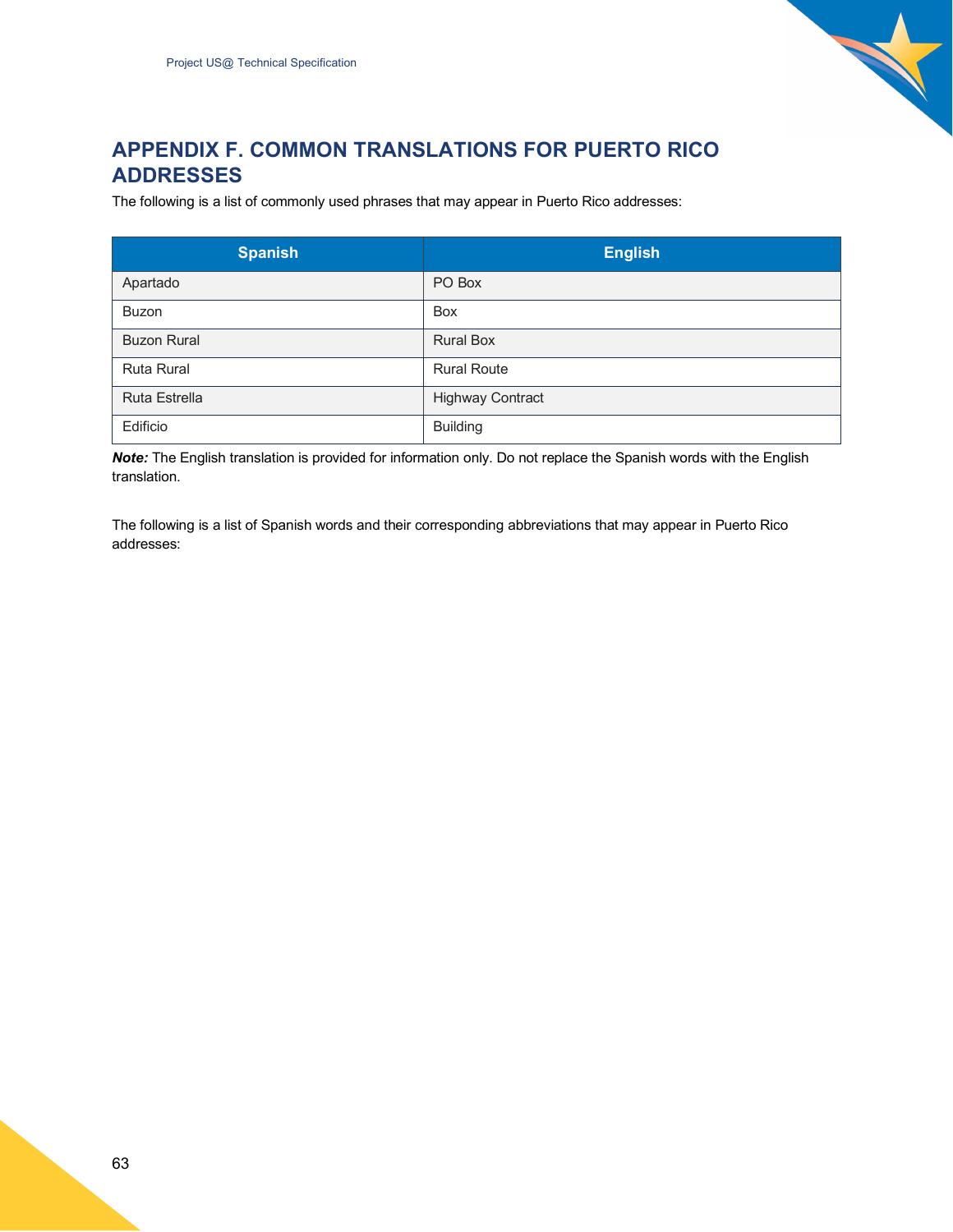

## <span id="page-62-0"></span>**APPENDIX F. COMMON TRANSLATIONS FOR PUERTO RICO ADDRESSES**

The following is a list of commonly used phrases that may appear in Puerto Rico addresses:

| <b>Spanish</b>       | <b>English</b>          |
|----------------------|-------------------------|
| Apartado             | PO Box                  |
| <b>Buzon</b>         | <b>Box</b>              |
| <b>Buzon Rural</b>   | <b>Rural Box</b>        |
| <b>Ruta Rural</b>    | <b>Rural Route</b>      |
| <b>Ruta Estrella</b> | <b>Highway Contract</b> |
| Edificio             | <b>Building</b>         |

*Note:* The English translation is provided for information only. Do not replace the Spanish words with the English translation.

The following is a list of Spanish words and their corresponding abbreviations that may appear in Puerto Rico addresses: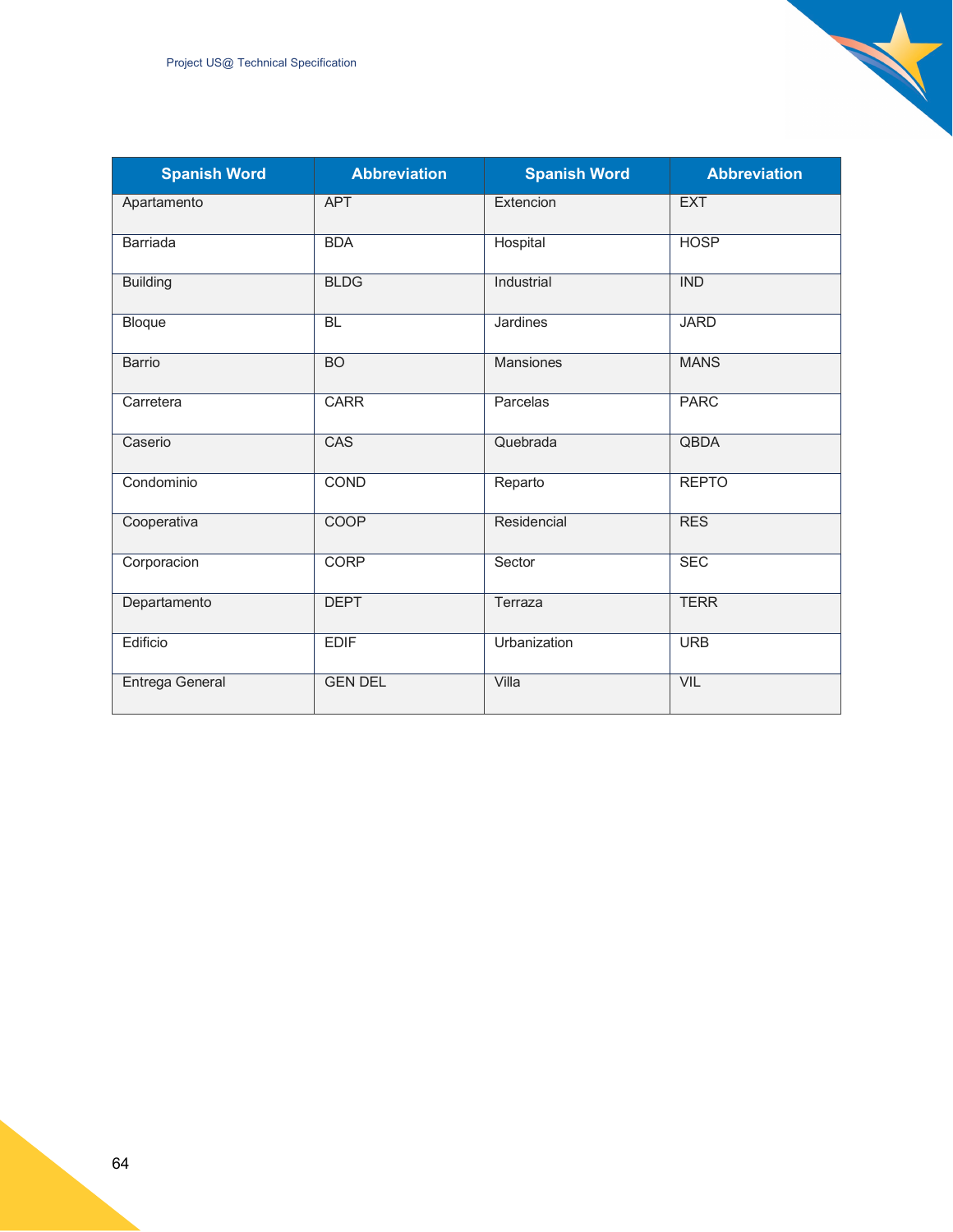| <b>Spanish Word</b> | <b>Abbreviation</b> | <b>Spanish Word</b> | <b>Abbreviation</b> |
|---------------------|---------------------|---------------------|---------------------|
| Apartamento         | <b>APT</b>          | Extencion           | <b>EXT</b>          |
| <b>Barriada</b>     | <b>BDA</b>          | Hospital            | <b>HOSP</b>         |
| <b>Building</b>     | <b>BLDG</b>         | Industrial          | <b>IND</b>          |
| Bloque              | <b>BL</b>           | Jardines            | <b>JARD</b>         |
| <b>Barrio</b>       | $\overline{BO}$     | <b>Mansiones</b>    | <b>MANS</b>         |
| Carretera           | <b>CARR</b>         | Parcelas            | <b>PARC</b>         |
| Caserio             | <b>CAS</b>          | Quebrada            | <b>QBDA</b>         |
| Condominio          | <b>COND</b>         | Reparto             | <b>REPTO</b>        |
| Cooperativa         | <b>COOP</b>         | Residencial         | <b>RES</b>          |
| Corporacion         | <b>CORP</b>         | Sector              | <b>SEC</b>          |
| Departamento        | <b>DEPT</b>         | Terraza             | <b>TERR</b>         |
| Edificio            | <b>EDIF</b>         | Urbanization        | <b>URB</b>          |
| Entrega General     | <b>GEN DEL</b>      | Villa               | VIL                 |

X